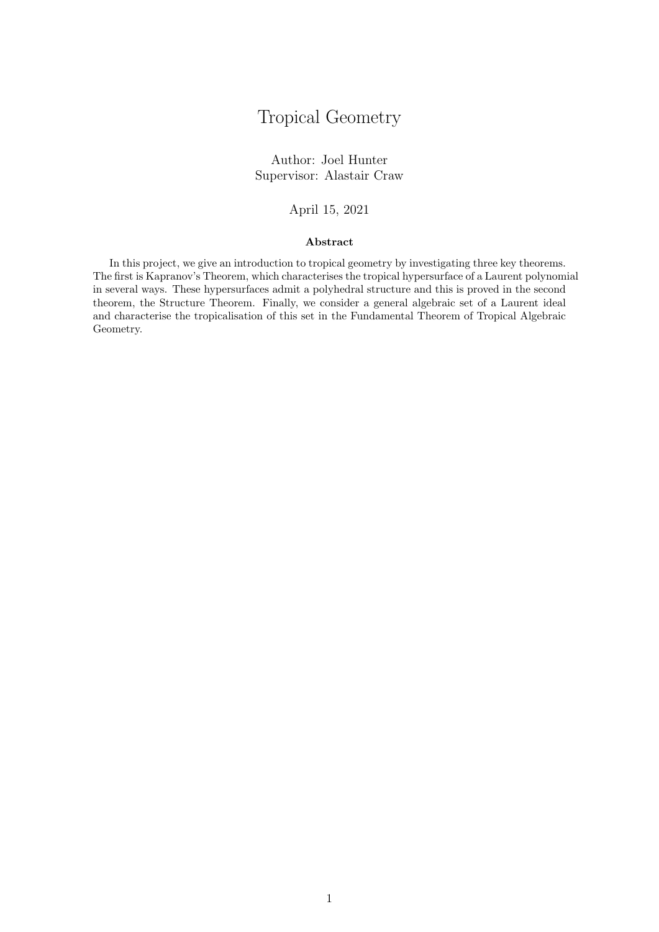# Tropical Geometry

Author: Joel Hunter Supervisor: Alastair Craw

#### April 15, 2021

#### Abstract

In this project, we give an introduction to tropical geometry by investigating three key theorems. The first is Kapranov's Theorem, which characterises the tropical hypersurface of a Laurent polynomial in several ways. These hypersurfaces admit a polyhedral structure and this is proved in the second theorem, the Structure Theorem. Finally, we consider a general algebraic set of a Laurent ideal and characterise the tropicalisation of this set in the Fundamental Theorem of Tropical Algebraic Geometry.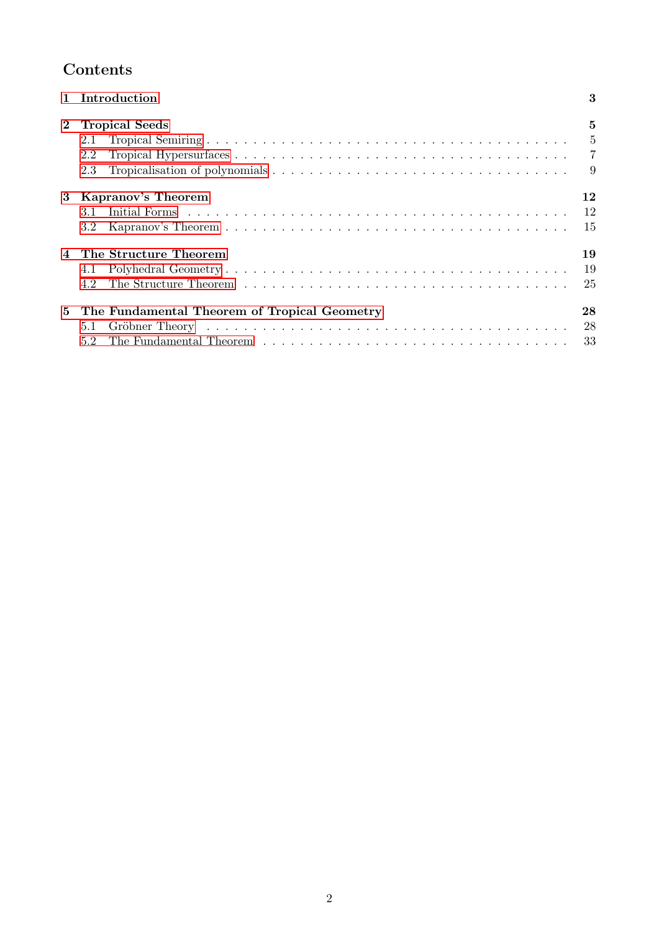# Contents

|    | <b>Introduction</b>                          | 3  |
|----|----------------------------------------------|----|
|    | <b>Tropical Seeds</b>                        | 5  |
|    | Tropical Semiring                            | 5  |
|    | Tropical Hypersurfaces                       |    |
|    | Tropicalisation of polynomials<br>2.3        | 9  |
| 13 | <b>Kapranov's Theorem</b>                    | 12 |
|    | Initial Forms                                | 12 |
|    | Kapranov's Theorem                           | 15 |
|    | The Structure Theorem                        | 19 |
|    | Polyhedral Geometry $\ldots$ .               | 19 |
|    | The Structure Theorem<br>4.2                 | 25 |
| 15 | The Fundamental Theorem of Tropical Geometry | 28 |
|    | Gröbner Theory<br>5.1                        | 28 |
|    | Theorem<br>The Fundamental                   | 33 |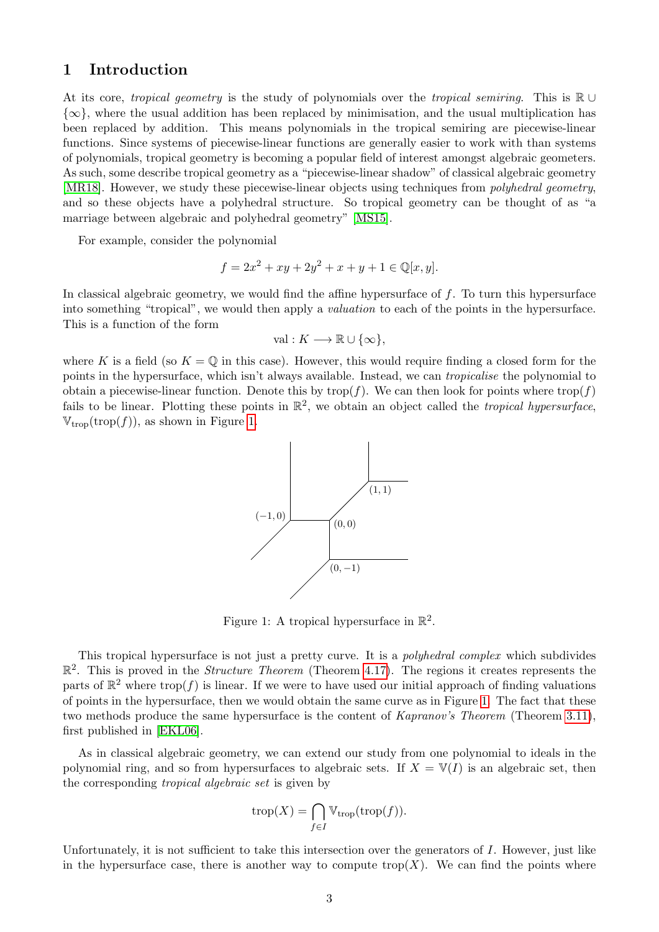### 1 Introduction

At its core, *tropical geometry* is the study of polynomials over the *tropical semiring*. This is  $\mathbb{R} \cup$  $\{\infty\}$ , where the usual addition has been replaced by minimisation, and the usual multiplication has been replaced by addition. This means polynomials in the tropical semiring are piecewise-linear functions. Since systems of piecewise-linear functions are generally easier to work with than systems of polynomials, tropical geometry is becoming a popular field of interest amongst algebraic geometers. As such, some describe tropical geometry as a "piecewise-linear shadow" of classical algebraic geometry [MR18]. However, we study these piecewise-linear objects using techniques from *polyhedral geometry*, and so these objects have a polyhedral structure. So tropical geometry can be thought of as "a marriage between algebraic and polyhedral geometry" [MS15].

For example, consider the polynomial

$$
f = 2x^2 + xy + 2y^2 + x + y + 1 \in \mathbb{Q}[x, y].
$$

In classical algebraic geometry, we would find the affine hypersurface of  $f$ . To turn this hypersurface into something "tropical", we would then apply a *valuation* to each of the points in the hypersurface. This is a function of the form

$$
\mathrm{val}: K \longrightarrow \mathbb{R} \cup \{\infty\},
$$

where K is a field (so  $K = \mathbb{Q}$  in this case). However, this would require finding a closed form for the points in the hypersurface, which isn't always available. Instead, we can *tropicalise* the polynomial to obtain a piecewise-linear function. Denote this by  $\text{trop}(f)$ . We can then look for points where  $\text{trop}(f)$ fails to be linear. Plotting these points in  $\mathbb{R}^2$ , we obtain an object called the *tropical hypersurface*.  $V_{\text{trop}}(\text{trop}(f))$ , as shown in Figure 1.



Figure 1: A tropical hypersurface in  $\mathbb{R}^2$ .

This tropical hypersurface is not just a pretty curve. It is a *polyhedral complex* which subdivides  $\mathbb{R}^2$ . This is proved in the *Structure Theorem* (Theorem 4.17). The regions it creates represents the parts of  $\mathbb{R}^2$  where trop(*f*) is linear. If we were to have used our initial approach of finding valuations of points in the hypersurface, then we would obtain the same curve as in Figure  $\boxed{1}$ . The fact that these two methods produce the same hypersurface is the content of *Kapranov's Theorem* (Theorem 3.11), first published in [EKL06].

As in classical algebraic geometry, we can extend our study from one polynomial to ideals in the polynomial ring, and so from hypersurfaces to algebraic sets. If  $X = V(I)$  is an algebraic set, then the corresponding *tropical algebraic set* is given by

$$
\operatorname{trop}(X) = \bigcap_{f \in I} \mathbb{V}_{\operatorname{trop}}(\operatorname{trop}(f)).
$$

Unfortunately, it is not sufficient to take this intersection over the generators of  $I$ . However, just like in the hypersurface case, there is another way to compute trop $(X)$ . We can find the points where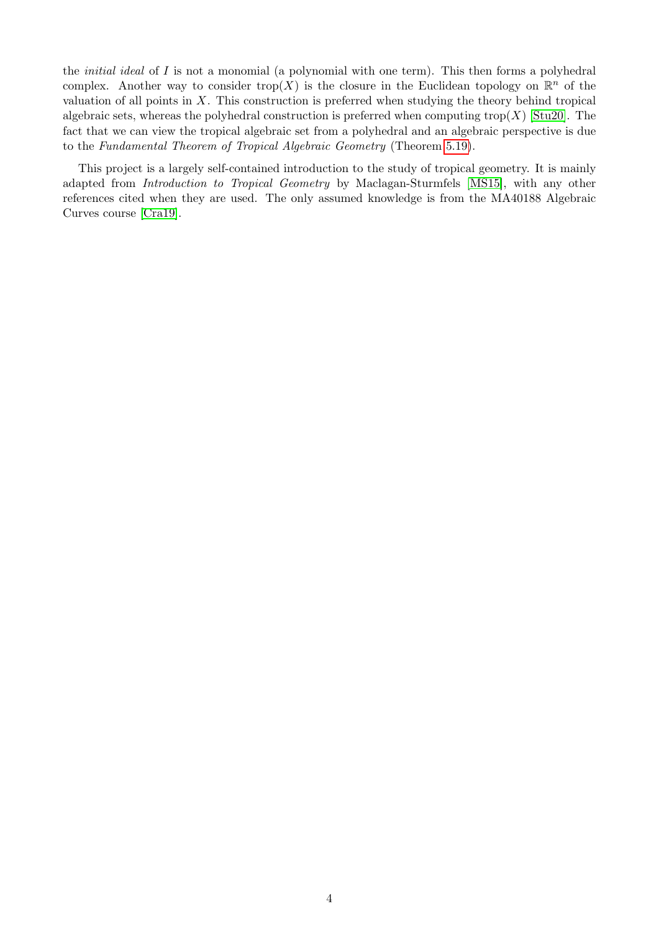the *initial ideal* of *I* is not a monomial (a polynomial with one term). This then forms a polyhedral complex. Another way to consider trop(X) is the closure in the Euclidean topology on  $\mathbb{R}^n$  of the valuation of all points in *X*. This construction is preferred when studying the theory behind tropical algebraic sets, whereas the polyhedral construction is preferred when computing trop $(X)$   $\overline{\text{Stu20}}$ . The fact that we can view the tropical algebraic set from a polyhedral and an algebraic perspective is due to the *Fundamental Theorem of Tropical Algebraic Geometry* (Theorem 5.19).

This project is a largely self-contained introduction to the study of tropical geometry. It is mainly adapted from *Introduction to Tropical Geometry* by Maclagan-Sturmfels [MS15], with any other references cited when they are used. The only assumed knowledge is from the MA40188 Algebraic Curves course [Cra19].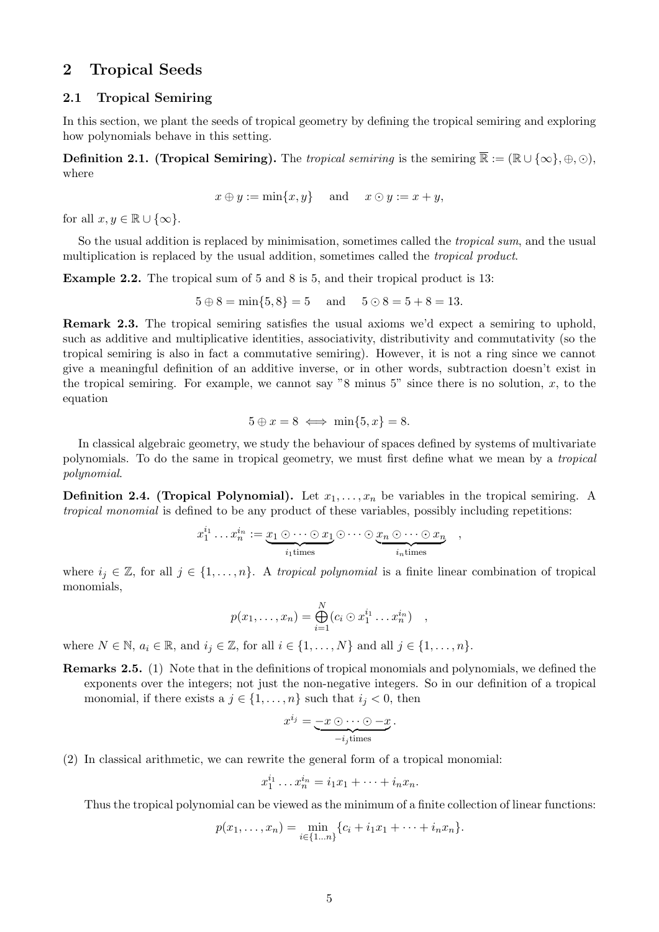### 2 Tropical Seeds

#### 2.1 Tropical Semiring

In this section, we plant the seeds of tropical geometry by defining the tropical semiring and exploring how polynomials behave in this setting.

**Definition 2.1. (Tropical Semiring).** The *tropical semiring* is the semiring  $\overline{\mathbb{R}} := (\mathbb{R} \cup \{\infty\}, \oplus, \odot),$ where

$$
x \oplus y := \min\{x, y\} \quad \text{and} \quad x \odot y := x + y,
$$

for all  $x, y \in \mathbb{R} \cup \{\infty\}$ .

So the usual addition is replaced by minimisation, sometimes called the *tropical sum*, and the usual multiplication is replaced by the usual addition, sometimes called the *tropical product*.

Example 2.2. The tropical sum of 5 and 8 is 5, and their tropical product is 13:

$$
5 \oplus 8 = \min\{5, 8\} = 5
$$
 and  $5 \odot 8 = 5 + 8 = 13$ .

Remark 2.3. The tropical semiring satisfies the usual axioms we'd expect a semiring to uphold, such as additive and multiplicative identities, associativity, distributivity and commutativity (so the tropical semiring is also in fact a commutative semiring). However, it is not a ring since we cannot give a meaningful definition of an additive inverse, or in other words, subtraction doesn't exist in the tropical semiring. For example, we cannot say  $"8$  minus 5" since there is no solution,  $x$ , to the equation

$$
5 \oplus x = 8 \iff \min\{5, x\} = 8.
$$

In classical algebraic geometry, we study the behaviour of spaces defined by systems of multivariate polynomials. To do the same in tropical geometry, we must first define what we mean by a *tropical polynomial*.

**Definition 2.4. (Tropical Polynomial).** Let  $x_1, \ldots, x_n$  be variables in the tropical semiring. A *tropical monomial* is defined to be any product of these variables, possibly including repetitions:

$$
x_1^{i_1} \dots x_n^{i_n} := \underbrace{x_1 \odot \dots \odot x_1}_{i_1 \text{times}} \odot \dots \odot \underbrace{x_n \odot \dots \odot x_n}_{i_n \text{times}},
$$

where  $i_j \in \mathbb{Z}$ , for all  $j \in \{1, ..., n\}$ . A *tropical polynomial* is a finite linear combination of tropical monomials,

$$
p(x_1,\ldots,x_n) = \bigoplus_{i=1}^N (c_i \odot x_1^{i_1} \ldots x_n^{i_n}) \quad ,
$$

where  $N \in \mathbb{N}$ ,  $a_i \in \mathbb{R}$ , and  $i_j \in \mathbb{Z}$ , for all  $i \in \{1, \ldots, N\}$  and all  $j \in \{1, \ldots, n\}$ .

Remarks 2.5. (1) Note that in the definitions of tropical monomials and polynomials, we defined the exponents over the integers; not just the non-negative integers. So in our definition of a tropical monomial, if there exists a  $j \in \{1, \ldots, n\}$  such that  $i_j < 0$ , then

$$
x^{i_j} = \underbrace{-x \odot \cdots \odot -x}_{-i_j \text{times}}.
$$

(2) In classical arithmetic, we can rewrite the general form of a tropical monomial:

$$
x_1^{i_1}\ldots x_n^{i_n}=i_1x_1+\cdots+i_nx_n.
$$

Thus the tropical polynomial can be viewed as the minimum of a finite collection of linear functions:

$$
p(x_1,...,x_n) = \min_{i \in \{1...n\}} \{c_i + i_1x_1 + \dots + i_nx_n\}.
$$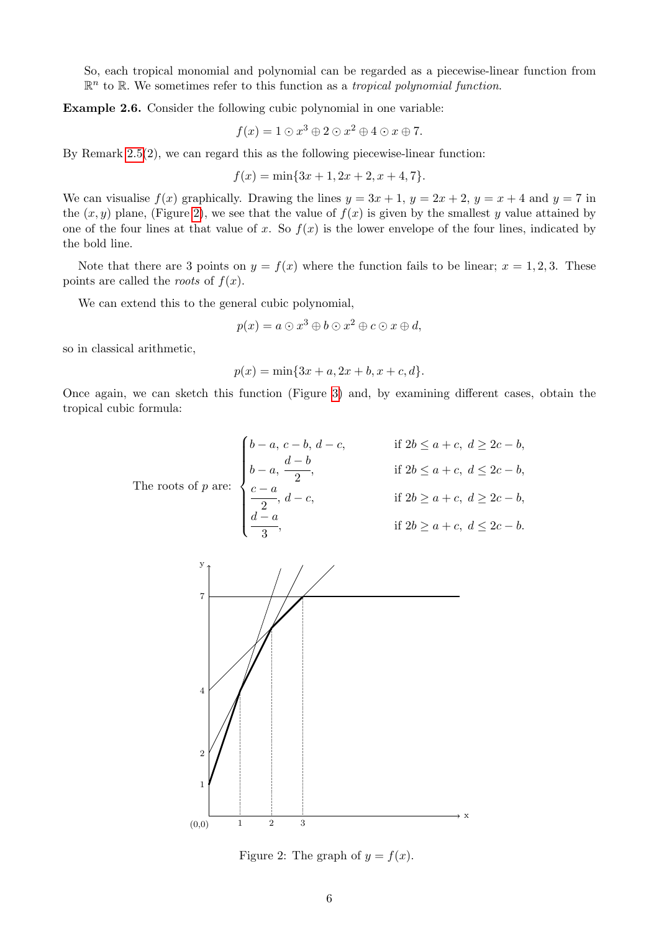So, each tropical monomial and polynomial can be regarded as a piecewise-linear function from  $\mathbb{R}^n$  to  $\mathbb{R}$ . We sometimes refer to this function as a *tropical polynomial function*.

Example 2.6. Consider the following cubic polynomial in one variable:

$$
f(x) = 1 \odot x^3 \oplus 2 \odot x^2 \oplus 4 \odot x \oplus 7.
$$

By Remark  $\left[2.5(2)\right]$ , we can regard this as the following piecewise-linear function:

$$
f(x) = \min\{3x + 1, 2x + 2, x + 4, 7\}.
$$

We can visualise  $f(x)$  graphically. Drawing the lines  $y = 3x + 1$ ,  $y = 2x + 2$ ,  $y = x + 4$  and  $y = 7$  in the  $(x, y)$  plane, (Figure  $\boxed{2}$ ), we see that the value of  $f(x)$  is given by the smallest *y* value attained by one of the four lines at that value of x. So  $f(x)$  is the lower envelope of the four lines, indicated by the bold line.

Note that there are 3 points on  $y = f(x)$  where the function fails to be linear;  $x = 1, 2, 3$ . These points are called the *roots* of  $f(x)$ .

We can extend this to the general cubic polynomial,

$$
p(x) = a \odot x^3 \oplus b \odot x^2 \oplus c \odot x \oplus d,
$$

so in classical arithmetic,

$$
p(x) = \min\{3x + a, 2x + b, x + c, d\}.
$$

Once again, we can sketch this function (Figure  $\overline{3}$ ) and, by examining different cases, obtain the tropical cubic formula:

$$
\begin{cases}\n\begin{aligned}\n\begin{cases}\n b-a, & c-b, & d-c, \\
 b-a, & \frac{d-b}{2}, \\
 \frac{c-a}{2}, & \text{if } 2b \le a+c, & d \le 2c-b,\n\end{cases} \\
\frac{c-a}{2}, & d-c, & \text{if } 2b \ge a+c, & d \ge 2c-b,\n\end{aligned}\n\end{cases}
$$
\n
$$
\begin{cases}\n\text{If } 2b \le a+c, & d \ge 2c-b, \\
\frac{d-a}{3}, & \text{if } 2b \ge a+c, & d \le 2c-b.\n\end{cases}
$$



Figure 2: The graph of  $y = f(x)$ .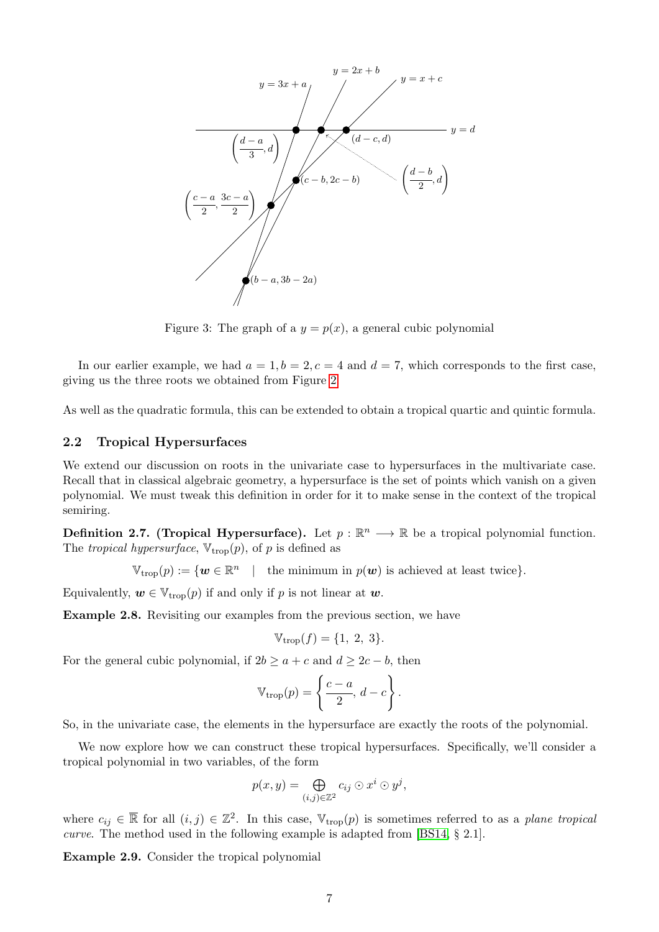

Figure 3: The graph of a  $y = p(x)$ , a general cubic polynomial

In our earlier example, we had  $a = 1, b = 2, c = 4$  and  $d = 7$ , which corresponds to the first case, giving us the three roots we obtained from Figure  $\boxed{2}$ .

As well as the quadratic formula, this can be extended to obtain a tropical quartic and quintic formula.

#### 2.2 Tropical Hypersurfaces

We extend our discussion on roots in the univariate case to hypersurfaces in the multivariate case. Recall that in classical algebraic geometry, a hypersurface is the set of points which vanish on a given polynomial. We must tweak this definition in order for it to make sense in the context of the tropical semiring.

**Definition 2.7. (Tropical Hypersurface).** Let  $p : \mathbb{R}^n \longrightarrow \mathbb{R}$  be a tropical polynomial function. The *tropical hypersurface*,  $V_{\text{trop}}(p)$ , of *p* is defined as

 $\mathbb{V}_{\text{trop}}(p) := \{ \mathbf{w} \in \mathbb{R}^n \mid \text{the minimum in } p(\mathbf{w}) \text{ is achieved at least twice} \}.$ 

Equivalently,  $w \in V_{\text{trop}}(p)$  if and only if *p* is not linear at *w*.

Example 2.8. Revisiting our examples from the previous section, we have

$$
\mathbb{V}_{\text{trop}}(f) = \{1, 2, 3\}.
$$

For the general cubic polynomial, if  $2b \ge a + c$  and  $d \ge 2c - b$ , then

$$
\mathbb{V}_{\text{trop}}(p) = \left\{ \frac{c-a}{2}, \, d-c \right\}.
$$

So, in the univariate case, the elements in the hypersurface are exactly the roots of the polynomial.

We now explore how we can construct these tropical hypersurfaces. Specifically, we'll consider a tropical polynomial in two variables, of the form

$$
p(x, y) = \bigoplus_{(i,j)\in\mathbb{Z}^2} c_{ij} \odot x^i \odot y^j,
$$

where  $c_{ij} \in \overline{\mathbb{R}}$  for all  $(i, j) \in \mathbb{Z}^2$ . In this case,  $\mathbb{V}_{\text{trop}}(p)$  is sometimes referred to as a *plane tropical curve*. The method used in the following example is adapted from **[BS14, § 2.1**].

Example 2.9. Consider the tropical polynomial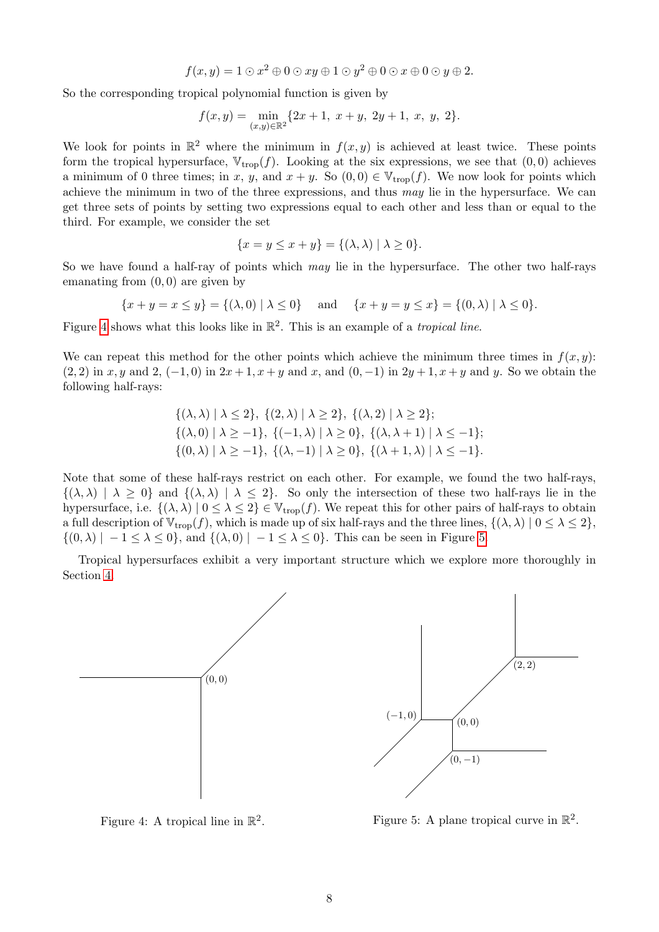$$
f(x,y) = 1 \odot x^2 \oplus 0 \odot xy \oplus 1 \odot y^2 \oplus 0 \odot x \oplus 0 \odot y \oplus 2.
$$

So the corresponding tropical polynomial function is given by

$$
f(x,y) = \min_{(x,y)\in\mathbb{R}^2} \{2x+1, \ x+y, \ 2y+1, \ x, \ y, \ 2\}.
$$

We look for points in  $\mathbb{R}^2$  where the minimum in  $f(x, y)$  is achieved at least twice. These points form the tropical hypersurface,  $V_{\text{trop}}(f)$ . Looking at the six expressions, we see that  $(0,0)$  achieves a minimum of 0 three times; in *x*, *y*, and  $x + y$ . So  $(0,0) \in V_{\text{trop}}(f)$ . We now look for points which achieve the minimum in two of the three expressions, and thus *may* lie in the hypersurface. We can get three sets of points by setting two expressions equal to each other and less than or equal to the third. For example, we consider the set

$$
\{x = y \le x + y\} = \{(\lambda, \lambda) \mid \lambda \ge 0\}.
$$

So we have found a half-ray of points which *may* lie in the hypersurface. The other two half-rays emanating from (0*,* 0) are given by

$$
\{x + y = x \le y\} = \{(\lambda, 0) \mid \lambda \le 0\} \quad \text{and} \quad \{x + y = y \le x\} = \{(0, \lambda) \mid \lambda \le 0\}.
$$

Figure  $4$  shows what this looks like in  $\mathbb{R}^2$ . This is an example of a *tropical line*.

We can repeat this method for the other points which achieve the minimum three times in  $f(x, y)$ :  $(2, 2)$  in *x, y* and 2,  $(-1, 0)$  in  $2x + 1$ ,  $x + y$  and *x*, and  $(0, -1)$  in  $2y + 1$ ,  $x + y$  and *y*. So we obtain the following half-rays:

$$
\{(\lambda, \lambda) \mid \lambda \le 2\}, \{ (2, \lambda) \mid \lambda \ge 2 \}, \{ (\lambda, 2) \mid \lambda \ge 2 \};
$$
  

$$
\{ (\lambda, 0) \mid \lambda \ge -1 \}, \{ (-1, \lambda) \mid \lambda \ge 0 \}, \{ (\lambda, \lambda + 1) \mid \lambda \le -1 \};
$$
  

$$
\{ (0, \lambda) \mid \lambda \ge -1 \}, \{ (\lambda, -1) \mid \lambda \ge 0 \}, \{ (\lambda + 1, \lambda) \mid \lambda \le -1 \}.
$$

Note that some of these half-rays restrict on each other. For example, we found the two half-rays,  $\{(\lambda, \lambda) \mid \lambda \geq 0\}$  and  $\{(\lambda, \lambda) \mid \lambda \leq 2\}$ . So only the intersection of these two half-rays lie in the hypersurface, i.e.  $\{(\lambda, \lambda) \mid 0 \leq \lambda \leq 2\} \in V_{\text{trop}}(f)$ . We repeat this for other pairs of half-rays to obtain a full description of  $\mathbb{V}_{\text{trop}}(f)$ , which is made up of six half-rays and the three lines,  $\{(\lambda, \lambda) | 0 \leq \lambda \leq 2\}$ ,  $\{(0, \lambda) \mid -1 \leq \lambda \leq 0\}$ , and  $\{(\lambda, 0) \mid -1 \leq \lambda \leq 0\}$ . This can be seen in Figure 5.

Tropical hypersurfaces exhibit a very important structure which we explore more thoroughly in Section 4.



Figure 4: A tropical line in R2*.*

Figure 5: A plane tropical curve in  $\mathbb{R}^2$ .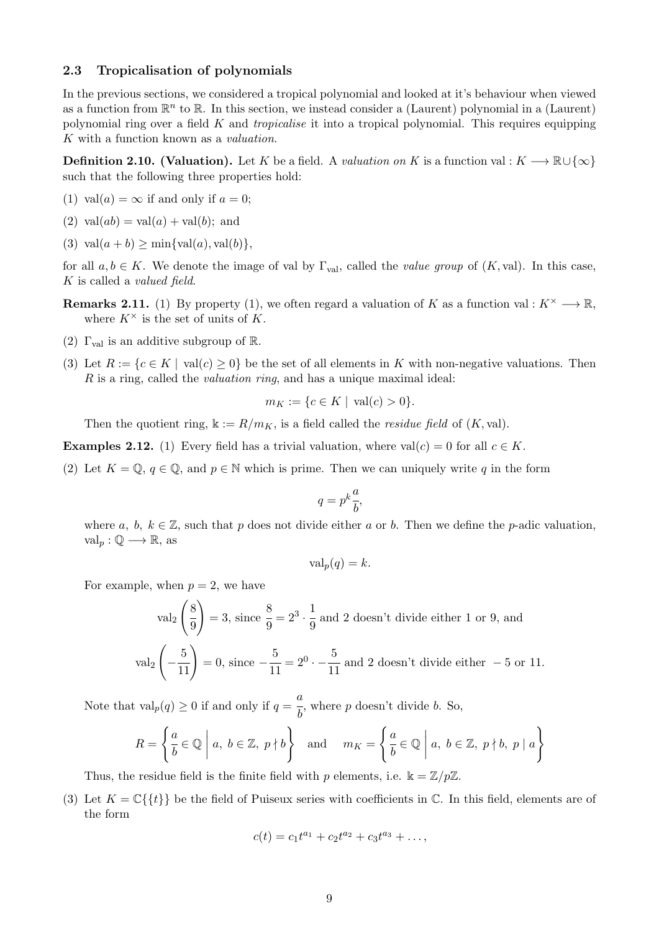#### 2.3 Tropicalisation of polynomials

In the previous sections, we considered a tropical polynomial and looked at it's behaviour when viewed as a function from  $\mathbb{R}^n$  to  $\mathbb{R}$ . In this section, we instead consider a (Laurent) polynomial in a (Laurent) polynomial ring over a field *K* and *tropicalise* it into a tropical polynomial. This requires equipping *K* with a function known as a *valuation*.

**Definition 2.10. (Valuation).** Let *K* be a field. A *valuation on K* is a function val :  $K \longrightarrow \mathbb{R} \cup \{\infty\}$ such that the following three properties hold:

- (1) val $(a) = \infty$  if and only if  $a = 0$ ;
- $(2)$  val $(ab) = val(a) + val(b)$ ; and
- $(3)$  val $(a + b)$  > min $\{val(a), val(b)\},$

for all  $a, b \in K$ . We denote the image of val by  $\Gamma_{\text{val}}$ , called the *value group* of  $(K, \text{val})$ . In this case, *K* is called a *valued field*.

- **Remarks 2.11.** (1) By property (1), we often regard a valuation of *K* as a function val :  $K^{\times} \longrightarrow \mathbb{R}$ , where  $K^{\times}$  is the set of units of K.
- (2)  $\Gamma_{\text{val}}$  is an additive subgroup of R.
- (3) Let  $R := \{c \in K \mid val(c) \geq 0\}$  be the set of all elements in K with non-negative valuations. Then *R* is a ring, called the *valuation ring*, and has a unique maximal ideal:

$$
m_K := \{c \in K \mid \operatorname{val}(c) > 0\}.
$$

Then the quotient ring,  $\Bbbk := R/m_K$ , is a field called the *residue field* of  $(K, val)$ .

**Examples 2.12.** (1) Every field has a trivial valuation, where  $val(c) = 0$  for all  $c \in K$ .

(2) Let  $K = \mathbb{Q}, q \in \mathbb{Q}$ , and  $p \in \mathbb{N}$  which is prime. Then we can uniquely write q in the form

$$
q = p^k \frac{a}{b},
$$

where *a*, *b*,  $k \in \mathbb{Z}$ , such that *p* does not divide either *a* or *b*. Then we define the *p*-adic valuation,  $val_p: \mathbb{Q} \longrightarrow \mathbb{R}$ , as

$$
\text{val}_p(q) = k.
$$

For example, when  $p = 2$ , we have

$$
\text{val}_2\left(\frac{8}{9}\right) = 3, \text{ since } \frac{8}{9} = 2^3 \cdot \frac{1}{9} \text{ and } 2 \text{ doesn't divide either 1 or 9, and}
$$

$$
\text{val}_2\left(-\frac{5}{11}\right) = 0, \text{ since } -\frac{5}{11} = 2^0 \cdot -\frac{5}{11} \text{ and } 2 \text{ doesn't divide either } -5 \text{ or } 11.
$$

Note that  $\text{val}_p(q) \ge 0$  if and only if  $q = \frac{a}{b}$ , where *p* doesn't divide *b*. So,

$$
R = \left\{ \frac{a}{b} \in \mathbb{Q} \mid a, \ b \in \mathbb{Z}, \ p \nmid b \right\} \quad \text{and} \quad m_K = \left\{ \frac{a}{b} \in \mathbb{Q} \mid a, \ b \in \mathbb{Z}, \ p \nmid b, \ p \mid a \right\}
$$

Thus, the residue field is the finite field with *p* elements, i.e.  $\mathbb{k} = \mathbb{Z}/p\mathbb{Z}$ .

(3) Let  $K = \mathbb{C}\{\{t\}\}\$ be the field of Puiseux series with coefficients in  $\mathbb{C}$ . In this field, elements are of the form

$$
c(t) = c_1 t^{a_1} + c_2 t^{a_2} + c_3 t^{a_3} + \dots,
$$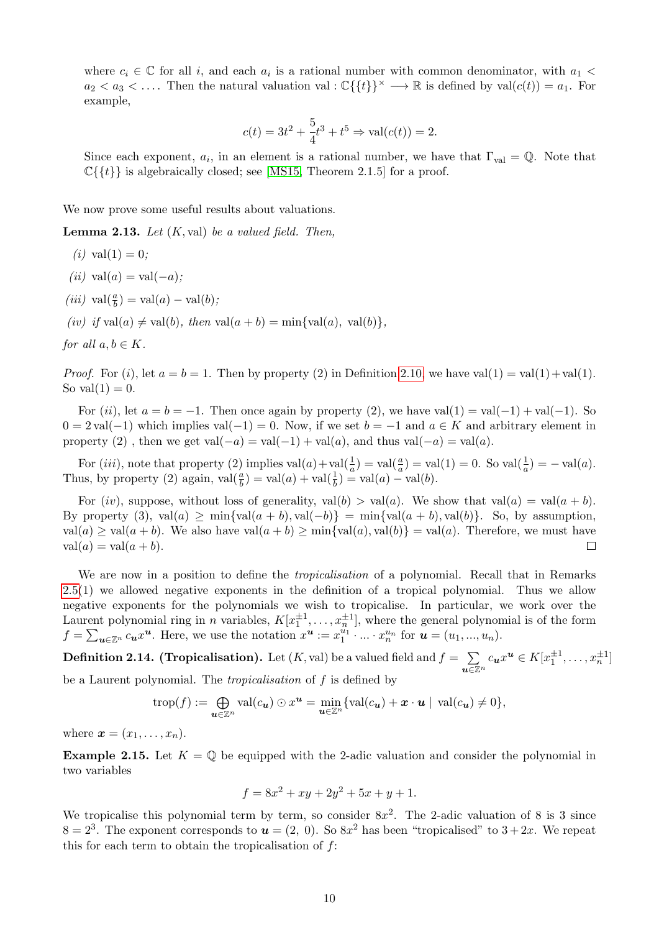where  $c_i \in \mathbb{C}$  for all *i*, and each  $a_i$  is a rational number with common denominator, with  $a_1$  $a_2 < a_3 < \ldots$  Then the natural valuation val :  $\mathbb{C}\{\{t\}\}\times \longrightarrow \mathbb{R}$  is defined by val $(c(t)) = a_1$ . For example,

$$
c(t) = 3t^2 + \frac{5}{4}t^3 + t^5 \Rightarrow \text{val}(c(t)) = 2.
$$

Since each exponent,  $a_i$ , in an element is a rational number, we have that  $\Gamma_{\text{val}} = \mathbb{Q}$ . Note that  $\mathbb{C}\{\{t\}\}\$ is algebraically closed; see **MS15**, Theorem 2.1.5 for a proof.

We now prove some useful results about valuations.

Lemma 2.13. *Let* (*K,* val) *be a valued field. Then,*

- $(i)$  val $(1) = 0$ ;
- $(iii)$  val $(a)$  = val $(-a)$ ;
- $(iii)$  val $(\frac{a}{b})$  = val $(a)$  val $(b)$ *;*

 $(iv)$  *if* val(*a*)  $\neq$  val(*b*)*, then* val(*a* + *b*) = min{val(*a*)*,* val(*b*)}

*for all*  $a, b \in K$ *.* 

*Proof.* For (*i*), let  $a = b = 1$ . Then by property (2) in Definition 2.10, we have val(1) = val(1)+ val(1). So val $(1) = 0$ .

For (*ii*), let  $a = b = -1$ . Then once again by property (2), we have val(1) = val(-1) + val(-1). So  $0 = 2 \text{ val}(-1)$  which implies val $(-1) = 0$ . Now, if we set  $b = -1$  and  $a \in K$  and arbitrary element in property (2), then we get val $(-a) = \text{val}(-1) + \text{val}(a)$ , and thus val $(-a) = \text{val}(a)$ .

For (*iii*), note that property (2) implies  $val(a) + val(\frac{1}{a}) = val(\frac{a}{a}) = val(1) = 0$ . So  $val(\frac{1}{a}) = -val(a)$ . Thus, by property (2) again,  $\text{val}(\frac{a}{b}) = \text{val}(a) + \text{val}(\frac{1}{b}) = \text{val}(a) - \text{val}(b)$ .

For  $(iv)$ , suppose, without loss of generality,  $val(b) > val(a)$ . We show that  $val(a) = val(a + b)$ . By property (3), val(*a*)  $\geq \min\{\text{val}(a+b), \text{val}(-b)\} = \min\{\text{val}(a+b), \text{val}(b)\}$ . So, by assumption,  $val(a) \ge val(a + b)$ . We also have  $val(a + b) \ge min\{val(a), val(b)\} = val(a)$ . Therefore, we must have  $val(a) = val(a + b)$ .  $val(a) = val(a + b).$ 

We are now in a position to define the *tropicalisation* of a polynomial. Recall that in Remarks  $2.5(1)$  we allowed negative exponents in the definition of a tropical polynomial. Thus we allow negative exponents for the polynomials we wish to tropicalise. In particular, we work over the Laurent polynomial ring in *n* variables,  $K[x_1^{\pm 1}, \ldots, x_n^{\pm 1}]$ , where the general polynomial is of the form  $f = \sum_{\mathbf{u} \in \mathbb{Z}^n} c_{\mathbf{u}} x^{\mathbf{u}}$ . Here, we use the notation  $x^{\mathbf{u}} := x_1^{u_1} \cdot ... \cdot x_n^{u_n}$  for  $\mathbf{u} = (u_1, ..., u_n)$ .

**Definition 2.14. (Tropicalisation).** Let  $(K, val)$  be a valued field and  $f = \sum$  $u \in \mathbb{Z}^n$  $c_u x^u \in K[x_1^{\pm 1}, \ldots, x_n^{\pm 1}]$ be a Laurent polynomial. The *tropicalisation* of *f* is defined by

$$
\operatorname{trop}(f) := \bigoplus_{\bm{u} \in \mathbb{Z}^n} \operatorname{val}(c_{\bm{u}}) \odot x^{\bm{u}} = \min_{\bm{u} \in \mathbb{Z}^n} \{\operatorname{val}(c_{\bm{u}}) + \bm{x} \cdot \bm{u} \mid \operatorname{val}(c_{\bm{u}}) \neq 0\},
$$

where  $\mathbf{x} = (x_1, \ldots, x_n)$ .

**Example 2.15.** Let  $K = \mathbb{Q}$  be equipped with the 2-adic valuation and consider the polynomial in two variables

$$
f = 8x^2 + xy + 2y^2 + 5x + y + 1.
$$

We tropicalise this polynomial term by term, so consider  $8x^2$ . The 2-adic valuation of 8 is 3 since  $8=2^3$ . The exponent corresponds to  $u=(2, 0)$ . So  $8x^2$  has been "tropicalised" to  $3+2x$ . We repeat this for each term to obtain the tropicalisation of *f*: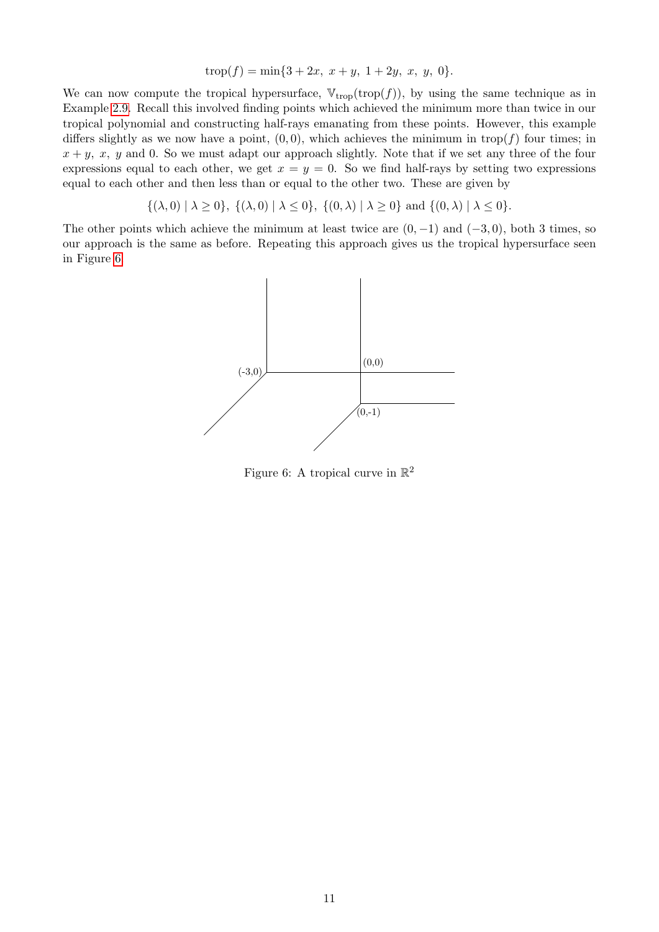$$
trop(f) = \min\{3 + 2x, \ x + y, \ 1 + 2y, \ x, \ y, \ 0\}.
$$

We can now compute the tropical hypersurface,  $\mathbb{V}_{\text{trop}}(\text{trop}(f))$ , by using the same technique as in Example 2.9. Recall this involved finding points which achieved the minimum more than twice in our tropical polynomial and constructing half-rays emanating from these points. However, this example differs slightly as we now have a point,  $(0,0)$ , which achieves the minimum in trop( $f$ ) four times; in  $x + y$ , x, y and 0. So we must adapt our approach slightly. Note that if we set any three of the four expressions equal to each other, we get  $x = y = 0$ . So we find half-rays by setting two expressions equal to each other and then less than or equal to the other two. These are given by

 $\{(\lambda, 0) | \lambda \ge 0\}, \{(\lambda, 0) | \lambda \le 0\}, \{((0, \lambda) | \lambda \ge 0\} \text{ and } \{(0, \lambda) | \lambda \le 0\}.$ 

The other points which achieve the minimum at least twice are  $(0, -1)$  and  $(-3, 0)$ , both 3 times, so our approach is the same as before. Repeating this approach gives us the tropical hypersurface seen in Figure 6.



Figure 6: A tropical curve in  $\mathbb{R}^2$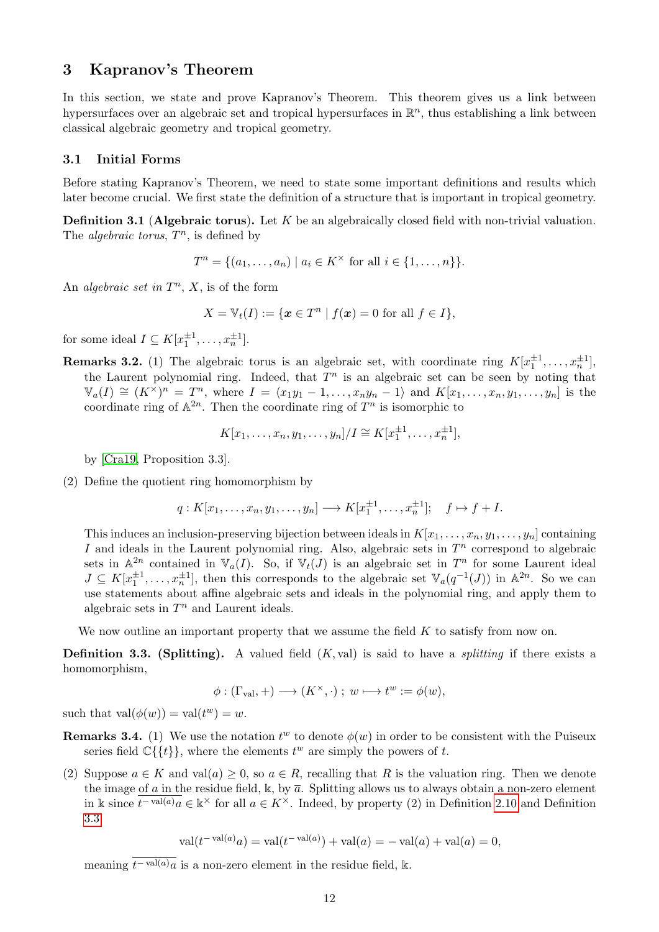## 3 Kapranov's Theorem

In this section, we state and prove Kapranov's Theorem. This theorem gives us a link between hypersurfaces over an algebraic set and tropical hypersurfaces in  $\mathbb{R}^n$ , thus establishing a link between classical algebraic geometry and tropical geometry.

#### 3.1 Initial Forms

Before stating Kapranov's Theorem, we need to state some important definitions and results which later become crucial. We first state the definition of a structure that is important in tropical geometry.

Definition 3.1 (Algebraic torus). Let *K* be an algebraically closed field with non-trivial valuation. The *algebraic torus*,  $T^n$ , is defined by

$$
T^n = \{(a_1, \ldots, a_n) \mid a_i \in K^{\times} \text{ for all } i \in \{1, \ldots, n\}\}.
$$

An *algebraic set in*  $T^n$ ,  $X$ , is of the form

$$
X = \mathbb{V}_t(I) := \{ \mathbf{x} \in T^n \mid f(\mathbf{x}) = 0 \text{ for all } f \in I \},\
$$

for some ideal  $I \subseteq K[x_1^{\pm 1}, \ldots, x_n^{\pm 1}].$ 

**Remarks 3.2.** (1) The algebraic torus is an algebraic set, with coordinate ring  $K[x_1^{\pm 1}, \ldots, x_n^{\pm 1}]$ , the Laurent polynomial ring. Indeed, that  $T<sup>n</sup>$  is an algebraic set can be seen by noting that  $\mathbb{V}_a(I) \cong (K^{\times})^n = T^n$ , where  $I = \langle x_1y_1 - 1, \ldots, x_ny_n - 1 \rangle$  and  $K[x_1, \ldots, x_n, y_1, \ldots, y_n]$  is the coordinate ring of  $\mathbb{A}^{2n}$ . Then the coordinate ring of  $T^n$  is isomorphic to

$$
K[x_1, ..., x_n, y_1, ..., y_n]/I \cong K[x_1^{\pm 1}, ..., x_n^{\pm 1}],
$$

by [Cra19, Proposition 3.3].

(2) Define the quotient ring homomorphism by

$$
q: K[x_1,\ldots,x_n,y_1,\ldots,y_n] \longrightarrow K[x_1^{\pm 1},\ldots,x_n^{\pm 1}]; \quad f \mapsto f + I.
$$

This induces an inclusion-preserving bijection between ideals in  $K[x_1, \ldots, x_n, y_1, \ldots, y_n]$  containing *I* and ideals in the Laurent polynomial ring. Also, algebraic sets in  $T<sup>n</sup>$  correspond to algebraic sets in  $\mathbb{A}^{2n}$  contained in  $\mathbb{V}_a(I)$ . So, if  $\mathbb{V}_t(J)$  is an algebraic set in  $T^n$  for some Laurent ideal  $J \subseteq K[x_1^{\pm 1}, \ldots, x_n^{\pm 1}]$ , then this corresponds to the algebraic set  $\mathbb{V}_a(q^{-1}(J))$  in  $\mathbb{A}^{2n}$ . So we can use statements about affine algebraic sets and ideals in the polynomial ring, and apply them to algebraic sets in  $T^n$  and Laurent ideals.

We now outline an important property that we assume the field *K* to satisfy from now on.

Definition 3.3. (Splitting). A valued field (*K,* val) is said to have a *splitting* if there exists a homomorphism,

$$
\phi: (\Gamma_{\text{val}}, +) \longrightarrow (K^\times, \cdot)\;;\; w \longmapsto t^w := \phi(w),
$$

such that  $val(\phi(w)) = val(t^w) = w$ .

- **Remarks 3.4.** (1) We use the notation  $t^w$  to denote  $\phi(w)$  in order to be consistent with the Puiseux series field  $\mathbb{C}\{\{t\}\}\,$ , where the elements  $t^w$  are simply the powers of  $t$ .
- (2) Suppose  $a \in K$  and val( $a \in R$ ), so  $a \in R$ , recalling that R is the valuation ring. Then we denote the image of *a* in the residue field, k, by  $\bar{a}$ . Splitting allows us to always obtain a non-zero element in k since  $\overline{t^{-\text{val}(a)}a} \in \mathbb{R}^{\times}$  for all  $a \in K^{\times}$ . Indeed, by property (2) in Definition 2.10 and Definition 3.3,

$$
val(t^{-\text{val}(a)}a) = val(t^{-\text{val}(a)}) + val(a) = -val(a) + val(a) = 0,
$$

meaning  $\overline{t^{-\text{val}(a)}\,a}$  is a non-zero element in the residue field, k.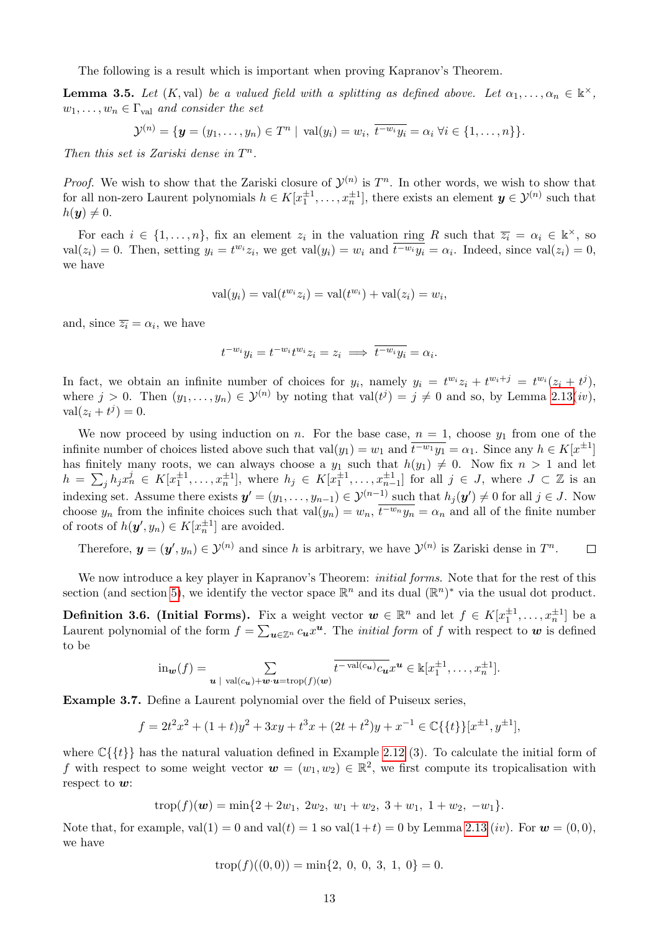The following is a result which is important when proving Kapranov's Theorem.

**Lemma 3.5.** Let  $(K, val)$  be a valued field with a splitting as defined above. Let  $\alpha_1, \ldots, \alpha_n \in \mathbb{k}^\times$ ,  $w_1, \ldots, w_n \in \Gamma_{val}$  *and consider the set* 

 $\mathcal{Y}^{(n)} = \{ \mathbf{y} = (y_1, \dots, y_n) \in T^n \mid \text{val}(y_i) = w_i, \ \overline{t^{-w_i} y_i} = \alpha_i \ \forall i \in \{1, \dots, n\} \}.$ 

*Then this set is Zariski dense in*  $T^n$ .

*Proof.* We wish to show that the Zariski closure of  $\mathcal{Y}^{(n)}$  is  $T^n$ . In other words, we wish to show that for all non-zero Laurent polynomials  $h \in K[x_1^{\pm 1}, \ldots, x_n^{\pm 1}]$ , there exists an element  $y \in \mathcal{Y}^{(n)}$  such that  $h(\mathbf{y}) \neq 0.$ 

For each  $i \in \{1, \ldots, n\}$ , fix an element  $z_i$  in the valuation ring R such that  $\overline{z_i} = \alpha_i \in \mathbb{k}^\times$ , so  $val(z_i) = 0$ . Then, setting  $y_i = t^{w_i} z_i$ , we get  $val(y_i) = w_i$  and  $\overline{t^{-w_i} y_i} = \alpha_i$ . Indeed, since  $val(z_i) = 0$ , we have

$$
\text{val}(y_i) = \text{val}(t^{w_i} z_i) = \text{val}(t^{w_i}) + \text{val}(z_i) = w_i,
$$

and, since  $\overline{z_i} = \alpha_i$ , we have

$$
t^{-w_i}y_i = t^{-w_i}t^{w_i}z_i = z_i \implies \overline{t^{-w_i}y_i} = \alpha_i.
$$

In fact, we obtain an infinite number of choices for  $y_i$ , namely  $y_i = t^{w_i}z_i + t^{w_i+j} = t^{w_i}(z_i + t^j)$ , where  $j > 0$ . Then  $(y_1, \ldots, y_n) \in \mathcal{Y}^{(n)}$  by noting that  $val(t^j) = j \neq 0$  and so, by Lemma  $2.13(iv)$ ,  $val(z_i + t^j) = 0.$ 

We now proceed by using induction on *n*. For the base case,  $n = 1$ , choose  $y_1$  from one of the infinite number of choices listed above such that  $val(y_1) = w_1$  and  $\overline{t^{-w_1}y_1} = \alpha_1$ . Since any  $h \in K[x^{\pm 1}]$ has finitely many roots, we can always choose a  $y_1$  such that  $h(y_1) \neq 0$ . Now fix  $n > 1$  and let  $h = \sum_j h_j x_n^j \in K[x_1^{\pm 1}, \ldots, x_n^{\pm 1}],$  where  $h_j \in K[x_1^{\pm 1}, \ldots, x_{n-1}^{\pm 1}]$  for all  $j \in J$ , where  $J \subset \mathbb{Z}$  is an indexing set. Assume there exists  $y' = (y_1, \ldots, y_{n-1}) \in \mathcal{Y}^{(n-1)}$  such that  $h_j(y') \neq 0$  for all  $j \in J$ . Now choose  $y_n$  from the infinite choices such that  $val(y_n) = w_n$ ,  $\overline{t^{-w_n}y_n} = \alpha_n$  and all of the finite number of roots of  $h(\mathbf{y}', y_n) \in K[x_n^{\pm 1}]$  are avoided.

Therefore,  $y = (y', y_n) \in \mathcal{Y}^{(n)}$  and since *h* is arbitrary, we have  $\mathcal{Y}^{(n)}$  is Zariski dense in  $T^n$ .  $\Box$ 

We now introduce a key player in Kapranov's Theorem: *initial forms*. Note that for the rest of this section (and section  $\overline{5}$ ), we identify the vector space  $\mathbb{R}^n$  and its dual  $(\mathbb{R}^n)^*$  via the usual dot product.

**Definition 3.6. (Initial Forms).** Fix a weight vector  $w \in \mathbb{R}^n$  and let  $f \in K[x_1^{\pm 1}, \ldots, x_n^{\pm 1}]$  be a Laurent polynomial of the form  $f = \sum_{u \in \mathbb{Z}^n} c_u x^u$ . The *initial form* of f with respect to w is defined to be

$$
\mathrm{in}_{\mathbf{w}}(f) = \sum_{\mathbf{u} \; | \; \mathrm{val}(c_{\mathbf{u}}) + \mathbf{w} \cdot \mathbf{u} = \mathrm{trop}(f)(\mathbf{w})} \overline{t^{-\mathrm{val}(c_{\mathbf{u}})} c_{\mathbf{u}}} x^{\mathbf{u}} \in \mathbb{k}[x_1^{\pm 1}, \dots, x_n^{\pm 1}].
$$

Example 3.7. Define a Laurent polynomial over the field of Puiseux series,

$$
f = 2t^2x^2 + (1+t)y^2 + 3xy + t^3x + (2t+t^2)y + x^{-1} \in \mathbb{C}\{\{t\}\}[x^{\pm 1}, y^{\pm 1}],
$$

where  $\mathbb{C}\{\{t\}\}\$  has the natural valuation defined in Example 2.12 (3). To calculate the initial form of *f* with respect to some weight vector  $w = (w_1, w_2) \in \mathbb{R}^2$ , we first compute its tropicalisation with respect to *w*:

$$
trop(f)(w) = min{2 + 2w_1, 2w_2, w_1 + w_2, 3 + w_1, 1 + w_2, -w_1}.
$$

Note that, for example,  $val(1) = 0$  and  $val(t) = 1$  so  $val(1+t) = 0$  by Lemma  $\boxed{2.13}(iv)$ . For  $w = (0,0)$ , we have

$$
trop(f)((0,0)) = min{2, 0, 0, 3, 1, 0} = 0.
$$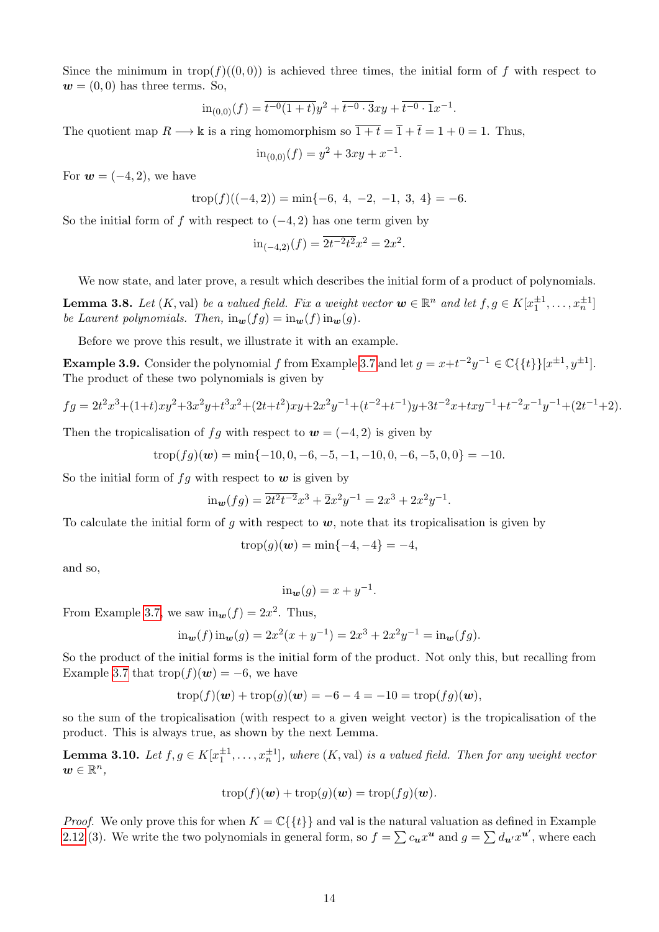Since the minimum in trop( $f$ )((0,0)) is achieved three times, the initial form of  $f$  with respect to  $w = (0,0)$  has three terms. So,

$$
\mathrm{in}_{(0,0)}(f) = \overline{t^{-0}(1+t)}y^2 + \overline{t^{-0} \cdot 3}xy + \overline{t^{-0} \cdot 1}x^{-1}.
$$

The quotient map  $R \longrightarrow \mathbb{k}$  is a ring homomorphism so  $\overline{1+t} = \overline{1} + \overline{t} = 1 + 0 = 1$ . Thus,

$$
\text{in}_{(0,0)}(f) = y^2 + 3xy + x^{-1}.
$$

For  $w = (-4, 2)$ , we have

$$
trop(f)((-4,2)) = min{-6, 4, -2, -1, 3, 4} = -6.
$$

So the initial form of f with respect to  $(-4, 2)$  has one term given by

$$
\mathrm{in}_{(-4,2)}(f) = \overline{2t^{-2}t^2}x^2 = 2x^2.
$$

We now state, and later prove, a result which describes the initial form of a product of polynomials.

**Lemma 3.8.** Let  $(K$ , val) be a valued field. Fix a weight vector  $w \in \mathbb{R}^n$  and let  $f, g \in K[x_1^{\pm 1}, \ldots, x_n^{\pm 1}]$ *be Laurent polynomials. Then,*  $\text{in}_{w}(fg) = \text{in}_{w}(f)\text{in}_{w}(g)$ .

Before we prove this result, we illustrate it with an example.

Example 3.9. Consider the polynomial *f* from Example  $3.7$  and let  $g = x + t^{-2}y^{-1} \in \mathbb{C}\{\{t\}\}[x^{\pm 1}, y^{\pm 1}]$ . The product of these two polynomials is given by

$$
fg = 2t^2x^3 + (1+t)xy^2 + 3x^2y + t^3x^2 + (2t+t^2)xy + 2x^2y^{-1} + (t^{-2}+t^{-1})y + 3t^{-2}x + txy^{-1} + t^{-2}x^{-1}y^{-1} + (2t^{-1}+2).
$$

Then the tropicalisation of *fg* with respect to  $w = (-4, 2)$  is given by

$$
trop(fg)(\boldsymbol{w}) = \min\{-10, 0, -6, -5, -1, -10, 0, -6, -5, 0, 0\} = -10.
$$

So the initial form of  $fg$  with respect to  $w$  is given by

$$
\text{in}_{w}(fg) = \overline{2t^2t^{-2}}x^3 + \overline{2}x^2y^{-1} = 2x^3 + 2x^2y^{-1}.
$$

To calculate the initial form of  $g$  with respect to  $w$ , note that its tropicalisation is given by

$$
trop(g)(w) = min{-4, -4} = -4,
$$

and so,

$$
\operatorname{in}_{\mathbf{w}}(g) = x + y^{-1}.
$$

From Example 3.7, we saw  $\text{in}_{w}(f)=2x^{2}$ . Thus,

$$
\operatorname{in}_{w}(f)\operatorname{in}_{w}(g) = 2x^{2}(x+y^{-1}) = 2x^{3} + 2x^{2}y^{-1} = \operatorname{in}_{w}(fg).
$$

So the product of the initial forms is the initial form of the product. Not only this, but recalling from Example  $\overline{3.7}$  that trop( $f$ )( $w$ ) = -6, we have

$$
trop(f)(w) + trop(g)(w) = -6 - 4 = -10 = trop(fg)(w),
$$

so the sum of the tropicalisation (with respect to a given weight vector) is the tropicalisation of the product. This is always true, as shown by the next Lemma.

**Lemma 3.10.** Let  $f, g \in K[x_1^{\pm 1}, \ldots, x_n^{\pm 1}]$ , where  $(K, val)$  is a valued field. Then for any weight vector  $w \in \mathbb{R}^n$ ,

$$
trop(f)(\boldsymbol{w}) + trop(g)(\boldsymbol{w}) = trop(fg)(\boldsymbol{w}).
$$

*Proof.* We only prove this for when  $K = \mathbb{C}\{\{t\}\}\$ and val is the natural valuation as defined in Example 2.12 (3). We write the two polynomials in general form, so  $f = \sum c_u x^u$  and  $g = \sum d_u x^{u'}$ , where each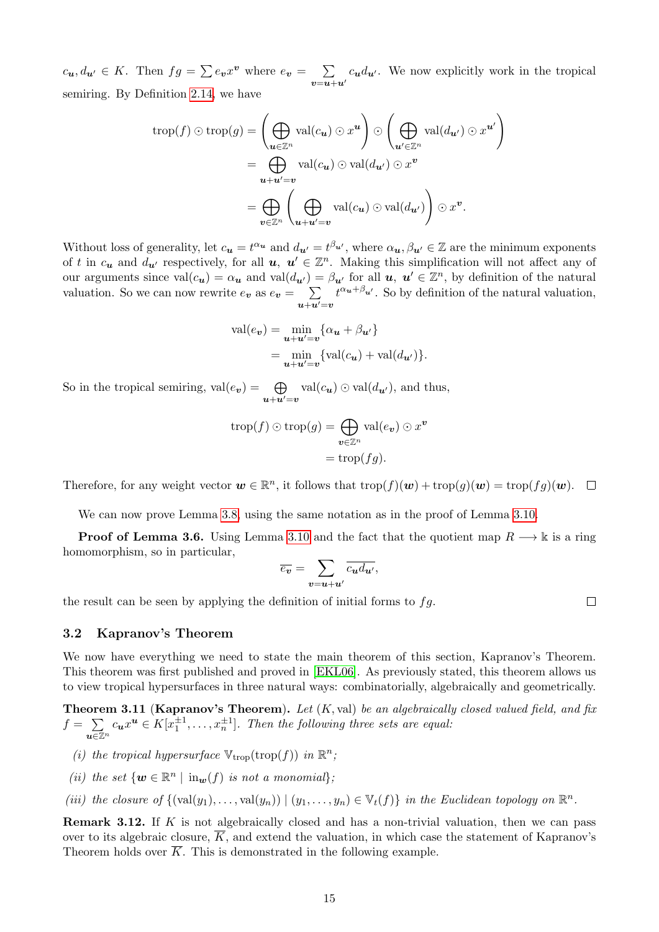$c_{\mathbf{u}}$ *, d*<sub>**u**</sub><sup>*l*</sup>  $\in$  *K*. Then  $fg = \sum_{\mathbf{v}} e_{\mathbf{v}} x^{\mathbf{v}}$  where  $e_{\mathbf{v}} = \sum_{\mathbf{v} = \mathbf{u} + \mathbf{u}'}$  $c_{\bf{u}}d_{\bf{u'}}$ . We now explicitly work in the tropical semiring. By Definition  $\overline{2.14}$ , we have

$$
\operatorname{trop}(f) \odot \operatorname{trop}(g) = \left(\bigoplus_{\mathbf{u} \in \mathbb{Z}^n} \operatorname{val}(c_{\mathbf{u}}) \odot x^{\mathbf{u}}\right) \odot \left(\bigoplus_{\mathbf{u}' \in \mathbb{Z}^n} \operatorname{val}(d_{\mathbf{u}'}) \odot x^{\mathbf{u}'}\right)
$$

$$
= \bigoplus_{\mathbf{u} + \mathbf{u}' = \mathbf{v}} \operatorname{val}(c_{\mathbf{u}}) \odot \operatorname{val}(d_{\mathbf{u}'}) \odot x^{\mathbf{v}}
$$

$$
= \bigoplus_{\mathbf{v} \in \mathbb{Z}^n} \left(\bigoplus_{\mathbf{u} + \mathbf{u}' = \mathbf{v}} \operatorname{val}(c_{\mathbf{u}}) \odot \operatorname{val}(d_{\mathbf{u}'})\right) \odot x^{\mathbf{v}}.
$$

Without loss of generality, let  $c_{\bf{u}} = t^{\alpha_{\bf{u}}}$  and  $d_{\bf{u'}} = t^{\beta_{\bf{u'}}}$ , where  $\alpha_{\bf{u}}, \beta_{\bf{u'}} \in \mathbb{Z}$  are the minimum exponents of t in  $c_u$  and  $d_{u'}$  respectively, for all  $u, u' \in \mathbb{Z}^n$ . Making this simplification will not affect any of our arguments since  $val(c_{u}) = \alpha_{u}$  and  $val(d_{u'}) = \beta_{u'}$  for all  $u, u' \in \mathbb{Z}^{n}$ , by definition of the natural valuation. So we can now rewrite  $e_v$  as  $e_v = \sum$  $u+u'$ = $v$  $t^{\alpha_u + \beta_{u'}}$ . So by definition of the natural valuation,

$$
\text{val}(e_v) = \min_{\mathbf{u}+\mathbf{u}'=\mathbf{v}} \{ \alpha_{\mathbf{u}} + \beta_{\mathbf{u}'} \}
$$
  
= 
$$
\min_{\mathbf{u}+\mathbf{u}'=\mathbf{v}} \{ \text{val}(c_{\mathbf{u}}) + \text{val}(d_{\mathbf{u}'}) \}.
$$

So in the tropical semiring,  $val(e_v) = \bigoplus$  $\bigoplus_{\mathbf{u}+\mathbf{u}'=\mathbf{v}}$  val $(c_{\mathbf{u}}) \odot$  val $(d_{\mathbf{u}'})$ , and thus,

$$
\operatorname{trop}(f) \odot \operatorname{trop}(g) = \bigoplus_{\mathbf{v} \in \mathbb{Z}^n} \operatorname{val}(e_{\mathbf{v}}) \odot x^{\mathbf{v}}
$$

$$
= \operatorname{trop}(fg).
$$

Therefore, for any weight vector  $\mathbf{w} \in \mathbb{R}^n$ , it follows that  $\text{trop}(f)(\mathbf{w}) + \text{trop}(g)(\mathbf{w}) = \text{trop}(fg)(\mathbf{w})$ .  $\Box$ 

We can now prove Lemma  $3.8$ , using the same notation as in the proof of Lemma  $3.10$ .

**Proof of Lemma 3.6.** Using Lemma  $\overline{3.10}$  and the fact that the quotient map  $R \rightarrow \mathbb{k}$  is a ring homomorphism, so in particular,

$$
\overline{e_{\boldsymbol{v}}} = \sum_{\boldsymbol{v} = \boldsymbol{u} + \boldsymbol{u}'} \overline{c_{\boldsymbol{u}} d_{\boldsymbol{u}'}}
$$

the result can be seen by applying the definition of initial forms to *fg*.

 $\Box$ 

#### 3.2 Kapranov's Theorem

We now have everything we need to state the main theorem of this section, Kapranov's Theorem. This theorem was first published and proved in **EKL06**. As previously stated, this theorem allows us to view tropical hypersurfaces in three natural ways: combinatorially, algebraically and geometrically.

Theorem 3.11 (Kapranov's Theorem). *Let* (*K,* val) *be an algebraically closed valued field, and fix*  $f = \sum$  $u \in \mathbb{Z}^n$  $c_u x^u \in K[x_1^{\pm 1}, \ldots, x_n^{\pm 1}]$ *. Then the following three sets are equal:* 

- *(i) the tropical hypersurface*  $V_{\text{trop}}(\text{trop}(f))$  *in*  $\mathbb{R}^n$ *;*
- *(ii) the set*  $\{w \in \mathbb{R}^n \mid \text{in}_w(f) \text{ is not a monomial}\}$ ;
- *(iii) the closure of*  $\{(\text{val}(y_1), \ldots, \text{val}(y_n)) | (y_1, \ldots, y_n) \in V_t(f) \}$  *in the Euclidean topology on*  $\mathbb{R}^n$ *.*

Remark 3.12. If *K* is not algebraically closed and has a non-trivial valuation, then we can pass over to its algebraic closure,  $\overline{K}$ , and extend the valuation, in which case the statement of Kapranov's Theorem holds over  $\overline{K}$ . This is demonstrated in the following example.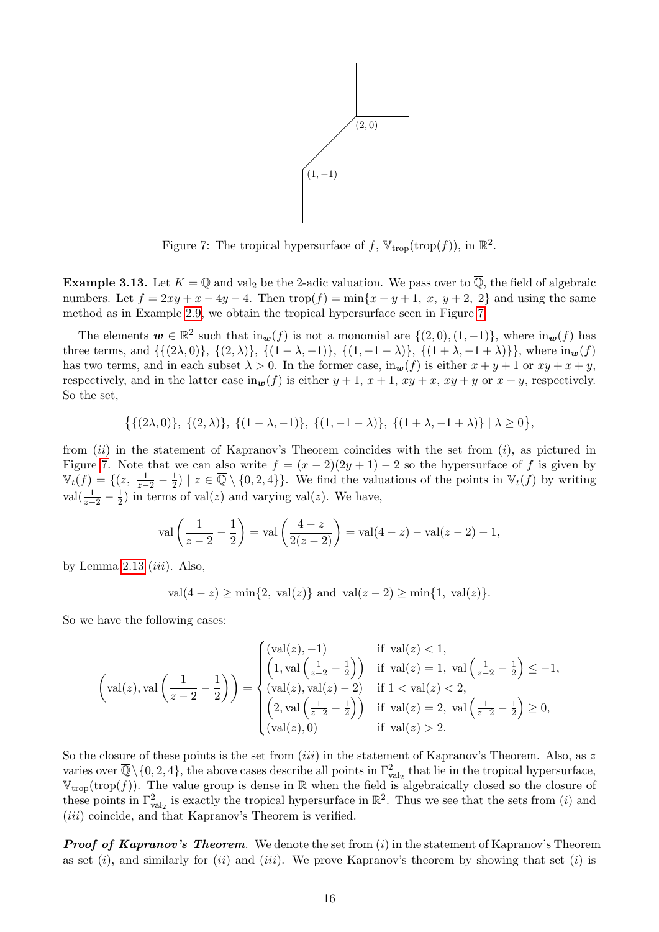

Figure 7: The tropical hypersurface of  $f$ ,  $V_{\text{trop}}(\text{trop}(f))$ , in  $\mathbb{R}^2$ .

**Example 3.13.** Let  $K = \mathbb{Q}$  and val<sub>2</sub> be the 2-adic valuation. We pass over to  $\mathbb{Q}$ , the field of algebraic numbers. Let  $f = 2xy + x - 4y - 4$ . Then  $\text{trop}(f) = \min\{x + y + 1, x, y + 2, 2\}$  and using the same method as in Example  $\boxed{2.9}$ , we obtain the tropical hypersurface seen in Figure  $\boxed{7}$ .

The elements  $w \in \mathbb{R}^2$  such that  $\text{in}_w(f)$  is not a monomial are  $\{(2,0),(1,-1)\}$ , where  $\text{in}_w(f)$  has three terms, and  $\{\{(2\lambda,0)\},\{(2,\lambda)\},\{(1-\lambda,-1)\},\{(1,-1-\lambda)\},\{(1+\lambda,-1+\lambda)\}\}\,$ , where  $\text{in}_{\mathbf{w}}(f)$ has two terms, and in each subset  $\lambda > 0$ . In the former case, in<sub>w</sub>(*f*) is either  $x + y + 1$  or  $xy + x + y$ , respectively, and in the latter case in $\mathbf{w}(f)$  is either  $y+1$ ,  $x+1$ ,  $xy+x$ ,  $xy+y$  or  $x+y$ , respectively. So the set,

$$
\big\{\{(2\lambda,0)\},\ \{(2,\lambda)\},\ \{(1-\lambda,-1)\},\ \{(1,-1-\lambda)\},\ \{(1+\lambda,-1+\lambda)\}\mid \lambda\geq 0\big\},
$$

from (*ii*) in the statement of Kapranov's Theorem coincides with the set from (*i*), as pictured in Figure  $\boxed{7}$  Note that we can also write  $f = (x - 2)(2y + 1) - 2$  so the hypersurface of f is given by  $\mathbb{V}_t(f) = \{(z, \frac{1}{z-2} - \frac{1}{2}) \mid z \in \overline{\mathbb{Q}} \setminus \{0, 2, 4\}\}.$  We find the valuations of the points in  $\mathbb{V}_t(f)$  by writing  $val(\frac{1}{z-2} - \frac{1}{2})$  in terms of val(*z*) and varying val(*z*). We have,

$$
\operatorname{val}\left(\frac{1}{z-2} - \frac{1}{2}\right) = \operatorname{val}\left(\frac{4-z}{2(z-2)}\right) = \operatorname{val}(4-z) - \operatorname{val}(z-2) - 1,
$$

by Lemma  $2.13$  *(iii)*. Also,

$$
val(4 - z) \ge min{2, val(z)}
$$
 and  $val(z - 2) \ge min{1, val(z)}$ .

So we have the following cases:

$$
\left(\text{val}(z),\text{val}\left(\frac{1}{z-2}-\frac{1}{2}\right)\right) = \begin{cases} (\text{val}(z),-1) & \text{if } \text{val}(z) < 1, \\ \left(1,\text{val}\left(\frac{1}{z-2}-\frac{1}{2}\right)\right) & \text{if } \text{val}(z) = 1, \text{ val}\left(\frac{1}{z-2}-\frac{1}{2}\right) \le -1, \\ (\text{val}(z),\text{val}(z)-2) & \text{if } 1 < \text{val}(z) < 2, \\ \left(2,\text{val}\left(\frac{1}{z-2}-\frac{1}{2}\right)\right) & \text{if } \text{val}(z) = 2, \text{ val}\left(\frac{1}{z-2}-\frac{1}{2}\right) \ge 0, \\ (\text{val}(z),0) & \text{if } \text{val}(z) > 2. \end{cases}
$$

So the closure of these points is the set from (*iii*) in the statement of Kapranov's Theorem. Also, as *z* varies over  $\overline{\mathbb{Q}}\setminus\{0,2,4\}$ , the above cases describe all points in  $\Gamma^2_{\text{val}_2}$  that lie in the tropical hypersurface,  $\mathbb{V}_{\text{trop}}(\text{trop}(f))$ . The value group is dense in R when the field is algebraically closed so the closure of these points in  $\Gamma^2_{\text{val}_2}$  is exactly the tropical hypersurface in  $\mathbb{R}^2$ . Thus we see that the sets from (*i*) and (*iii*) coincide, and that Kapranov's Theorem is verified.

*Proof of Kapranov's Theorem.* We denote the set from (*i*) in the statement of Kapranov's Theorem as set (*i*), and similarly for (*ii*) and (*iii*). We prove Kapranov's theorem by showing that set (*i*) is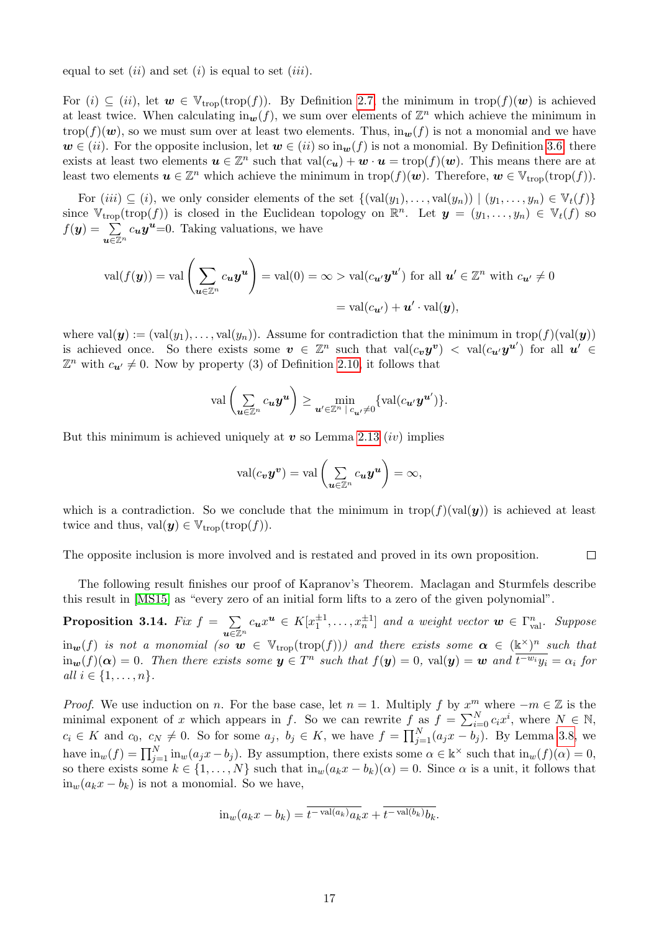equal to set (*ii*) and set (*i*) is equal to set (*iii*).

For  $(i) \subseteq (ii)$ , let  $w \in \mathbb{V}_{\text{trop}}(\text{trop}(f))$ . By Definition 2.7, the minimum in  $\text{trop}(f)(w)$  is achieved at least twice. When calculating in $w(f)$ , we sum over elements of  $\mathbb{Z}^n$  which achieve the minimum in trop( $f$ )( $w$ ), so we must sum over at least two elements. Thus,  $\text{in}_{w}(f)$  is not a monomial and we have  $w \in (ii)$ . For the opposite inclusion, let  $w \in (ii)$  so  $\text{in}_w(f)$  is not a monomial. By Definition 3.6, there exists at least two elements  $u \in \mathbb{Z}^n$  such that  $val(c_u) + w \cdot u = \text{trop}(f)(w)$ . This means there are at least two elements  $u \in \mathbb{Z}^n$  which achieve the minimum in trop( $f$ )( $w$ ). Therefore,  $w \in \mathbb{V}_{\text{trop}}(\text{trop}(f))$ .

For  $(iii) \subseteq (i)$ , we only consider elements of the set  $\{(val(y_1), \ldots, val(y_n)) \mid (y_1, \ldots, y_n) \in V_t(f)\}$ since  $\mathbb{V}_{\text{trop}}(\text{trop}(f))$  is closed in the Euclidean topology on  $\mathbb{R}^n$ . Let  $\mathbf{y} = (y_1, \ldots, y_n) \in \mathbb{V}_t(f)$  so  $f(\mathbf{y}) = \sum$  $u \in \mathbb{Z}^n$  $c_{\boldsymbol{u}}\boldsymbol{y}^{\boldsymbol{u}}=0$ . Taking valuations, we have

$$
\operatorname{val}(f(\mathbf{y})) = \operatorname{val}\left(\sum_{\mathbf{u}\in\mathbb{Z}^n} c_{\mathbf{u}} \mathbf{y}^{\mathbf{u}}\right) = \operatorname{val}(0) = \infty > \operatorname{val}(c_{\mathbf{u}'} \mathbf{y}^{\mathbf{u}'}) \text{ for all } \mathbf{u}' \in \mathbb{Z}^n \text{ with } c_{\mathbf{u}'} \neq 0
$$

$$
= \operatorname{val}(c_{\mathbf{u}'}) + \mathbf{u}' \cdot \operatorname{val}(\mathbf{y}),
$$

where  $val(\mathbf{y}) := (val(y_1), \ldots, val(y_n))$ . Assume for contradiction that the minimum in trop(f)(val( $\mathbf{y}$ )) is achieved once. So there exists some  $v \in \mathbb{Z}^n$  such that  $val(c_v y^v) < val(c_{u'} y^{u'})$  for all  $u' \in$  $\mathbb{Z}^n$  with  $c_{\mathbf{u}'} \neq 0$ . Now by property (3) of Definition 2.10, it follows that

$$
\mathrm{val}\left(\sum_{\bm{u}\in\mathbb{Z}^n}c_{\bm{u}}\bm{y}^{\bm{u}}\right)\geq\min_{\bm{u}'\in\mathbb{Z}^n\,|\,c_{\bm{u}'}\neq 0}\{\mathrm{val}(c_{\bm{u}'}\bm{y}^{\bm{u}'})\}.
$$

But this minimum is achieved uniquely at  $v$  so Lemma  $2.13$  (*iv*) implies

$$
\operatorname{val}(c_{\boldsymbol{v}} \boldsymbol{y}^{\boldsymbol{v}}) = \operatorname{val}\left(\sum_{\boldsymbol{u}\in\mathbb{Z}^n} c_{\boldsymbol{u}} \boldsymbol{y}^{\boldsymbol{u}}\right) = \infty,
$$

which is a contradiction. So we conclude that the minimum in trop( $f$ )(val( $y$ )) is achieved at least twice and thus,  $val(\mathbf{y}) \in \mathbb{V}_{\text{trop}}(\text{trop}(f)).$ 

 $\Box$ The opposite inclusion is more involved and is restated and proved in its own proposition.

The following result finishes our proof of Kapranov's Theorem. Maclagan and Sturmfels describe this result in [MS15] as "every zero of an initial form lifts to a zero of the given polynomial".

Proposition 3.14. *Fix*  $f = \sum$  $u \in \mathbb{Z}^n$  $c_u x^u \in K[x_1^{\pm 1}, \ldots, x_n^{\pm 1}]$  and a weight vector  $w \in \Gamma^n_{\text{val}}$ . Suppose  $\lim_{w \to \infty} f(x)$  *is not a monomial (so*  $w \in V_{\text{trop}}(\text{trop}(f)))$  *and there exists some*  $\alpha \in (\mathbb{R}^{\times})^n$  *such that*  $\lim_{w} (f)(\alpha) = 0$ . Then there exists some  $y \in T^n$  such that  $f(y) = 0$ ,  $\text{val}(y) = w$  and  $\overline{t^{-w_i}y_i} = \alpha_i$  for  $all \, i \in \{1, \ldots, n\}.$ 

*Proof.* We use induction on *n*. For the base case, let  $n = 1$ . Multiply f by  $x^m$  where  $-m \in \mathbb{Z}$  is the minimal exponent of *x* which appears in *f*. So we can rewrite  $f$  as  $f = \sum_{i=0}^{N} c_i x^i$ , where  $N \in \mathbb{N}$ ,  $c_i \in K$  and  $c_0, c_N \neq 0$ . So for some  $a_j, b_j \in K$ , we have  $f = \prod_{j=1}^N (a_j x - b_j)$ . By Lemma 3.8, we have  $\text{in}_w(f) = \prod_{j=1}^N \text{in}_w(a_j x - b_j)$ . By assumption, there exists some  $\alpha \in \mathbb{k}^\times$  such that  $\text{in}_w(f)(\alpha) = 0$ , so there exists some  $k \in \{1, \ldots, N\}$  such that  $\text{in}_w(a_k x - b_k)(\alpha) = 0$ . Since  $\alpha$  is a unit, it follows that  $in_w(a_kx - b_k)$  is not a monomial. So we have,

$$
\mathrm{in}_{w}(a_{k}x - b_{k}) = t^{-\mathrm{val}(a_{k})}a_{k}x + t^{-\mathrm{val}(b_{k})}b_{k}.
$$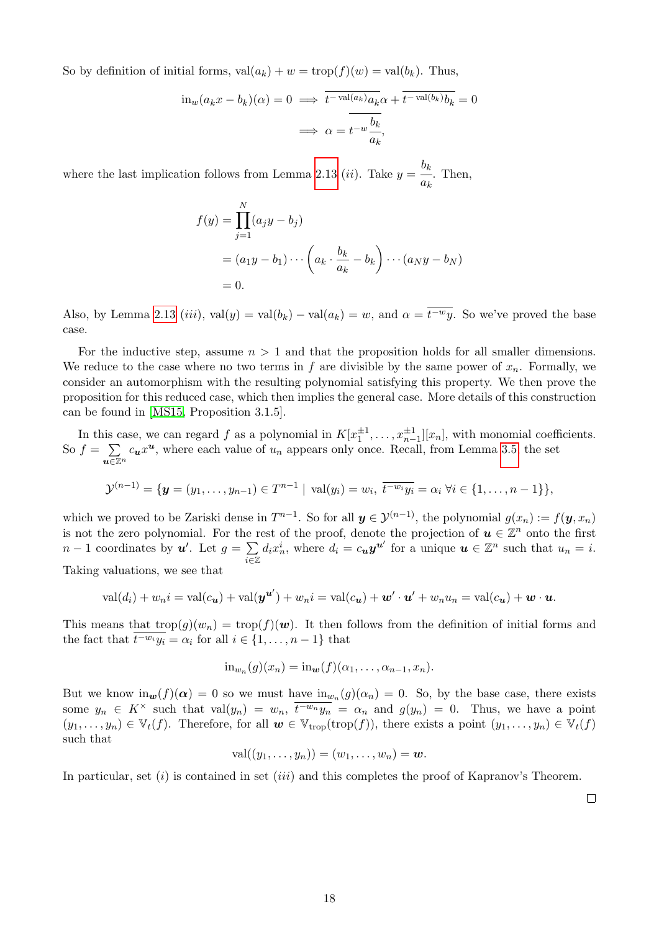So by definition of initial forms,  $val(a_k) + w = \text{trop}(f)(w) = val(b_k)$ . Thus,

$$
\operatorname{in}_{w}(a_{k}x - b_{k})(\alpha) = 0 \implies \overline{t^{-\operatorname{val}(a_{k})}a_{k}}\alpha + \overline{t^{-\operatorname{val}(b_{k})}b_{k}} = 0
$$

$$
\implies \alpha = \overline{t^{-w}\frac{b_{k}}{a_{k}}},
$$

where the last implication follows from Lemma  $2.13$  (*ii*). Take  $y = \frac{b_k}{b_k}$  $\frac{a}{a_k}$ . Then,

$$
f(y) = \prod_{j=1}^{N} (a_j y - b_j)
$$
  
=  $(a_1 y - b_1) \cdots (a_k \cdot \frac{b_k}{a_k} - b_k) \cdots (a_N y - b_N)$   
= 0.

Also, by Lemma  $\boxed{2.13}$  (*iii*), val(*y*) = val(*b<sub>k</sub>*) – val(*a<sub>k</sub>*) = *w*, and  $\alpha = \overline{t^{-w}y}$ . So we've proved the base case.

For the inductive step, assume  $n > 1$  and that the proposition holds for all smaller dimensions. We reduce to the case where no two terms in  $f$  are divisible by the same power of  $x_n$ . Formally, we consider an automorphism with the resulting polynomial satisfying this property. We then prove the proposition for this reduced case, which then implies the general case. More details of this construction can be found in [MS15, Proposition 3.1.5].

In this case, we can regard *f* as a polynomial in  $K[x_1^{\pm 1}, \ldots, x_{n-1}^{\pm 1}][x_n]$ , with monomial coefficients. So  $f = \sum$  $u \in \mathbb{Z}^n$  $c_u x^u$ , where each value of  $u_n$  appears only once. Recall, from Lemma  $\overline{3.5}$  the set

$$
\mathcal{Y}^{(n-1)} = \{ \mathbf{y} = (y_1, \dots, y_{n-1}) \in T^{n-1} \mid \text{val}(y_i) = w_i, \overline{t^{-w_i}y_i} = \alpha_i \ \forall i \in \{1, \dots, n-1\} \},
$$

which we proved to be Zariski dense in  $T^{n-1}$ . So for all  $y \in \mathcal{Y}^{(n-1)}$ , the polynomial  $g(x_n) := f(y, x_n)$ is not the zero polynomial. For the rest of the proof, denote the projection of  $u \in \mathbb{Z}^n$  onto the first  $n-1$  coordinates by  $u'$ . Let  $g = \sum_{n=0}^{\infty}$ *i*2Z  $d_i x_n^i$ , where  $d_i = c_{\boldsymbol{u}} \boldsymbol{y}^{\boldsymbol{u}'}$  for a unique  $\boldsymbol{u} \in \mathbb{Z}^n$  such that  $u_n = i$ .

Taking valuations, we see that

$$
\operatorname{val}(d_i) + w_n i = \operatorname{val}(c_{\mathbf{u}}) + \operatorname{val}(\mathbf{y}^{\mathbf{u}'}) + w_n i = \operatorname{val}(c_{\mathbf{u}}) + \mathbf{w}' \cdot \mathbf{u}' + w_n u_n = \operatorname{val}(c_{\mathbf{u}}) + \mathbf{w} \cdot \mathbf{u}.
$$

This means that  $\text{trop}(g)(w_n) = \text{trop}(f)(w)$ . It then follows from the definition of initial forms and the fact that  $\overline{t^{w_i}y_i} = \alpha_i$  for all  $i \in \{1, \ldots, n-1\}$  that

$$
\mathrm{in}_{w_n}(g)(x_n)=\mathrm{in}_{\mathbf{w}}(f)(\alpha_1,\ldots,\alpha_{n-1},x_n).
$$

But we know  $\text{in}_{w}(f)(\alpha) = 0$  so we must have  $\text{in}_{w_n}(g)(\alpha_n) = 0$ . So, by the base case, there exists some  $y_n \in K^\times$  such that val $(y_n) = w_n$ ,  $\overline{t^{-w_n}y_n} = \alpha_n$  and  $g(y_n) = 0$ . Thus, we have a point  $(y_1, \ldots, y_n) \in \mathbb{V}_t(f)$ . Therefore, for all  $w \in \mathbb{V}_{\text{trop}}(\text{trop}(f))$ , there exists a point  $(y_1, \ldots, y_n) \in \mathbb{V}_t(f)$ such that

$$
\mathrm{val}((y_1,\ldots,y_n))=(w_1,\ldots,w_n)=\boldsymbol{w}.
$$

In particular, set (*i*) is contained in set (*iii*) and this completes the proof of Kapranov's Theorem.

 $\Box$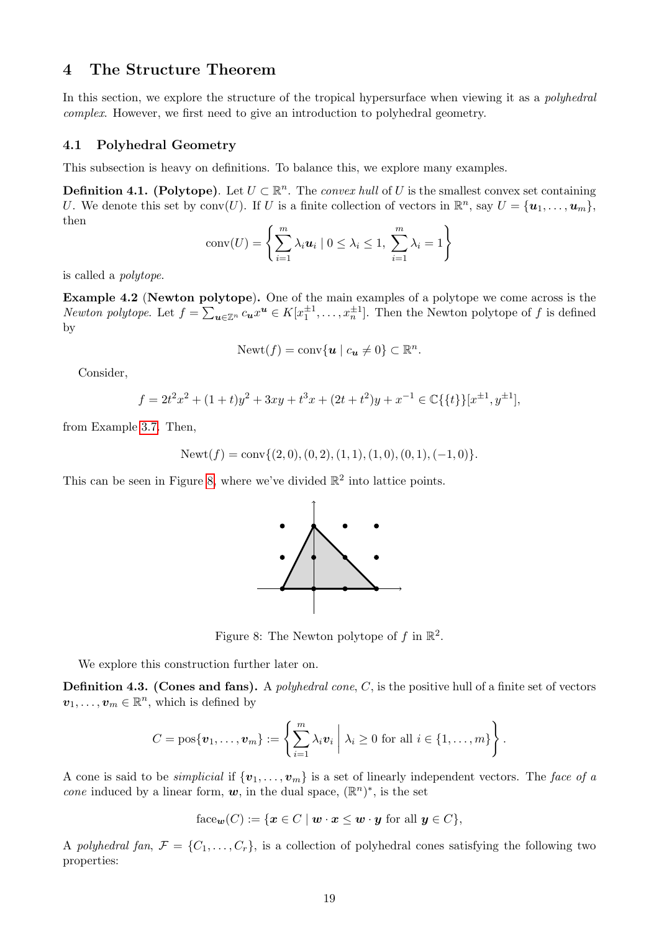### 4 The Structure Theorem

In this section, we explore the structure of the tropical hypersurface when viewing it as a *polyhedral complex*. However, we first need to give an introduction to polyhedral geometry.

#### 4.1 Polyhedral Geometry

This subsection is heavy on definitions. To balance this, we explore many examples.

**Definition 4.1. (Polytope).** Let  $U \subset \mathbb{R}^n$ . The *convex hull* of *U* is the smallest convex set containing *U*. We denote this set by conv(*U*). If *U* is a finite collection of vectors in  $\mathbb{R}^n$ , say  $U = {\bf{u}_1, \ldots, u_m}$ , then

$$
conv(U) = \left\{ \sum_{i=1}^{m} \lambda_i \mathbf{u}_i \mid 0 \leq \lambda_i \leq 1, \sum_{i=1}^{m} \lambda_i = 1 \right\}
$$

is called a *polytope*.

Example 4.2 (Newton polytope). One of the main examples of a polytope we come across is the *Newton polytope.* Let  $f = \sum_{u \in \mathbb{Z}^n} c_u x^u \in K[x_1^{\pm 1}, \ldots, x_n^{\pm 1}]$ . Then the Newton polytope of  $f$  is defined by

$$
Newt(f) = conv\{u \mid c_u \neq 0\} \subset \mathbb{R}^n.
$$

Consider,

$$
f = 2t^2x^2 + (1+t)y^2 + 3xy + t^3x + (2t+t^2)y + x^{-1} \in \mathbb{C}\{\{t\}\}[x^{\pm 1}, y^{\pm 1}],
$$

from Example 3.7. Then,

$$
Newt(f) = conv{(2,0), (0,2), (1,1), (1,0), (0,1), (-1,0)}.
$$

This can be seen in Figure  $\overline{8}$ , where we've divided  $\mathbb{R}^2$  into lattice points.



Figure 8: The Newton polytope of  $f$  in  $\mathbb{R}^2$ .

We explore this construction further later on.

Definition 4.3. (Cones and fans). A *polyhedral cone*, *C*, is the positive hull of a finite set of vectors  $v_1, \ldots, v_m \in \mathbb{R}^n$ , which is defined by

$$
C = \text{pos}\{\boldsymbol{v}_1,\ldots,\boldsymbol{v}_m\} := \left\{\sum_{i=1}^m \lambda_i \boldsymbol{v}_i \mid \lambda_i \geq 0 \text{ for all } i \in \{1,\ldots,m\}\right\}.
$$

A cone is said to be *simplicial* if  $\{v_1, \ldots, v_m\}$  is a set of linearly independent vectors. The *face of a cone* induced by a linear form,  $w$ , in the dual space,  $(\mathbb{R}^n)^*$ , is the set

face<sub>**w**</sub>
$$
(C) := \{ \mathbf{x} \in C \mid \mathbf{w} \cdot \mathbf{x} \leq \mathbf{w} \cdot \mathbf{y} \text{ for all } \mathbf{y} \in C \},\
$$

A *polyhedral fan*,  $\mathcal{F} = \{C_1, \ldots, C_r\}$ , is a collection of polyhedral cones satisfying the following two properties: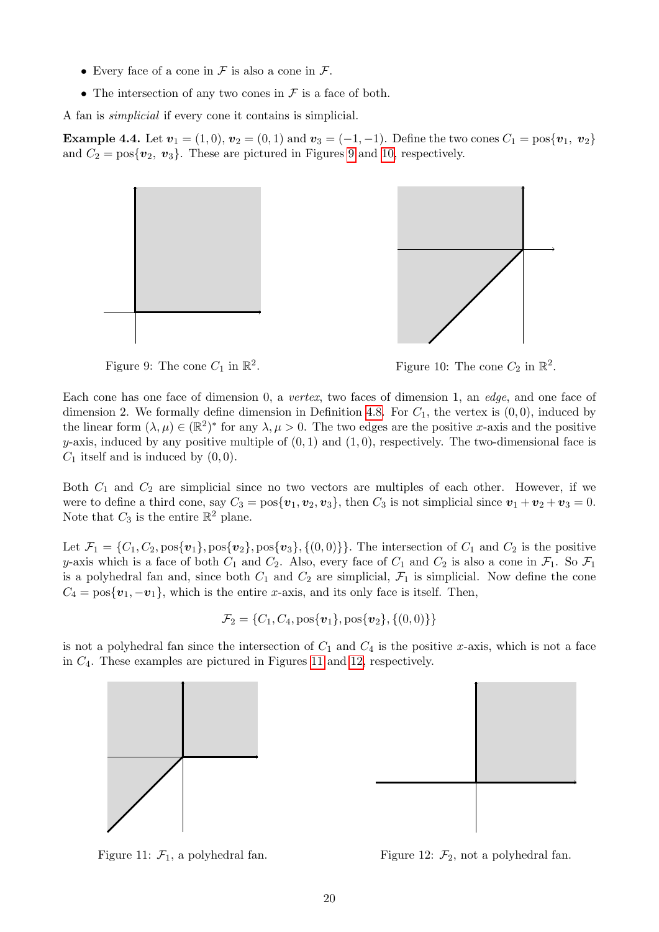- Every face of a cone in *F* is also a cone in *F*.
- The intersection of any two cones in  $\mathcal F$  is a face of both.

A fan is *simplicial* if every cone it contains is simplicial.

**Example 4.4.** Let  $v_1 = (1,0), v_2 = (0,1)$  and  $v_3 = (-1,-1)$ . Define the two cones  $C_1 = \cos\{v_1, v_2\}$ and  $C_2 = \text{pos}\{\boldsymbol{v}_2, \boldsymbol{v}_3\}$ . These are pictured in Figures  $\boxed{9}$  and  $\boxed{10}$ , respectively.



Figure 9: The cone  $C_1$  in  $\mathbb{R}^2$ . Figure 10: The cone  $C_2$  in  $\mathbb{R}^2$ .

Each cone has one face of dimension 0, a *vertex*, two faces of dimension 1, an *edge*, and one face of dimension 2. We formally define dimension in Definition  $\overline{4.8}$ . For  $C_1$ , the vertex is  $(0,0)$ , induced by the linear form  $(\lambda, \mu) \in (\mathbb{R}^2)^*$  for any  $\lambda, \mu > 0$ . The two edges are the positive *x*-axis and the positive  $y$ -axis, induced by any positive multiple of  $(0, 1)$  and  $(1, 0)$ , respectively. The two-dimensional face is *C*<sup>1</sup> itself and is induced by (0*,* 0).

Both *C*<sup>1</sup> and *C*<sup>2</sup> are simplicial since no two vectors are multiples of each other. However, if we were to define a third cone, say  $C_3 = \cos{\lbrace \mathbf{v}_1, \mathbf{v}_2, \mathbf{v}_3 \rbrace}$ , then  $C_3$  is not simplicial since  $\mathbf{v}_1 + \mathbf{v}_2 + \mathbf{v}_3 = 0$ . Note that  $C_3$  is the entire  $\mathbb{R}^2$  plane.

Let  $\mathcal{F}_1 = \{C_1, C_2, pos\{\mathbf{v}_1\}, pos\{\mathbf{v}_2\}, pos\{\mathbf{v}_3\}, \{(0,0)\}\}\.$  The intersection of  $C_1$  and  $C_2$  is the positive *y*-axis which is a face of both  $C_1$  and  $C_2$ . Also, every face of  $C_1$  and  $C_2$  is also a cone in  $\mathcal{F}_1$ . So  $\mathcal{F}_1$ is a polyhedral fan and, since both  $C_1$  and  $C_2$  are simplicial,  $\mathcal{F}_1$  is simplicial. Now define the cone  $C_4 = \cos{\{\mathbf{v}_1, -\mathbf{v}_1\}}$ , which is the entire *x*-axis, and its only face is itself. Then,

$$
\mathcal{F}_2 = \{C_1, C_4, \text{pos}\{\boldsymbol{v}_1\}, \text{pos}\{\boldsymbol{v}_2\}, \{(0,0)\}\}\
$$

is not a polyhedral fan since the intersection of  $C_1$  and  $C_4$  is the positive *x*-axis, which is not a face in  $C_4$ . These examples are pictured in Figures  $\boxed{11}$  and  $\boxed{12}$ , respectively.





Figure 11:  $\mathcal{F}_1$ , a polyhedral fan. Figure 12:  $\mathcal{F}_2$ , not a polyhedral fan.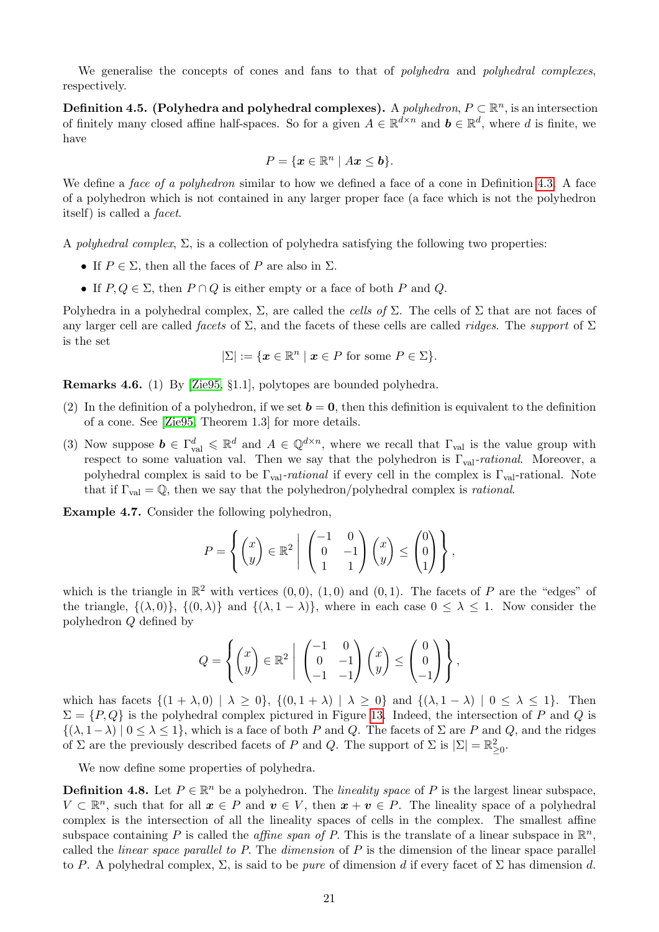We generalise the concepts of cones and fans to that of *polyhedra* and *polyhedral complexes*, respectively.

**Definition 4.5. (Polyhedra and polyhedral complexes).** A *polyhedron*,  $P \subset \mathbb{R}^n$ , is an intersection of finitely many closed affine half-spaces. So for a given  $A \in \mathbb{R}^{d \times n}$  and  $b \in \mathbb{R}^d$ , where *d* is finite, we have

$$
P = \{ \mathbf{x} \in \mathbb{R}^n \mid A\mathbf{x} \leq \mathbf{b} \}.
$$

We define a *face of a polyhedron* similar to how we defined a face of a cone in Definition 4.3. A face of a polyhedron which is not contained in any larger proper face (a face which is not the polyhedron itself) is called a *facet*.

A *polyhedral complex*,  $\Sigma$ , is a collection of polyhedra satisfying the following two properties:

- If  $P \in \Sigma$ , then all the faces of P are also in  $\Sigma$ .
- If  $P, Q \in \Sigma$ , then  $P \cap Q$  is either empty or a face of both  $P$  and  $Q$ .

Polyhedra in a polyhedral complex,  $\Sigma$ , are called the *cells of*  $\Sigma$ . The cells of  $\Sigma$  that are not faces of any larger cell are called *facets* of  $\Sigma$ , and the facets of these cells are called *ridges*. The *support* of  $\Sigma$ is the set

$$
|\Sigma| := \{ \boldsymbol{x} \in \mathbb{R}^n \mid \boldsymbol{x} \in P \text{ for some } P \in \Sigma \}.
$$

Remarks 4.6. (1) By [Zie95, §1.1], polytopes are bounded polyhedra.

- (2) In the definition of a polyhedron, if we set  $\boldsymbol{b} = \boldsymbol{0}$ , then this definition is equivalent to the definition of a cone. See [Zie95, Theorem 1.3] for more details.
- (3) Now suppose  $\mathbf{b} \in \Gamma^d_{\text{val}} \leq \mathbb{R}^d$  and  $A \in \mathbb{Q}^{d \times n}$ , where we recall that  $\Gamma_{\text{val}}$  is the value group with respect to some valuation val. Then we say that the polyhedron is  $\Gamma_{val}$ -rational. Moreover, a polyhedral complex is said to be  $\Gamma_{val}$ -rational if every cell in the complex is  $\Gamma_{val}$ -rational. Note that if  $\Gamma_{\text{val}} = \mathbb{Q}$ , then we say that the polyhedron/polyhedral complex is *rational*.

Example 4.7. Consider the following polyhedron,

$$
P = \left\{ \begin{pmatrix} x \\ y \end{pmatrix} \in \mathbb{R}^2 \middle| \begin{pmatrix} -1 & 0 \\ 0 & -1 \\ 1 & 1 \end{pmatrix} \begin{pmatrix} x \\ y \end{pmatrix} \le \begin{pmatrix} 0 \\ 0 \\ 1 \end{pmatrix} \right\},\
$$

which is the triangle in  $\mathbb{R}^2$  with vertices  $(0,0), (1,0)$  and  $(0,1)$ . The facets of *P* are the "edges" of the triangle,  $\{(\lambda,0)\}, \{(0,\lambda)\}\$  and  $\{(\lambda,1-\lambda)\}\$ , where in each case  $0 \leq \lambda \leq 1$ . Now consider the polyhedron *Q* defined by

$$
Q = \left\{ \begin{pmatrix} x \\ y \end{pmatrix} \in \mathbb{R}^2 \middle| \begin{pmatrix} -1 & 0 \\ 0 & -1 \\ -1 & -1 \end{pmatrix} \begin{pmatrix} x \\ y \end{pmatrix} \le \begin{pmatrix} 0 \\ 0 \\ -1 \end{pmatrix} \right\},\
$$

which has facets  $\{(1 + \lambda, 0) | \lambda \geq 0\}$ ,  $\{(0, 1 + \lambda) | \lambda \geq 0\}$  and  $\{(\lambda, 1 - \lambda) | 0 \leq \lambda \leq 1\}$ . Then  $\Sigma = \{P, Q\}$  is the polyhedral complex pictured in Figure 13. Indeed, the intersection of P and Q is  $\{(\lambda, 1-\lambda) \mid 0 \leq \lambda \leq 1\}$ , which is a face of both *P* and *Q*. The facets of  $\Sigma$  are *P* and *Q*, and the ridges of  $\Sigma$  are the previously described facets of *P* and *Q*. The support of  $\Sigma$  is  $|\Sigma| = \mathbb{R}^2_{\geq 0}$ .

We now define some properties of polyhedra.

**Definition 4.8.** Let  $P \in \mathbb{R}^n$  be a polyhedron. The *lineality space* of P is the largest linear subspace,  $V \subset \mathbb{R}^n$ , such that for all  $x \in P$  and  $v \in V$ , then  $x + v \in P$ . The lineality space of a polyhedral complex is the intersection of all the lineality spaces of cells in the complex. The smallest affine subspace containing P is called the *affine span of P*. This is the translate of a linear subspace in  $\mathbb{R}^n$ , called the *linear space parallel to P*. The *dimension* of *P* is the dimension of the linear space parallel to *P*. A polyhedral complex,  $\Sigma$ , is said to be *pure* of dimension *d* if every facet of  $\Sigma$  has dimension *d*.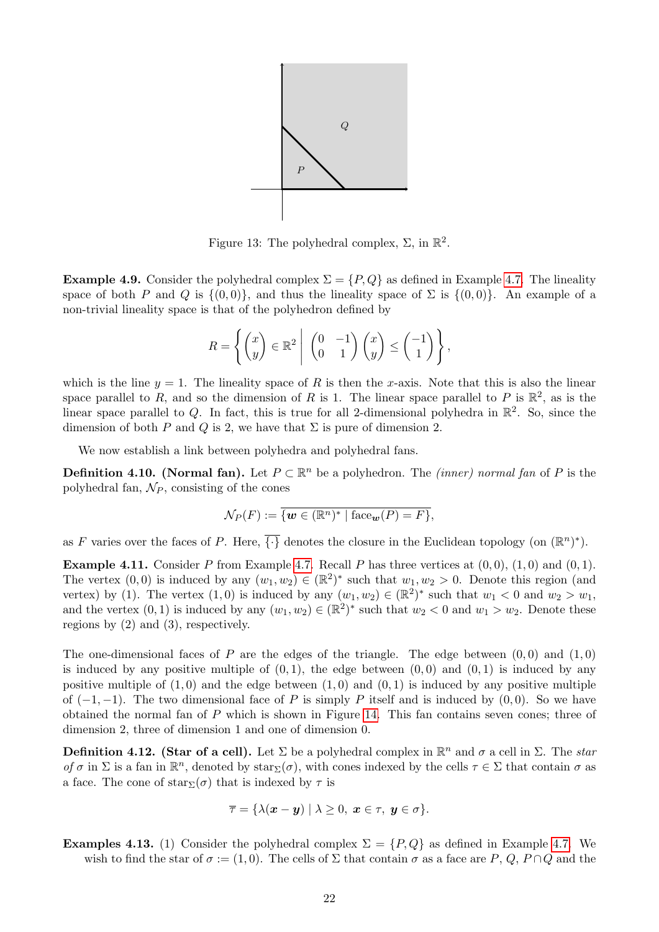

Figure 13: The polyhedral complex,  $\Sigma$ , in  $\mathbb{R}^2$ .

**Example 4.9.** Consider the polyhedral complex  $\Sigma = \{P, Q\}$  as defined in Example 4.7. The lineality space of both *P* and *Q* is  $\{(0,0)\}$ , and thus the lineality space of  $\Sigma$  is  $\{(0,0)\}$ . An example of a non-trivial lineality space is that of the polyhedron defined by

$$
R = \left\{ \begin{pmatrix} x \\ y \end{pmatrix} \in \mathbb{R}^2 \middle| \begin{pmatrix} 0 & -1 \\ 0 & 1 \end{pmatrix} \begin{pmatrix} x \\ y \end{pmatrix} \leq \begin{pmatrix} -1 \\ 1 \end{pmatrix} \right\},\
$$

which is the line  $y = 1$ . The lineality space of *R* is then the *x*-axis. Note that this is also the linear space parallel to *R*, and so the dimension of *R* is 1. The linear space parallel to *P* is  $\mathbb{R}^2$ , as is the linear space parallel to  $Q$ . In fact, this is true for all 2-dimensional polyhedra in  $\mathbb{R}^2$ . So, since the dimension of both *P* and *Q* is 2, we have that  $\Sigma$  is pure of dimension 2.

We now establish a link between polyhedra and polyhedral fans.

**Definition 4.10. (Normal fan).** Let  $P \subset \mathbb{R}^n$  be a polyhedron. The *(inner) normal fan* of P is the polyhedral fan, *N<sup>P</sup>* , consisting of the cones

$$
\mathcal{N}_P(F) := \overline{\{ \mathbf{w} \in (\mathbb{R}^n)^* \mid \text{face}_{\mathbf{w}}(P) = F \}},
$$

as *F* varies over the faces of *P*. Here,  $\overline{\{\cdot\}}$  denotes the closure in the Euclidean topology (on  $(\mathbb{R}^n)^*$ ).

**Example 4.11.** Consider *P* from Example  $\boxed{4.7}$  Recall *P* has three vertices at  $(0,0)$ ,  $(1,0)$  and  $(0,1)$ . The vertex  $(0,0)$  is induced by any  $(w_1, w_2) \in (\mathbb{R}^2)^*$  such that  $w_1, w_2 > 0$ . Denote this region (and vertex) by (1). The vertex (1,0) is induced by any  $(w_1, w_2) \in (\mathbb{R}^2)^*$  such that  $w_1 < 0$  and  $w_2 > w_1$ , and the vertex  $(0, 1)$  is induced by any  $(w_1, w_2) \in (\mathbb{R}^2)^*$  such that  $w_2 < 0$  and  $w_1 > w_2$ . Denote these regions by (2) and (3), respectively.

The one-dimensional faces of *P* are the edges of the triangle. The edge between  $(0,0)$  and  $(1,0)$ is induced by any positive multiple of  $(0,1)$ , the edge between  $(0,0)$  and  $(0,1)$  is induced by any positive multiple of  $(1,0)$  and the edge between  $(1,0)$  and  $(0,1)$  is induced by any positive multiple of  $(-1, -1)$ . The two dimensional face of P is simply P itself and is induced by  $(0, 0)$ . So we have obtained the normal fan of  $P$  which is shown in Figure  $\overline{14}$ . This fan contains seven cones; three of dimension 2, three of dimension 1 and one of dimension 0.

**Definition 4.12. (Star of a cell).** Let  $\Sigma$  be a polyhedral complex in  $\mathbb{R}^n$  and  $\sigma$  a cell in  $\Sigma$ . The *star of*  $\sigma$  in  $\Sigma$  is a fan in  $\mathbb{R}^n$ , denoted by star $\Sigma(\sigma)$ , with cones indexed by the cells  $\tau \in \Sigma$  that contain  $\sigma$  as a face. The cone of  $star_{\Sigma}(\sigma)$  that is indexed by  $\tau$  is

$$
\overline{\tau} = \{ \lambda(\mathbf{x} - \mathbf{y}) \mid \lambda \geq 0, \ \mathbf{x} \in \tau, \ \mathbf{y} \in \sigma \}.
$$

**Examples 4.13.** (1) Consider the polyhedral complex  $\Sigma = \{P, Q\}$  as defined in Example 4.7. We wish to find the star of  $\sigma := (1,0)$ . The cells of  $\Sigma$  that contain  $\sigma$  as a face are P, Q, P \ Q and the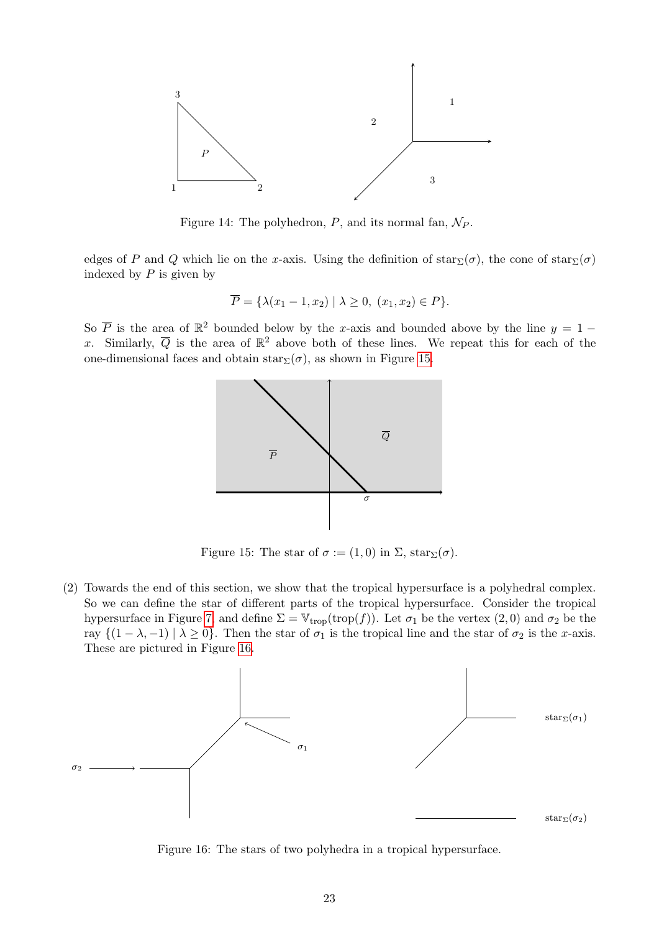

Figure 14: The polyhedron,  $P$ , and its normal fan,  $N_P$ .

edges of *P* and *Q* which lie on the *x*-axis. Using the definition of  $star_\Sigma(\sigma)$ , the cone of  $star_\Sigma(\sigma)$ indexed by *P* is given by

$$
\overline{P} = \{ \lambda(x_1 - 1, x_2) \mid \lambda \ge 0, (x_1, x_2) \in P \}.
$$

So  $\overline{P}$  is the area of  $\mathbb{R}^2$  bounded below by the *x*-axis and bounded above by the line  $y = 1$ x. Similarly,  $\overline{Q}$  is the area of  $\mathbb{R}^2$  above both of these lines. We repeat this for each of the one-dimensional faces and obtain  $star_{\Sigma}(\sigma)$ , as shown in Figure 15.



Figure 15: The star of  $\sigma := (1,0)$  in  $\Sigma$ , star $\Sigma(\sigma)$ .

(2) Towards the end of this section, we show that the tropical hypersurface is a polyhedral complex. So we can define the star of different parts of the tropical hypersurface. Consider the tropical hypersurface in Figure 7 and define  $\Sigma = V_{\text{trop}}(\text{trop}(f))$ . Let  $\sigma_1$  be the vertex  $(2, 0)$  and  $\sigma_2$  be the ray  $\{(1 - \lambda, -1) \mid \lambda \geq 0\}$ . Then the star of  $\sigma_1$  is the tropical line and the star of  $\sigma_2$  is the *x*-axis. These are pictured in Figure 16.



Figure 16: The stars of two polyhedra in a tropical hypersurface.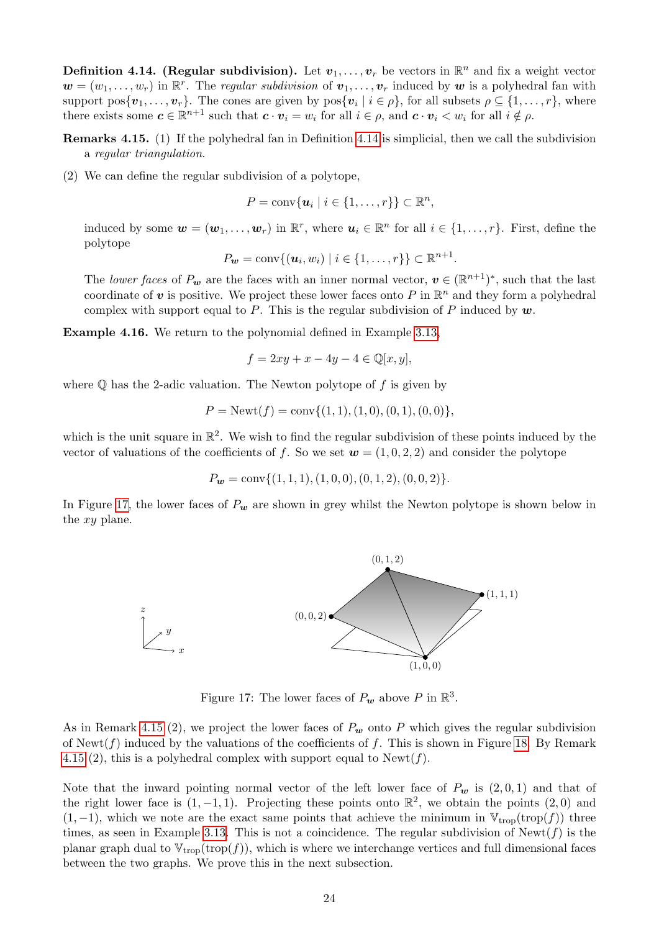**Definition 4.14. (Regular subdivision).** Let  $v_1, \ldots, v_r$  be vectors in  $\mathbb{R}^n$  and fix a weight vector  $\mathbf{w} = (w_1, \ldots, w_r)$  in  $\mathbb{R}^r$ . The *regular subdivision* of  $v_1, \ldots, v_r$  induced by  $\mathbf{w}$  is a polyhedral fan with support pos $\{v_1, \ldots, v_r\}$ . The cones are given by pos $\{v_i \mid i \in \rho\}$ , for all subsets  $\rho \subseteq \{1, \ldots, r\}$ , where there exists some  $c \in \mathbb{R}^{n+1}$  such that  $c \cdot v_i = w_i$  for all  $i \in \rho$ , and  $c \cdot v_i < w_i$  for all  $i \notin \rho$ .

**Remarks 4.15.** (1) If the polyhedral fan in Definition  $\overline{4.14}$  is simplicial, then we call the subdivision a *regular triangulation*.

(2) We can define the regular subdivision of a polytope,

 $P = \text{conv}\{\mathbf{u}_i \mid i \in \{1, \ldots, r\}\} \subset \mathbb{R}^n$ ,

induced by some  $w = (w_1, \ldots, w_r)$  in  $\mathbb{R}^r$ , where  $u_i \in \mathbb{R}^n$  for all  $i \in \{1, \ldots, r\}$ . First, define the polytope

$$
P_{\mathbf{w}} = \mathrm{conv}\{(\mathbf{u}_i, w_i) \mid i \in \{1, \ldots, r\}\} \subset \mathbb{R}^{n+1}.
$$

The *lower faces* of  $P_w$  are the faces with an inner normal vector,  $v \in (\mathbb{R}^{n+1})^*$ , such that the last coordinate of  $v$  is positive. We project these lower faces onto  $P$  in  $\mathbb{R}^n$  and they form a polyhedral complex with support equal to *P*. This is the regular subdivision of *P* induced by *w*.

Example 4.16. We return to the polynomial defined in Example 3.13

$$
f = 2xy + x - 4y - 4 \in \mathbb{Q}[x, y],
$$

where  $\mathbb Q$  has the 2-adic valuation. The Newton polytope of  $f$  is given by

$$
P = \text{Newt}(f) = \text{conv}\{(1, 1), (1, 0), (0, 1), (0, 0)\},\
$$

which is the unit square in  $\mathbb{R}^2$ . We wish to find the regular subdivision of these points induced by the vector of valuations of the coefficients of f. So we set  $w = (1, 0, 2, 2)$  and consider the polytope

$$
P_w = \text{conv}\{(1, 1, 1), (1, 0, 0), (0, 1, 2), (0, 0, 2)\}.
$$

In Figure  $\overline{17}$ , the lower faces of  $P_w$  are shown in grey whilst the Newton polytope is shown below in the *xy* plane.



Figure 17: The lower faces of  $P_w$  above  $P$  in  $\mathbb{R}^3$ .

As in Remark  $(4.15)(2)$ , we project the lower faces of  $P_w$  onto P which gives the regular subdivision of Newt( $f$ ) induced by the valuations of the coefficients of  $f$ . This is shown in Figure 18. By Remark  $\overline{4.15}(2)$ , this is a polyhedral complex with support equal to Newt(f).

Note that the inward pointing normal vector of the left lower face of  $P_w$  is  $(2, 0, 1)$  and that of the right lower face is  $(1, -1, 1)$ . Projecting these points onto  $\mathbb{R}^2$ , we obtain the points  $(2, 0)$  and  $(1, -1)$ , which we note are the exact same points that achieve the minimum in  $V_{trop}(trop(f))$  three times, as seen in Example  $\overline{3.13}$ . This is not a coincidence. The regular subdivision of Newt(f) is the planar graph dual to  $V_{trop}(trop))$ , which is where we interchange vertices and full dimensional faces between the two graphs. We prove this in the next subsection.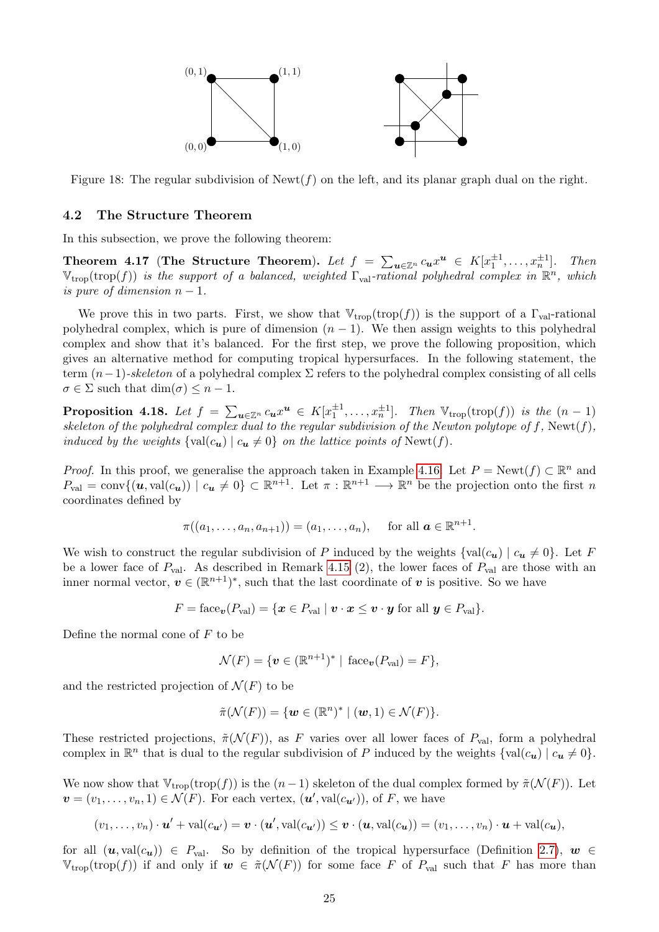

Figure 18: The regular subdivision of  $\text{Newt}(f)$  on the left, and its planar graph dual on the right.

#### 4.2 The Structure Theorem

In this subsection, we prove the following theorem:

Theorem 4.17 (The Structure Theorem). Let  $f = \sum_{u \in \mathbb{Z}^n} c_u x^u \in K[x_1^{\pm 1}, \ldots, x_n^{\pm 1}]$ . Then  $V_{\text{trop}}(\text{trop}(f))$  *is the support of a balanced, weighted*  $\Gamma_{\text{val}}$ -rational polyhedral complex in  $\mathbb{R}^n$ , which *is pure of dimension*  $n-1$ .

We prove this in two parts. First, we show that  $\mathbb{V}_{\text{trop}}(\text{trop}(f))$  is the support of a  $\Gamma_{\text{val}}$ -rational polyhedral complex, which is pure of dimension  $(n - 1)$ . We then assign weights to this polyhedral complex and show that it's balanced. For the first step, we prove the following proposition, which gives an alternative method for computing tropical hypersurfaces. In the following statement, the term  $(n-1)$ -skeleton of a polyhedral complex  $\Sigma$  refers to the polyhedral complex consisting of all cells  $\sigma \in \Sigma$  such that  $\dim(\sigma) \leq n-1$ .

**Proposition 4.18.** Let  $f = \sum_{u \in \mathbb{Z}^n} c_u x^u \in K[x_1^{\pm 1}, \ldots, x_n^{\pm 1}]$ . Then  $\mathbb{V}_{\text{trop}}(\text{trop}(f))$  is the  $(n-1)$ *skeleton of the polyhedral complex dual to the regular subdivision of the Newton polytope of*  $f$ *, Newt(* $f$ *)*, *induced by the weights*  $\{val(c_{\boldsymbol{u}}) \mid c_{\boldsymbol{u}} \neq 0\}$  *on the lattice points of* Newt(*f*).

*Proof.* In this proof, we generalise the approach taken in Example 4.16. Let  $P = \text{Newt}(f) \subset \mathbb{R}^n$  and  $P_{val} = \text{conv}\{(\boldsymbol{u}, \text{val}(c_{\boldsymbol{u}})) \mid c_{\boldsymbol{u}} \neq 0\} \subset \mathbb{R}^{n+1}$ . Let  $\pi : \mathbb{R}^{n+1} \longrightarrow \mathbb{R}^n$  be the projection onto the first *n* coordinates defined by

$$
\pi((a_1,\ldots,a_n,a_{n+1}))=(a_1,\ldots,a_n), \text{ for all } \mathbf{a}\in\mathbb{R}^{n+1}.
$$

We wish to construct the regular subdivision of *P* induced by the weights  $\{val(c_u) \mid c_u \neq 0\}$ . Let *F* be a lower face of  $P_{val}$ . As described in Remark  $\boxed{4.15}$  (2), the lower faces of  $P_{val}$  are those with an inner normal vector,  $v \in (\mathbb{R}^{n+1})^*$ , such that the last coordinate of *v* is positive. So we have

$$
F = \text{face}_{\boldsymbol{v}}(P_{\text{val}}) = \{ \boldsymbol{x} \in P_{\text{val}} \mid \boldsymbol{v} \cdot \boldsymbol{x} \leq \boldsymbol{v} \cdot \boldsymbol{y} \text{ for all } \boldsymbol{y} \in P_{\text{val}} \}.
$$

Define the normal cone of *F* to be

$$
\mathcal{N}(F) = \{ \boldsymbol{v} \in (\mathbb{R}^{n+1})^* \mid \text{face}_{\boldsymbol{v}}(P_{\text{val}}) = F \},
$$

and the restricted projection of  $\mathcal{N}(F)$  to be

$$
\tilde{\pi}(\mathcal{N}(F)) = \{ \boldsymbol{w} \in (\mathbb{R}^n)^* \mid (\boldsymbol{w}, 1) \in \mathcal{N}(F) \}.
$$

These restricted projections,  $\tilde{\pi}(\mathcal{N}(F))$ , as *F* varies over all lower faces of  $P_{val}$ , form a polyhedral complex in  $\mathbb{R}^n$  that is dual to the regular subdivision of *P* induced by the weights  $\{val(c_u) \mid c_u \neq 0\}$ .

We now show that  $V_{\text{trop}}(\text{trop}(f))$  is the  $(n-1)$  skeleton of the dual complex formed by  $\tilde{\pi}(\mathcal{N}(F))$ . Let  $v = (v_1, \ldots, v_n, 1) \in \mathcal{N}(F)$ . For each vertex,  $(\boldsymbol{u}', \text{val}(c_{\boldsymbol{u}'}))$ , of *F*, we have

$$
(v_1,\ldots,v_n)\cdot\mathbf{u}' + \mathrm{val}(c_{\mathbf{u}'}) = \mathbf{v}\cdot(\mathbf{u}',\mathrm{val}(c_{\mathbf{u}'})) \leq \mathbf{v}\cdot(\mathbf{u},\mathrm{val}(c_{\mathbf{u}})) = (v_1,\ldots,v_n)\cdot\mathbf{u} + \mathrm{val}(c_{\mathbf{u}}),
$$

for all  $(\mathbf{u}, \text{val}(c_{\mathbf{u}})) \in P_{\text{val}}$ . So by definition of the tropical hypersurface (Definition  $\boxed{2.7}$ ,  $\mathbf{w} \in$  $V_{\text{trop}}(\text{trop}(f))$  if and only if  $w \in \tilde{\pi}(\mathcal{N}(F))$  for some face *F* of  $P_{\text{val}}$  such that *F* has more than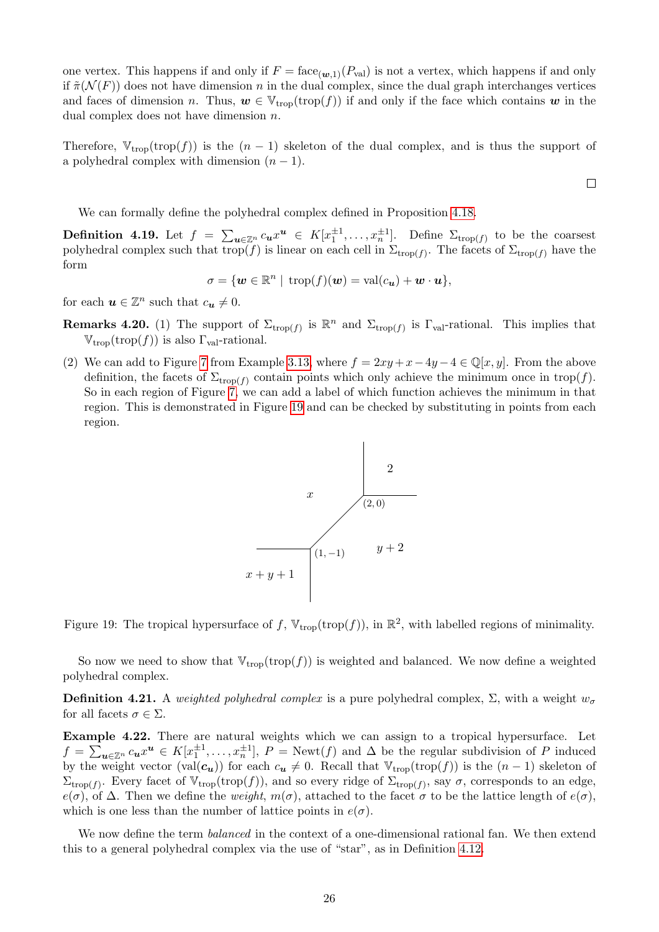one vertex. This happens if and only if  $F = \text{face}_{(w,1)}(P_{val})$  is not a vertex, which happens if and only if  $\tilde{\pi}(\mathcal{N}(F))$  does not have dimension *n* in the dual complex, since the dual graph interchanges vertices and faces of dimension *n*. Thus,  $w \in V_{\text{trop}}(\text{trop}(f))$  if and only if the face which contains w in the dual complex does not have dimension *n*.

Therefore,  $V_{\text{trop}}(\text{trop}(f))$  is the  $(n-1)$  skeleton of the dual complex, and is thus the support of a polyhedral complex with dimension  $(n-1)$ .

We can formally define the polyhedral complex defined in Proposition 4.18.

**Definition 4.19.** Let  $f = \sum_{u \in \mathbb{Z}^n} c_u x^u \in K[x_1^{\pm 1}, \ldots, x_n^{\pm 1}]$ . Define  $\sum_{\text{trop}(f)}$  to be the coarsest polyhedral complex such that trop(*f*) is linear on each cell in  $\Sigma_{\text{trop}(f)}$ . The facets of  $\Sigma_{\text{trop}(f)}$  have the form

$$
\sigma = \{ \mathbf{w} \in \mathbb{R}^n \mid \text{trop}(f)(\mathbf{w}) = \text{val}(c_{\mathbf{u}}) + \mathbf{w} \cdot \mathbf{u} \},
$$

for each  $u \in \mathbb{Z}^n$  such that  $c_u \neq 0$ .

- **Remarks 4.20.** (1) The support of  $\Sigma_{\text{trop}(f)}$  is  $\mathbb{R}^n$  and  $\Sigma_{\text{trop}(f)}$  is  $\Gamma_{\text{val}}$ -rational. This implies that  $V_{\text{trop}}(\text{trop}(f))$  is also  $\Gamma_{\text{val}}$ -rational.
- (2) We can add to Figure  $\overline{7}$  from Example 3.13, where  $f = 2xy + x 4y 4 \in \mathbb{Q}[x, y]$ . From the above definition, the facets of  $\Sigma_{\text{trop}(f)}$  contain points which only achieve the minimum once in trop(f). So in each region of Figure  $\sqrt{7}$ , we can add a label of which function achieves the minimum in that region. This is demonstrated in Figure 19 and can be checked by substituting in points from each region.



Figure 19: The tropical hypersurface of f,  $\mathbb{V}_{\text{trop}}(\text{trop}(f))$ , in  $\mathbb{R}^2$ , with labelled regions of minimality.

So now we need to show that  $V_{trop}(t)$  is weighted and balanced. We now define a weighted polyhedral complex.

**Definition 4.21.** A *weighted polyhedral complex* is a pure polyhedral complex,  $\Sigma$ , with a weight  $w_{\sigma}$ for all facets  $\sigma \in \Sigma$ .

Example 4.22. There are natural weights which we can assign to a tropical hypersurface. Let  $f = \sum_{\mathbf{u} \in \mathbb{Z}^n} c_{\mathbf{u}} x^{\mathbf{u}} \in K[x_1^{\pm 1}, \ldots, x_n^{\pm 1}], P = \text{Newt}(f)$  and  $\Delta$  be the regular subdivision of *P* induced by the weight vector (val $(c_u)$ ) for each  $c_u \neq 0$ . Recall that  $V_{\text{trop}}(\text{trop}(f))$  is the  $(n-1)$  skeleton of  $\Sigma_{\text{trop}(f)}$ . Every facet of  $\mathbb{V}_{\text{trop}}(\text{trop}(f))$ , and so every ridge of  $\Sigma_{\text{trop}(f)}$ , say  $\sigma$ , corresponds to an edge,  $e(\sigma)$ , of  $\Delta$ . Then we define the *weight*,  $m(\sigma)$ , attached to the facet  $\sigma$  to be the lattice length of  $e(\sigma)$ , which is one less than the number of lattice points in  $e(\sigma)$ .

We now define the term *balanced* in the context of a one-dimensional rational fan. We then extend this to a general polyhedral complex via the use of "star", as in Definition  $\boxed{4.12}$ .

 $\Box$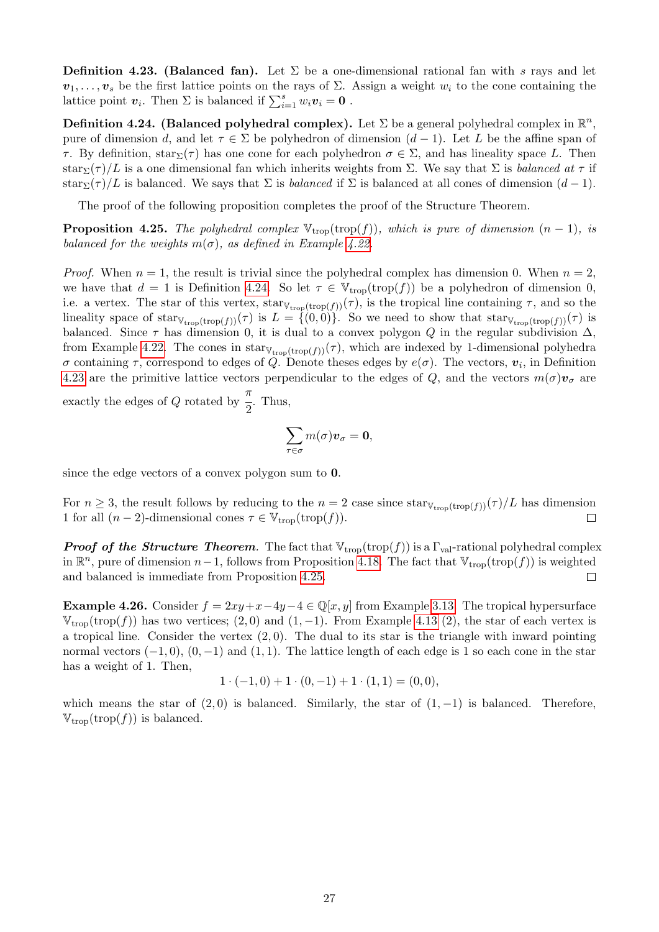**Definition 4.23. (Balanced fan).** Let  $\Sigma$  be a one-dimensional rational fan with *s* rays and let  $v_1, \ldots, v_s$  be the first lattice points on the rays of  $\Sigma$ . Assign a weight  $w_i$  to the cone containing the lattice point  $v_i$ . Then  $\Sigma$  is balanced if  $\sum_{i=1}^s w_i v_i = 0$ .

**Definition 4.24.** (Balanced polyhedral complex). Let  $\Sigma$  be a general polyhedral complex in  $\mathbb{R}^n$ . pure of dimension *d*, and let  $\tau \in \Sigma$  be polyhedron of dimension  $(d-1)$ . Let *L* be the affine span of  $\tau$ . By definition, star<sub> $\Sigma(\tau)$ </sub> has one cone for each polyhedron  $\sigma \in \Sigma$ , and has lineality space *L*. Then star<sub> $\Sigma(\tau)/L$ </sub> is a one dimensional fan which inherits weights from  $\Sigma$ . We say that  $\Sigma$  is *balanced at*  $\tau$  if star<sub> $\Sigma$ </sub>( $\tau$ )/L is balanced. We says that  $\Sigma$  is *balanced* if  $\Sigma$  is balanced at all cones of dimension  $(d-1)$ .

The proof of the following proposition completes the proof of the Structure Theorem.

**Proposition 4.25.** *The polyhedral complex*  $V_{\text{trop}}(\text{trop}(f))$ *, which is pure of dimension*  $(n-1)$ *, is balanced for the weights*  $m(\sigma)$ *, as defined in Example 4.22.* 

*Proof.* When  $n = 1$ , the result is trivial since the polyhedral complex has dimension 0. When  $n = 2$ , we have that  $d = 1$  is Definition  $\overline{4.24}$ . So let  $\tau \in V_{\text{trop}}(\text{trop}(f))$  be a polyhedron of dimension 0, i.e. a vertex. The star of this vertex,  $\text{star}_{V_{\text{trop}}(\text{trop}(f))}(\tau)$ , is the tropical line containing  $\tau$ , and so the lineality space of  $\text{star}_{\mathbb{V}_{\text{trop}}(\text{trop}(f))}(\tau)$  is  $L = \{(0,0)\}\)$ . So we need to show that  $\text{star}_{\mathbb{V}_{\text{trop}}(\text{trop}(f))}(\tau)$  is balanced. Since  $\tau$  has dimension 0, it is dual to a convex polygon *Q* in the regular subdivision  $\Delta$ , from Example 4.22. The cones in star<sub>V<sub>trop</sub>(trop(f))</sub>( $\tau$ ), which are indexed by 1-dimensional polyhedra  $\sigma$  containing  $\tau$ , correspond to edges of *Q*. Denote theses edges by  $e(\sigma)$ . The vectors,  $v_i$ , in Definition 4.23 are the primitive lattice vectors perpendicular to the edges of Q, and the vectors  $m(\sigma)\mathbf{v}_{\sigma}$  are exactly the edges of *Q* rotated by  $\pi$  $\frac{1}{2}$ . Thus,

$$
\sum_{\tau\in\sigma}m(\sigma)\pmb{v}_{\sigma}=\pmb{0},
$$

since the edge vectors of a convex polygon sum to 0.

For  $n \geq 3$ , the result follows by reducing to the  $n = 2$  case since star<sub>V<sub>trop</sub>(trop(*f*))( $\tau$ )/*L* has dimension 1 for all  $(n-2)$ -dimensional cones  $\tau \in V_{\text{tran}}(\text{trop}(f))$ .</sub> 1 for all  $(n-2)$ -dimensional cones  $\tau \in \mathbb{V}_{\text{trop}}(\text{trop}(f)).$ 

*Proof of the Structure Theorem.* The fact that  $V_{\text{trop}}(\text{trop}(f))$  is a  $\Gamma_{\text{val}}$ -rational polyhedral complex in  $\mathbb{R}^n$ , pure of dimension *n*-1, follows from Proposition 4.18. The fact that  $V_{\text{trop}}(\text{trop}(f))$  is weighted and balanced is immediate from Proposition 4.25. and balanced is immediate from Proposition 4.25.

**Example 4.26.** Consider  $f = 2xy + x - 4y - 4 \in \mathbb{Q}[x, y]$  from Example 3.13. The tropical hypersurface  $V_{\text{trop}}(\text{trop}(f))$  has two vertices; (2,0) and (1,-1). From Example 4.13 (2), the star of each vertex is a tropical line. Consider the vertex (2*,* 0). The dual to its star is the triangle with inward pointing normal vectors  $(-1, 0)$ ,  $(0, -1)$  and  $(1, 1)$ . The lattice length of each edge is 1 so each cone in the star has a weight of 1. Then,

$$
1 \cdot (-1,0) + 1 \cdot (0,-1) + 1 \cdot (1,1) = (0,0),
$$

which means the star of  $(2, 0)$  is balanced. Similarly, the star of  $(1, -1)$  is balanced. Therefore,  $V_{\text{trop}}(\text{trop}(f))$  is balanced.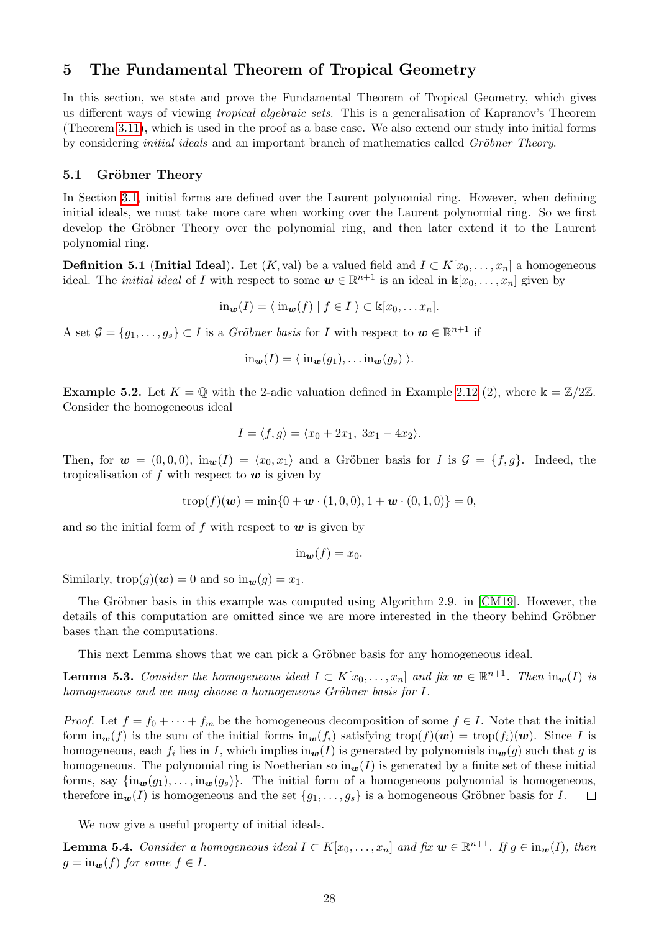### 5 The Fundamental Theorem of Tropical Geometry

In this section, we state and prove the Fundamental Theorem of Tropical Geometry, which gives us different ways of viewing *tropical algebraic sets*. This is a generalisation of Kapranov's Theorem (Theorem  $\overline{3.11}$ ), which is used in the proof as a base case. We also extend our study into initial forms by considering *initial ideals* and an important branch of mathematics called *Gröbner Theory*.

#### 5.1 Gröbner Theory

In Section 3.1, initial forms are defined over the Laurent polynomial ring. However, when defining initial ideals, we must take more care when working over the Laurent polynomial ring. So we first develop the Gröbner Theory over the polynomial ring, and then later extend it to the Laurent polynomial ring.

**Definition 5.1 (Initial Ideal).** Let  $(K$ , val) be a valued field and  $I \subset K[x_0,\ldots,x_n]$  a homogeneous ideal. The *initial ideal* of *I* with respect to some  $w \in \mathbb{R}^{n+1}$  is an ideal in  $\mathbb{k}[x_0, \ldots, x_n]$  given by

 $\lim_{w} (I) = \langle \lim_{w} (f) | f \in I \rangle \subset \mathbb{K}[x_0, \dots x_n].$ 

A set  $\mathcal{G} = \{g_1, \ldots, g_s\} \subset I$  is a *Gröbner basis* for *I* with respect to  $\mathbf{w} \in \mathbb{R}^{n+1}$  if

$$
\mathrm{in}_{\mathbf{w}}(I)=\langle \mathrm{in}_{\mathbf{w}}(g_1),\ldots \mathrm{in}_{\mathbf{w}}(g_s)\rangle.
$$

**Example 5.2.** Let  $K = \mathbb{Q}$  with the 2-adic valuation defined in Example  $\boxed{2.12}(2)$ , where  $\Bbbk = \mathbb{Z}/2\mathbb{Z}$ . Consider the homogeneous ideal

$$
I = \langle f, g \rangle = \langle x_0 + 2x_1, 3x_1 - 4x_2 \rangle.
$$

Then, for  $w = (0,0,0)$ ,  $\text{in}_w(I) = \langle x_0, x_1 \rangle$  and a Gröbner basis for *I* is  $\mathcal{G} = \{f,g\}$ . Indeed, the tropicalisation of *f* with respect to *w* is given by

$$
trop(f)(\mathbf{w}) = min\{0 + \mathbf{w} \cdot (1,0,0), 1 + \mathbf{w} \cdot (0,1,0)\} = 0,
$$

and so the initial form of *f* with respect to *w* is given by

$$
\mathrm{in}_{\mathbf{w}}(f)=x_0.
$$

Similarly,  $\text{trop}(g)(\boldsymbol{w}) = 0$  and so  $\text{in}_{\boldsymbol{w}}(g) = x_1$ .

The Gröbner basis in this example was computed using Algorithm 2.9. in  $\lfloor$ CM19 $\rfloor$ . However, the details of this computation are omitted since we are more interested in the theory behind Gröbner bases than the computations.

This next Lemma shows that we can pick a Gröbner basis for any homogeneous ideal.

**Lemma 5.3.** Consider the homogeneous ideal  $I \subset K[x_0, \ldots, x_n]$  and fix  $w \in \mathbb{R}^{n+1}$ . Then  $\text{in}_{w}(I)$  is *homogeneous and we may choose a homogeneous Gröbner basis for I.* 

*Proof.* Let  $f = f_0 + \cdots + f_m$  be the homogeneous decomposition of some  $f \in I$ . Note that the initial form  $\lim_{w} (f)$  is the sum of the initial forms  $\lim_{w} (f_i)$  satisfying  $\text{trop}(f)(w) = \text{trop}(f_i)(w)$ . Since *I* is homogeneous, each  $f_i$  lies in *I*, which implies  $\text{in}_w(I)$  is generated by polynomials  $\text{in}_w(g)$  such that *g* is homogeneous. The polynomial ring is Noetherian so  $\text{in}_{w}(I)$  is generated by a finite set of these initial forms, say  $\{\text{in}_w(g_1), \ldots, \text{in}_w(g_s)\}\.$  The initial form of a homogeneous polynomial is homogeneous, therefore  $\text{in}_w(I)$  is homogeneous and the set  $\{g_1, \ldots, g_s\}$  is a homogeneous Gröbner basis for  $I$ . therefore  $\text{in}_{w}(I)$  is homogeneous and the set  $\{g_1, \ldots, g_s\}$  is a homogeneous Gröbner basis for *I*.

We now give a useful property of initial ideals.

**Lemma 5.4.** *Consider a homogeneous ideal*  $I \subset K[x_0, \ldots, x_n]$  *and fix*  $w \in \mathbb{R}^{n+1}$ *. If*  $g \in \text{in}_{w}(I)$ *, then*  $g = \text{in}_{w}(f)$  *for some*  $f \in I$ *.*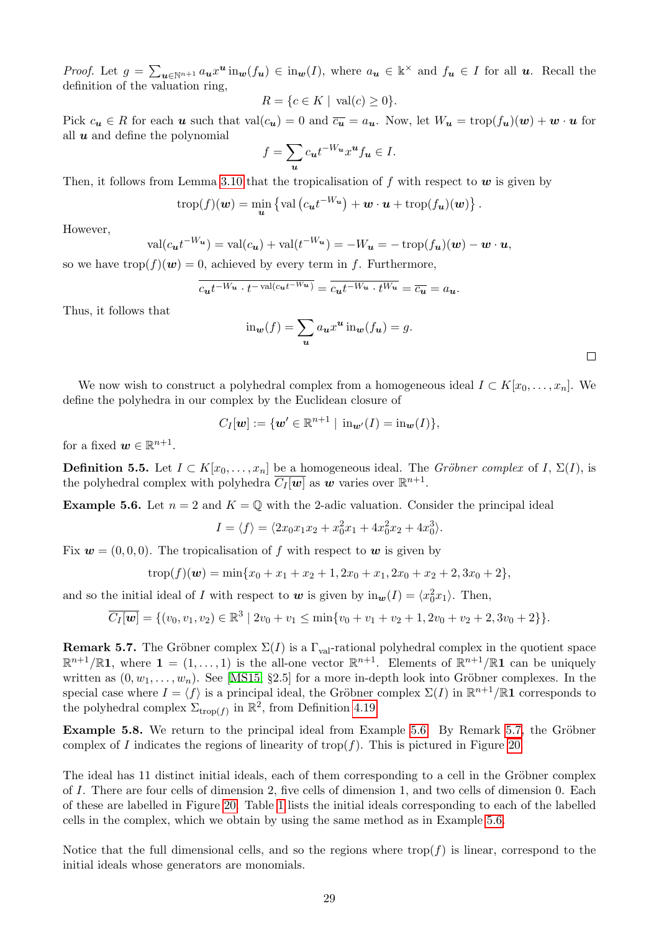*Proof.* Let  $g = \sum_{u \in \mathbb{N}^{n+1}} a_u x^u \text{ in}_w(f_u) \in \text{in}_w(I)$ , where  $a_u \in \mathbb{k}^\times$  and  $f_u \in I$  for all  $u$ . Recall the definition of the valuation ring,

$$
R = \{c \in K \mid \operatorname{val}(c) \ge 0\}.
$$

Pick  $c_u \in R$  for each *u* such that val $(c_u) = 0$  and  $\overline{c_u} = a_u$ . Now, let  $W_u = \text{trop}(f_u)(w) + w \cdot u$  for all *u* and define the polynomial

$$
f = \sum_{u} c_{u} t^{-W_{u}} x^{u} f_{u} \in I.
$$

Then, it follows from Lemma  $\overline{3.10}$  that the tropicalisation of f with respect to w is given by

$$
\operatorname{trop}(f)(\boldsymbol{w}) = \min_{\boldsymbol{u}} \left\{ \operatorname{val} \left( c_{\boldsymbol{u}} t^{-W_{\boldsymbol{u}}} \right) + \boldsymbol{w} \cdot \boldsymbol{u} + \operatorname{trop}(f_{\boldsymbol{u}})(\boldsymbol{w}) \right\}.
$$

However,

$$
\text{val}(c_{\boldsymbol{u}}t^{-W_{\boldsymbol{u}}}) = \text{val}(c_{\boldsymbol{u}}) + \text{val}(t^{-W_{\boldsymbol{u}}}) = -W_{\boldsymbol{u}} = -\operatorname{trop}(f_{\boldsymbol{u}})(\boldsymbol{w}) - \boldsymbol{w} \cdot \boldsymbol{u},
$$

so we have  $\text{trop}(f)(w) = 0$ , achieved by every term in *f*. Furthermore,

$$
\overline{c_{\boldsymbol{u}}t^{-W_{\boldsymbol{u}}}\cdot t^{-\operatorname{val}(c_{\boldsymbol{u}}t^{-W_{\boldsymbol{u}}})}} = \overline{c_{\boldsymbol{u}}t^{-W_{\boldsymbol{u}}}\cdot t^{W_{\boldsymbol{u}}}} = \overline{c_{\boldsymbol{u}}} = a_{\boldsymbol{u}}.
$$

Thus, it follows that

$$
\operatorname{in}_{\mathbf{w}}(f) = \sum_{\mathbf{u}} a_{\mathbf{u}} x^{\mathbf{u}} \operatorname{in}_{\mathbf{w}}(f_{\mathbf{u}}) = g.
$$

We now wish to construct a polyhedral complex from a homogeneous ideal  $I \subset K[x_0, \ldots, x_n]$ . We define the polyhedra in our complex by the Euclidean closure of

$$
C_I[\boldsymbol{w}] := \{\boldsymbol{w}' \in \mathbb{R}^{n+1} \mid \operatorname{in}_{\boldsymbol{w}'}(I) = \operatorname{in}_{\boldsymbol{w}}(I)\},
$$

for a fixed  $w \in \mathbb{R}^{n+1}$ .

**Definition 5.5.** Let  $I \subset K[x_0, \ldots, x_n]$  be a homogeneous ideal. The *Gröbner complex* of  $I, \Sigma(I)$ , is the polyhedral complex with polyhedra  $C_I[\mathbf{w}]$  as  $\mathbf{w}$  varies over  $\mathbb{R}^{n+1}$ .

**Example 5.6.** Let  $n = 2$  and  $K = \mathbb{Q}$  with the 2-adic valuation. Consider the principal ideal

$$
I = \langle f \rangle = \langle 2x_0x_1x_2 + x_0^2x_1 + 4x_0^2x_2 + 4x_0^3 \rangle.
$$

Fix  $w = (0, 0, 0)$ . The tropicalisation of f with respect to w is given by

$$
trop(f)(w) = min\{x_0 + x_1 + x_2 + 1, 2x_0 + x_1, 2x_0 + x_2 + 2, 3x_0 + 2\},\
$$

and so the initial ideal of *I* with respect to  $w$  is given by  $\text{in}_{w}(I) = \langle x_0^2 x_1 \rangle$ . Then,

$$
\overline{C_I[\boldsymbol{w}]} = \{ (v_0, v_1, v_2) \in \mathbb{R}^3 \mid 2v_0 + v_1 \le \min\{v_0 + v_1 + v_2 + 1, 2v_0 + v_2 + 2, 3v_0 + 2\} \}.
$$

**Remark 5.7.** The Gröbner complex  $\Sigma(I)$  is a  $\Gamma_{val}$ -rational polyhedral complex in the quotient space  $\mathbb{R}^{n+1}/\mathbb{R}$ **1**, where **1** = (1,..., 1) is the all-one vector  $\mathbb{R}^{n+1}$ . Elements of  $\mathbb{R}^{n+1}/\mathbb{R}$ **1** can be uniquely written as  $(0, w_1, \ldots, w_n)$ . See **MS15**, §2.5] for a more in-depth look into Gröbner complexes. In the special case where  $I = \langle f \rangle$  is a principal ideal, the Gröbner complex  $\Sigma(I)$  in  $\mathbb{R}^{n+1}/\mathbb{R}1$  corresponds to the polyhedral complex  $\Sigma_{\text{trop}(f)}$  in  $\mathbb{R}^2$ , from Definition 4.19.

**Example 5.8.** We return to the principal ideal from Example  $\overline{5.6}$  By Remark  $\overline{5.7}$ , the Gröbner complex of *I* indicates the regions of linearity of trop $(f)$ . This is pictured in Figure 20.

The ideal has 11 distinct initial ideals, each of them corresponding to a cell in the Gröbner complex of *I*. There are four cells of dimension 2, five cells of dimension 1, and two cells of dimension 0. Each of these are labelled in Figure  $\overline{20}$ . Table  $\overline{1}$  lists the initial ideals corresponding to each of the labelled cells in the complex, which we obtain by using the same method as in Example 5.6.

Notice that the full dimensional cells, and so the regions where  $\text{trop}(f)$  is linear, correspond to the initial ideals whose generators are monomials.

 $\Box$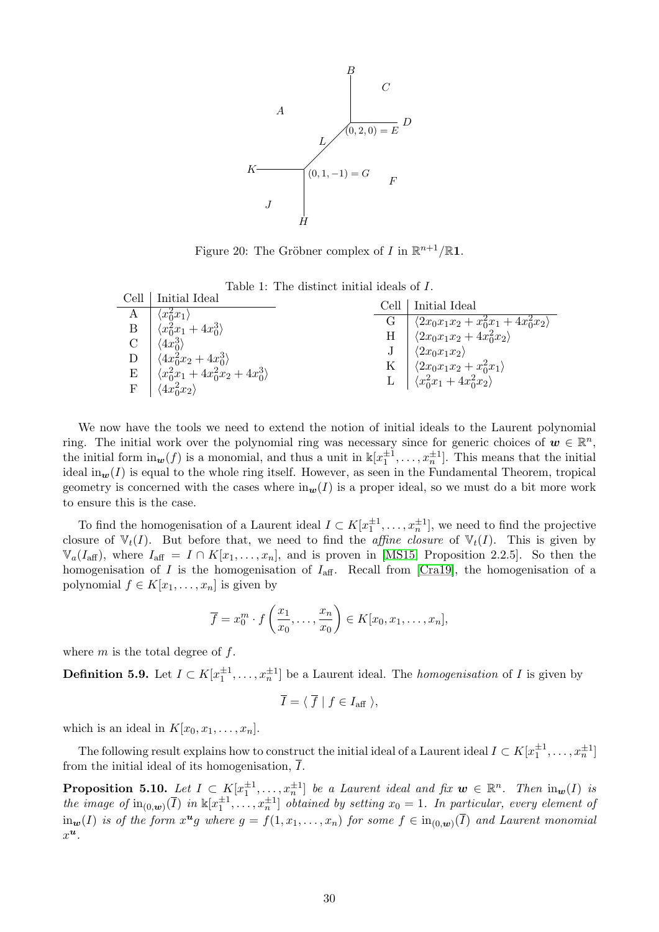

Figure 20: The Gröbner complex of *I* in  $\mathbb{R}^{n+1}/\mathbb{R}$ 1.

| Table 1: The distinct initial ideals of I. |  |  |  |  |
|--------------------------------------------|--|--|--|--|
|--------------------------------------------|--|--|--|--|

| Cell             | Initial Ideal                                                                                                                                                                 | Cell | Initial Ideal                                                                                       |  |  |  |  |
|------------------|-------------------------------------------------------------------------------------------------------------------------------------------------------------------------------|------|-----------------------------------------------------------------------------------------------------|--|--|--|--|
|                  |                                                                                                                                                                               |      |                                                                                                     |  |  |  |  |
| А                | $\langle x_0^2 x_1 \rangle$                                                                                                                                                   | G    | $\langle 2x_0x_1x_2+x_0^2x_1+4x_0^2x_2 \rangle$                                                     |  |  |  |  |
|                  |                                                                                                                                                                               |      |                                                                                                     |  |  |  |  |
| $\boldsymbol{B}$ | $\langle x_0^2x_1+4x_0^3\rangle$                                                                                                                                              |      |                                                                                                     |  |  |  |  |
|                  |                                                                                                                                                                               | Η    | $\langle 2x_0x_1x_2+4x_0^2x_2 \rangle$                                                              |  |  |  |  |
|                  | $\langle 4x_0^3 \rangle$                                                                                                                                                      |      |                                                                                                     |  |  |  |  |
|                  |                                                                                                                                                                               |      | $\langle 2x_0x_1x_2\rangle$                                                                         |  |  |  |  |
|                  |                                                                                                                                                                               |      |                                                                                                     |  |  |  |  |
|                  |                                                                                                                                                                               |      |                                                                                                     |  |  |  |  |
|                  | $\begin{array}{c}\n\mathbf{D} \\ \mathbf{E}\n\end{array}\n\begin{array}{c}\n\langle 4x_0^2x_2 + 4x_0^3 \rangle \\ \langle x_0^2x_1 + 4x_0^2x_2 + 4x_0^3 \rangle\n\end{array}$ |      | K $\begin{cases} \langle 2x_0x_1x_2 + x_0^2x_1 \rangle \\ x_0^2x_1 + 4x_0^2x_2 \rangle \end{cases}$ |  |  |  |  |
|                  |                                                                                                                                                                               |      |                                                                                                     |  |  |  |  |
|                  |                                                                                                                                                                               |      |                                                                                                     |  |  |  |  |
|                  | $\langle 4x_0^2x_2 \rangle$                                                                                                                                                   |      |                                                                                                     |  |  |  |  |
|                  |                                                                                                                                                                               |      |                                                                                                     |  |  |  |  |
|                  |                                                                                                                                                                               |      |                                                                                                     |  |  |  |  |

We now have the tools we need to extend the notion of initial ideals to the Laurent polynomial ring. The initial work over the polynomial ring was necessary since for generic choices of  $w \in \mathbb{R}^n$ , the initial form  $\text{in}_{w}(f)$  is a monomial, and thus a unit in  $\mathbb{k}[x_1^{\pm 1}, \ldots, x_n^{\pm 1}]$ . This means that the initial ideal in $w(I)$  is equal to the whole ring itself. However, as seen in the Fundamental Theorem, tropical geometry is concerned with the cases where  $\text{in}_{w}(I)$  is a proper ideal, so we must do a bit more work to ensure this is the case.

To find the homogenisation of a Laurent ideal  $I \subset K[x_1^{\pm 1}, \ldots, x_n^{\pm 1}]$ , we need to find the projective closure of  $V_t(I)$ . But before that, we need to find the *affine closure* of  $V_t(I)$ . This is given by  $\mathbb{V}_a(I_{\text{aff}})$ , where  $I_{\text{aff}} = I \cap K[x_1,\ldots,x_n]$ , and is proven in **[MS15,** Proposition 2.2.5]. So then the homogenisation of *I* is the homogenisation of  $I_{\text{aff}}$ . Recall from  $\boxed{\text{Cra19}}$ , the homogenisation of a polynomial  $f \in K[x_1, \ldots, x_n]$  is given by

$$
\overline{f} = x_0^m \cdot f\left(\frac{x_1}{x_0}, \dots, \frac{x_n}{x_0}\right) \in K[x_0, x_1, \dots, x_n],
$$

where *m* is the total degree of *f*.

**Definition 5.9.** Let  $I \subset K[x_1^{\pm 1}, \ldots, x_n^{\pm 1}]$  be a Laurent ideal. The *homogenisation* of *I* is given by

$$
\overline{I} = \langle \overline{f} | f \in I_{\text{aff}} \rangle,
$$

which is an ideal in  $K[x_0, x_1, \ldots, x_n]$ .

The following result explains how to construct the initial ideal of a Laurent ideal  $I \subset K[x_1^{\pm 1}, \ldots, x_n^{\pm 1}]$ from the initial ideal of its homogenisation,  $\overline{I}$ .

**Proposition 5.10.** Let  $I \subset K[x^{\pm 1},...,x^{\pm 1}]$  be a Laurent ideal and fix  $w \in \mathbb{R}^n$ . Then  $\text{in}_w(I)$  is *the image of*  $\text{in}_{(0,w)}(\overline{I})$  *in*  $\mathbb{k}[x_1^{\pm 1}, \ldots, x_n^{\pm 1}]$  *obtained by setting*  $x_0 = 1$ *. In particular, every element of* in<sub>w</sub>(*I*) *is of the form*  $x^u g$  where  $g = f(1, x_1, \ldots, x_n)$  *for some*  $f \in in_{(0,w)}(\overline{I})$  *and Laurent monomial xu.*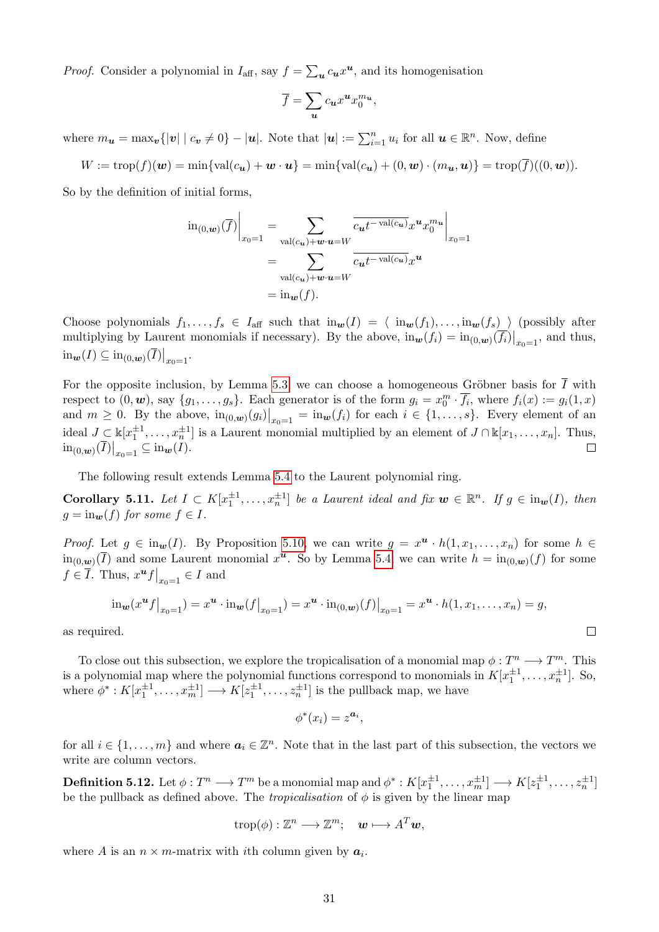*Proof.* Consider a polynomial in  $I_{\text{aff}}$ , say  $f = \sum_{u} c_u x^u$ , and its homogenisation

$$
\overline{f} = \sum_{\mathbf{u}} c_{\mathbf{u}} x^{\mathbf{u}} x_0^{m_{\mathbf{u}}},
$$

where  $m_{\boldsymbol{u}} = \max_{\boldsymbol{v}}\{|v| \mid c_{\boldsymbol{v}} \neq 0\} - |\boldsymbol{u}|$ . Note that  $|\boldsymbol{u}| := \sum_{i=1}^n u_i$  for all  $\boldsymbol{u} \in \mathbb{R}^n$ . Now, define

$$
W := \operatorname{trop}(f)(\boldsymbol{w}) = \min\{\operatorname{val}(c_{\boldsymbol{u}}) + \boldsymbol{w} \cdot \boldsymbol{u}\} = \min\{\operatorname{val}(c_{\boldsymbol{u}}) + (0, \boldsymbol{w}) \cdot (m_{\boldsymbol{u}}, \boldsymbol{u})\} = \operatorname{trop}(\overline{f})((0, \boldsymbol{w})).
$$

So by the definition of initial forms,

$$
\mathrm{in}_{(0,\mathbf{w})}(\overline{f})\Big|_{x_0=1} = \sum_{\mathrm{val}(c_{\mathbf{u}})+\mathbf{w}\cdot\mathbf{u}=W} \frac{\overline{c_{\mathbf{u}}t^{-\mathrm{val}(c_{\mathbf{u}})}}x^{\mathbf{u}}x_0^{m_{\mathbf{u}}}}{\overline{c_{\mathbf{u}}t^{-\mathrm{val}(c_{\mathbf{u}})}}x^{\mathbf{u}}}
$$
\n
$$
= \sum_{\mathrm{val}(c_{\mathbf{u}})+\mathbf{w}\cdot\mathbf{u}=W} \overline{c_{\mathbf{u}}t^{-\mathrm{val}(c_{\mathbf{u}})}}x^{\mathbf{u}}
$$
\n
$$
= \mathrm{in}_{\mathbf{w}}(f).
$$

Choose polynomials  $f_1, \ldots, f_s \in I_{\text{aff}}$  such that  $\text{in}_w(I) = \langle \text{in}_w(f_1), \ldots, \text{in}_w(f_s) \rangle$  (possibly after multiplying by Laurent monomials if necessary). By the above,  $\lim_{w} (f_i) = \lim_{(0,w)} (\overline{f_i})|_{x_0=1}$ , and thus,  $\text{in}_{w}(I) \subseteq \text{in}_{(0,w)}(\overline{I})|_{x_0=1}.$ 

For the opposite inclusion, by Lemma  $\overline{5.3}$  we can choose a homogeneous Gröbner basis for  $\overline{I}$  with respect to  $(0, \mathbf{w})$ , say  $\{g_1, \ldots, g_s\}$ . Each generator is of the form  $g_i = x_0^m \cdot \overline{f_i}$ , where  $f_i(x) := g_i(1, x)$ and  $m \geq 0$ . By the above,  $\text{in}_{(0,w)}(g_i)|_{x_0=1} = \text{in}_{w}(f_i)$  for each  $i \in \{1,\ldots,s\}$ . Every element of an ideal  $J \subset \Bbbk[x_1^{\pm 1}, \ldots, x_n^{\pm 1}]$  is a Laurent monomial multiplied by an element of  $J \cap \Bbbk[x_1, \ldots, x_n]$ . Thus,  $\sin_{(0,w)}(\overline{I})|_{x_0=1} \subseteq \sin_{w}(\overline{I}).$ 

The following result extends Lemma 5.4 to the Laurent polynomial ring.

**Corollary 5.11.** Let  $I \subset K[x_1^{\pm 1}, \ldots, x_n^{\pm 1}]$  be a Laurent ideal and fix  $w \in \mathbb{R}^n$ . If  $g \in \text{in}_w(I)$ , then  $g = \text{in}_{w}(f)$  *for some*  $f \in I$ *.* 

*Proof.* Let  $g \in \text{in}_{w}(I)$ . By Proposition  $\overline{5.10}$ , we can write  $g = x^u \cdot h(1, x_1, \ldots, x_n)$  for some  $h \in$ in<sub>(0,*w*)</sub>( $\overline{I}$ ) and some Laurent monomial  $x^u$ . So by Lemma 5.4, we can write  $h = \text{in}_{(0,w)}(f)$  for some  $f \in \overline{I}$ . Thus,  $x^{\boldsymbol{u}} f \big|_{x_0=1} \in I$  and

$$
\mathrm{in}_{\mathbf{w}}(x^{\mathbf{u}}f|_{x_0=1})=x^{\mathbf{u}}\cdot\mathrm{in}_{\mathbf{w}}(f|_{x_0=1})=x^{\mathbf{u}}\cdot\mathrm{in}_{(0,\mathbf{w})}(f)|_{x_0=1}=x^{\mathbf{u}}\cdot h(1,x_1,\ldots,x_n)=g,
$$

 $\Box$ 

as required.

To close out this subsection, we explore the tropicalisation of a monomial map  $\phi : T^n \longrightarrow T^m$ . This is a polynomial map where the polynomial functions correspond to monomials in  $K[x_1^{\pm 1}, \ldots, x_n^{\pm 1}]$ . So, where  $\phi^* : K[x_1^{\pm 1}, \ldots, x_m^{\pm 1}] \longrightarrow K[z_1^{\pm 1}, \ldots, z_n^{\pm 1}]$  is the pullback map, we have

$$
\phi^*(x_i) = z^{\mathbf{a}_i},
$$

for all  $i \in \{1, \ldots, m\}$  and where  $a_i \in \mathbb{Z}^n$ . Note that in the last part of this subsection, the vectors we write are column vectors.

 $\mathbf{Definition 5.12.}$  Let  $\phi: T^n \longrightarrow T^m$  be a monomial map and  $\phi^*: K[x_1^{\pm 1}, \ldots, x_m^{\pm 1}] \longrightarrow K[z_1^{\pm 1}, \ldots, z_n^{\pm 1}]$ be the pullback as defined above. The *tropicalisation* of  $\phi$  is given by the linear map

$$
\operatorname{trop}(\phi): \mathbb{Z}^n \longrightarrow \mathbb{Z}^m; \quad \mathbf{w} \longmapsto A^T \mathbf{w},
$$

where *A* is an  $n \times m$ -matrix with *i*th column given by  $a_i$ .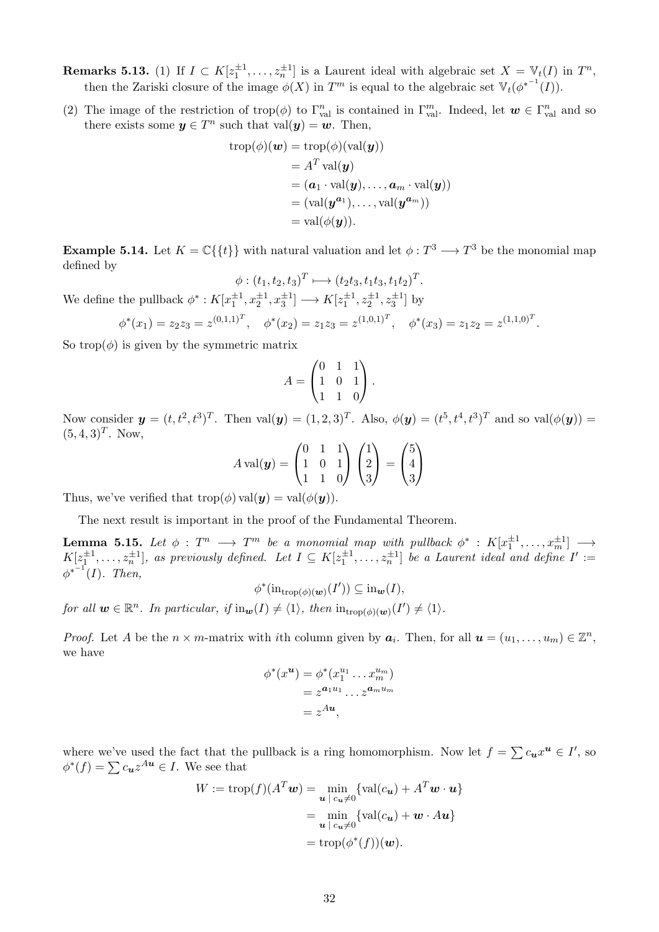**Remarks 5.13.** (1) If  $I \subset K[z_1^{\pm 1}, \ldots, z_n^{\pm 1}]$  is a Laurent ideal with algebraic set  $X = V_t(I)$  in  $T^n$ , then the Zariski closure of the image  $\phi(X)$  in  $T^m$  is equal to the algebraic set  $\mathbb{V}_t(\phi^{*^{-1}}(I)).$ 

(2) The image of the restriction of trop( $\phi$ ) to  $\Gamma_{\text{val}}^n$  is contained in  $\Gamma_{\text{val}}^m$ . Indeed, let  $\mathbf{w} \in \Gamma_{\text{val}}^n$  and so there exists some  $y \in T^n$  such that  $val(y) = w$ . Then,

$$
\begin{aligned} \operatorname{trop}(\phi)(\boldsymbol{w}) &= \operatorname{trop}(\phi)(\operatorname{val}(\boldsymbol{y})) \\ &= A^T \operatorname{val}(\boldsymbol{y}) \\ &= (\boldsymbol{a}_1 \cdot \operatorname{val}(\boldsymbol{y}), \ldots, \boldsymbol{a}_m \cdot \operatorname{val}(\boldsymbol{y})) \\ &= (\operatorname{val}(\boldsymbol{y}^{\boldsymbol{a}_1}), \ldots, \operatorname{val}(\boldsymbol{y}^{\boldsymbol{a}_m})) \\ &= \operatorname{val}(\phi(\boldsymbol{y})). \end{aligned}
$$

**Example 5.14.** Let  $K = \mathbb{C}\{\{t\}\}\$  with natural valuation and let  $\phi: T^3 \longrightarrow T^3$  be the monomial map defined by

 $\phi: (t_1, t_2, t_3)^T \longmapsto (t_2t_3, t_1t_3, t_1t_2)^T.$ We define the pullback  $\phi^*: K[x_1^{\pm 1}, x_2^{\pm 1}, x_3^{\pm 1}] \longrightarrow K[z_1^{\pm 1}, z_2^{\pm 1}, z_3^{\pm 1}]$  by

$$
\phi^*(x_1) = z_2 z_3 = z^{(0,1,1)^T}, \quad \phi^*(x_2) = z_1 z_3 = z^{(1,0,1)^T}, \quad \phi^*(x_3) = z_1 z_2 = z^{(1,1,0)^T}.
$$

So trop $(\phi)$  is given by the symmetric matrix

$$
A = \begin{pmatrix} 0 & 1 & 1 \\ 1 & 0 & 1 \\ 1 & 1 & 0 \end{pmatrix}.
$$

Now consider  $y = (t, t^2, t^3)^T$ . Then  $val(y) = (1, 2, 3)^T$ . Also,  $\phi(y) = (t^5, t^4, t^3)^T$  and so  $val(\phi(y)) =$  $(5, 4, 3)^T$ . Now,

$$
A \operatorname{val}(\mathbf{y}) = \begin{pmatrix} 0 & 1 & 1 \\ 1 & 0 & 1 \\ 1 & 1 & 0 \end{pmatrix} \begin{pmatrix} 1 \\ 2 \\ 3 \end{pmatrix} = \begin{pmatrix} 5 \\ 4 \\ 3 \end{pmatrix}
$$

Thus, we've verified that  $\text{trop}(\phi) \text{val}(\mathbf{y}) = \text{val}(\phi(\mathbf{y})).$ 

The next result is important in the proof of the Fundamental Theorem.

 $\textbf{Lemma 5.15.} \ \textit{Let} \ \phi \ : \ T^n \ \longrightarrow \ T^m \ \textit{be} \ \textit{a monomial map with pullback} \ \phi^* \ : \ K[x_1^{\pm 1}, \ldots, x_m^{\pm 1}] \ \longrightarrow$  $K[z_1^{\pm 1}, \ldots, z_n^{\pm 1}]$ , as previously defined. Let  $I \subseteq K[z_1^{\pm 1}, \ldots, z_n^{\pm 1}]$  be a Laurent ideal and define  $I' :=$  $\phi^{*^{-1}}(I)$ *. Then,* 

 $\phi^*(\text{in}_{\text{trop}(\phi)(\boldsymbol{w})}(I')) \subseteq \text{in}_{\boldsymbol{w}}(I),$ 

*for all*  $\mathbf{w} \in \mathbb{R}^n$ *. In particular, if*  $\text{in}_{\mathbf{w}}(I) \neq \langle 1 \rangle$ *, then*  $\text{in}_{\text{trop}(\phi)(\mathbf{w})}(I') \neq \langle 1 \rangle$ *.* 

*Proof.* Let *A* be the  $n \times m$ -matrix with *i*th column given by  $a_i$ . Then, for all  $u = (u_1, \ldots, u_m) \in \mathbb{Z}^n$ , we have

$$
\phi^*(x^{\mathbf{u}}) = \phi^*(x_1^{u_1} \dots x_m^{u_m})
$$
  
=  $z^{\mathbf{a}_1 u_1} \dots z^{\mathbf{a}_m u_m}$   
=  $z^{Au}$ ,

where we've used the fact that the pullback is a ring homomorphism. Now let  $f = \sum c_u x^u \in I'$ , so  $\phi^*(f) = \sum c_{\mathbf{u}} z^{A\mathbf{u}} \in I$ . We see that

$$
W := \text{trop}(f)(A^T \mathbf{w}) = \min_{\mathbf{u} \mid c_{\mathbf{u}} \neq 0} \{\text{val}(c_{\mathbf{u}}) + A^T \mathbf{w} \cdot \mathbf{u}\}
$$

$$
= \min_{\mathbf{u} \mid c_{\mathbf{u}} \neq 0} \{\text{val}(c_{\mathbf{u}}) + \mathbf{w} \cdot A \mathbf{u}\}
$$

$$
= \text{trop}(\phi^*(f))(\mathbf{w}).
$$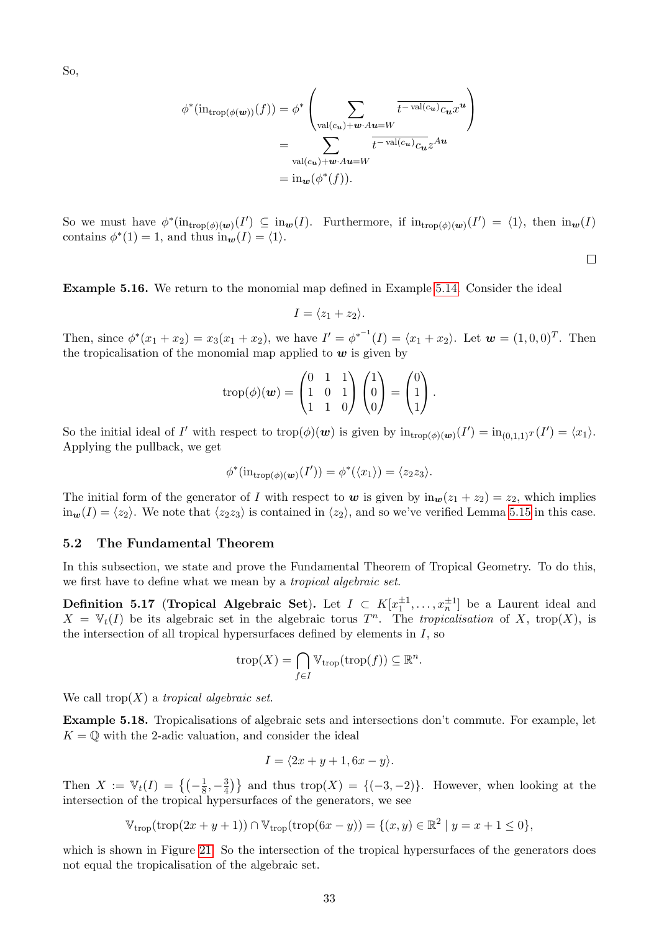So,

$$
\phi^*(\mathrm{in}_{\mathrm{trop}(\phi(\mathbf{w}))}(f)) = \phi^* \left( \sum_{\substack{\mathrm{val}(c_{\mathbf{u}}) + \mathbf{w} \cdot A\mathbf{u} = W}} \overline{t^{-\mathrm{val}(c_{\mathbf{u}})} c_{\mathbf{u}}} x^{\mathbf{u}} \right)
$$

$$
= \sum_{\substack{\mathrm{val}(c_{\mathbf{u}}) + \mathbf{w} \cdot A\mathbf{u} = W}} \overline{t^{-\mathrm{val}(c_{\mathbf{u}})} c_{\mathbf{u}}} z^{A\mathbf{u}}
$$

$$
= \mathrm{in}_{\mathbf{w}} (\phi^*(f)).
$$

So we must have  $\phi^*(\text{in}_{\text{trop}(\phi)(w)}(I') \subseteq \text{in}_w(I)$ . Furthermore, if  $\text{in}_{\text{trop}(\phi)(w)}(I') = \langle 1 \rangle$ , then  $\text{in}_w(I)$ contains  $\phi^*(1) = 1$ , and thus  $\text{in}_{w}(I) = \langle 1 \rangle$ .

 $\Box$ 

**Example 5.16.** We return to the monomial map defined in Example  $\overline{5.14}$ . Consider the ideal

$$
I = \langle z_1 + z_2 \rangle.
$$

Then, since  $\phi^*(x_1 + x_2) = x_3(x_1 + x_2)$ , we have  $I' = {\phi^*}^{-1}(I) = \langle x_1 + x_2 \rangle$ . Let  $\mathbf{w} = (1, 0, 0)^T$ . Then the tropicalisation of the monomial map applied to  $w$  is given by

$$
trop(\phi)(\mathbf{w}) = \begin{pmatrix} 0 & 1 & 1 \\ 1 & 0 & 1 \\ 1 & 1 & 0 \end{pmatrix} \begin{pmatrix} 1 \\ 0 \\ 0 \end{pmatrix} = \begin{pmatrix} 0 \\ 1 \\ 1 \end{pmatrix}.
$$

So the initial ideal of *I'* with respect to  $\text{trop}(\phi)(\boldsymbol{w})$  is given by  $\text{in}_{\text{trop}(\phi)(\boldsymbol{w})}(I') = \text{in}_{(0,1,1)}T(I') = \langle x_1 \rangle$ . Applying the pullback, we get

$$
\phi^*(\mathrm{in}_{\mathrm{trop}(\phi)(\boldsymbol{w})}(I')) = \phi^*(\langle x_1 \rangle) = \langle z_2 z_3 \rangle.
$$

The initial form of the generator of *I* with respect to *w* is given by  $in_w(z_1 + z_2) = z_2$ , which implies  $in_{w}(I) = \langle z_{2} \rangle$ . We note that  $\langle z_{2}z_{3} \rangle$  is contained in  $\langle z_{2} \rangle$ , and so we've verified Lemma 5.15 in this case.

#### 5.2 The Fundamental Theorem

In this subsection, we state and prove the Fundamental Theorem of Tropical Geometry. To do this, we first have to define what we mean by a *tropical algebraic set*.

**Definition 5.17 (Tropical Algebraic Set).** Let  $I \subset K[x_1^{\pm 1},...,x_n^{\pm 1}]$  be a Laurent ideal and  $X = V_t(I)$  be its algebraic set in the algebraic torus  $T^n$ . The *tropicalisation* of *X*, trop(*X*), is the intersection of all tropical hypersurfaces defined by elements in *I*, so

$$
trop(X) = \bigcap_{f \in I} \mathbb{V}_{trop}(trop(f)) \subseteq \mathbb{R}^n.
$$

We call trop(*X*) a *tropical algebraic set*.

Example 5.18. Tropicalisations of algebraic sets and intersections don't commute. For example, let  $K = \mathbb{O}$  with the 2-adic valuation, and consider the ideal

$$
I = \langle 2x + y + 1, 6x - y \rangle.
$$

Then  $X := \mathbb{V}_t(I) = \left\{ \left( -\frac{1}{8}, -\frac{3}{4} \right) \right\}$  and thus trop $(X) = \{ (-3, -2) \}$ . However, when looking at the intersection of the tropical hypersurfaces of the generators, we see

$$
\mathbb{V}_{\text{trop}}(\text{trop}(2x + y + 1)) \cap \mathbb{V}_{\text{trop}}(\text{trop}(6x - y)) = \{ (x, y) \in \mathbb{R}^2 \mid y = x + 1 \le 0 \},\
$$

which is shown in Figure  $\boxed{21}$ . So the intersection of the tropical hypersurfaces of the generators does not equal the tropicalisation of the algebraic set.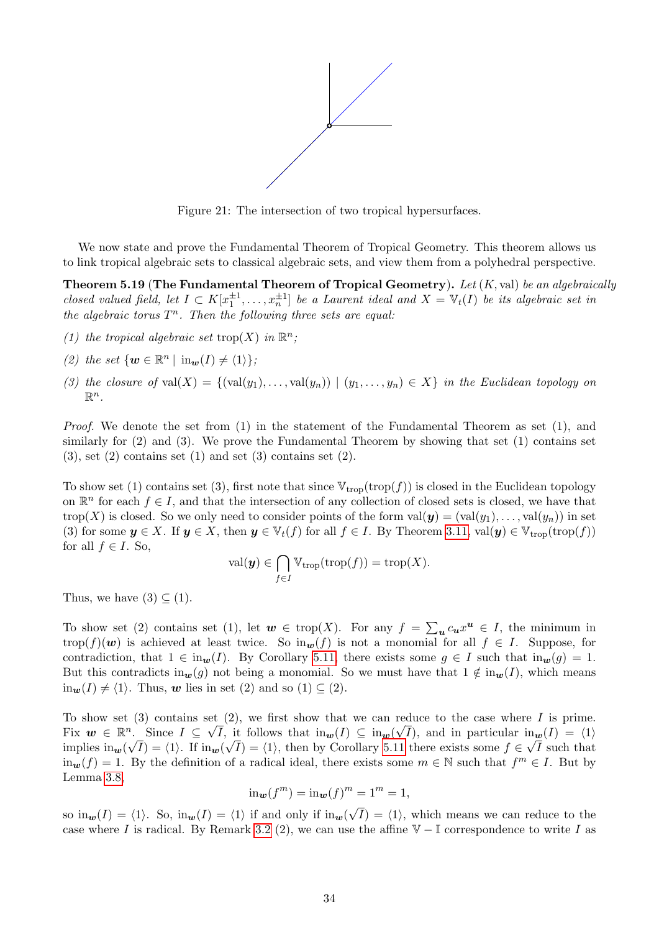

Figure 21: The intersection of two tropical hypersurfaces.

We now state and prove the Fundamental Theorem of Tropical Geometry. This theorem allows us to link tropical algebraic sets to classical algebraic sets, and view them from a polyhedral perspective.

Theorem 5.19 (The Fundamental Theorem of Tropical Geometry). *Let* (*K,* val) *be an algebraically closed valued field, let*  $I \subset K[x_1^{\pm 1},...,x_n^{\pm 1}]$  *be a Laurent ideal and*  $X = V_t(I)$  *be its algebraic set in the algebraic torus*  $T^n$ *. Then the following three sets are equal:* 

- *(1) the tropical algebraic set* trop $(X)$  *in*  $\mathbb{R}^n$ *;*
- (2) the set  $\{w \in \mathbb{R}^n \mid \text{in}_w(I) \neq \langle 1 \rangle\};$
- (3) the closure of val $(X) = \{(\text{val}(y_1), \ldots, \text{val}(y_n)) \mid (y_1, \ldots, y_n) \in X\}$  in the Euclidean topology on  $\mathbb{R}^n$ .

*Proof.* We denote the set from (1) in the statement of the Fundamental Theorem as set (1), and similarly for (2) and (3). We prove the Fundamental Theorem by showing that set (1) contains set  $(3)$ , set  $(2)$  contains set  $(1)$  and set  $(3)$  contains set  $(2)$ .

To show set (1) contains set (3), first note that since  $\mathbb{V}_{\text{trop}}(\text{trop}(f))$  is closed in the Euclidean topology on  $\mathbb{R}^n$  for each  $f \in I$ , and that the intersection of any collection of closed sets is closed, we have that  $\text{trop}(X)$  is closed. So we only need to consider points of the form  $\text{val}(y) = (\text{val}(y_1), \ldots, \text{val}(y_n))$  in set (3) for some  $y \in X$ . If  $y \in X$ , then  $y \in V_t(f)$  for all  $f \in I$ . By Theorem 3.11,  $val(y) \in V_{\text{trop}}(\text{trop}(f))$ for all  $f \in I$ . So,

$$
\mathrm{val}(\boldsymbol{y}) \in \bigcap_{f \in I} \mathbb{V}_{\mathrm{trop}}(\mathrm{trop}(f)) = \mathrm{trop}(X).
$$

Thus, we have  $(3) \subseteq (1)$ .

To show set (2) contains set (1), let  $w \in \text{trop}(X)$ . For any  $f = \sum_{u} c_u x^u \in I$ , the minimum in  $trop(f)(w)$  is achieved at least twice. So  $in_w(f)$  is not a monomial for all  $f \in I$ . Suppose, for contradiction, that  $1 \in \text{in}_{w}(I)$ . By Corollary 5.11, there exists some  $g \in I$  such that  $\text{in}_{w}(g) = 1$ . But this contradicts in<sub>w</sub>(*g*) not being a monomial. So we must have that  $1 \notin \text{in}_w(I)$ , which means  $in_w(I) \neq \langle 1 \rangle$ . Thus, *w* lies in set (2) and so (1)  $\subset$  (2).

To show set (3) contains set (2), we first show that we can reduce to the case where *I* is prime. Fix  $w \in \mathbb{R}^n$ . Since  $I \subseteq \sqrt{I}$ , it follows that  $\text{in}_w(I) \subseteq \text{in}_w(\sqrt{I})$ , and in particular  $\text{in}_w(I) = \langle 1 \rangle$ implies  $\lim_{w}(\sqrt{I}) = \langle 1 \rangle$ . If  $\lim_{w}(\sqrt{I}) = \langle 1 \rangle$ , then by Corollary 5.11 there exists some  $f \in \sqrt{I}$  such that  $\lim_{w} (f) = 1$ . By the definition of a radical ideal, there exists some  $m \in \mathbb{N}$  such that  $f^{m} \in I$ . But by Lemma<sup>3.8</sup>

$$
\operatorname{in}_{\mathbf{w}}(f^m) = \operatorname{in}_{\mathbf{w}}(f)^m = 1^m = 1,
$$

so  $\text{in}_{\mathbf{w}}(I) = \langle 1 \rangle$ . So,  $\text{in}_{\mathbf{w}}(I) = \langle 1 \rangle$  if and only if  $\text{in}_{\mathbf{w}}(\sqrt{I}) = \langle 1 \rangle$ , which means we can reduce to the case where *I* is radical. By Remark  $\overline{3.2}$  (2), we can use the affine  $\mathbb{V} - \mathbb{I}$  correspondence to write *I* as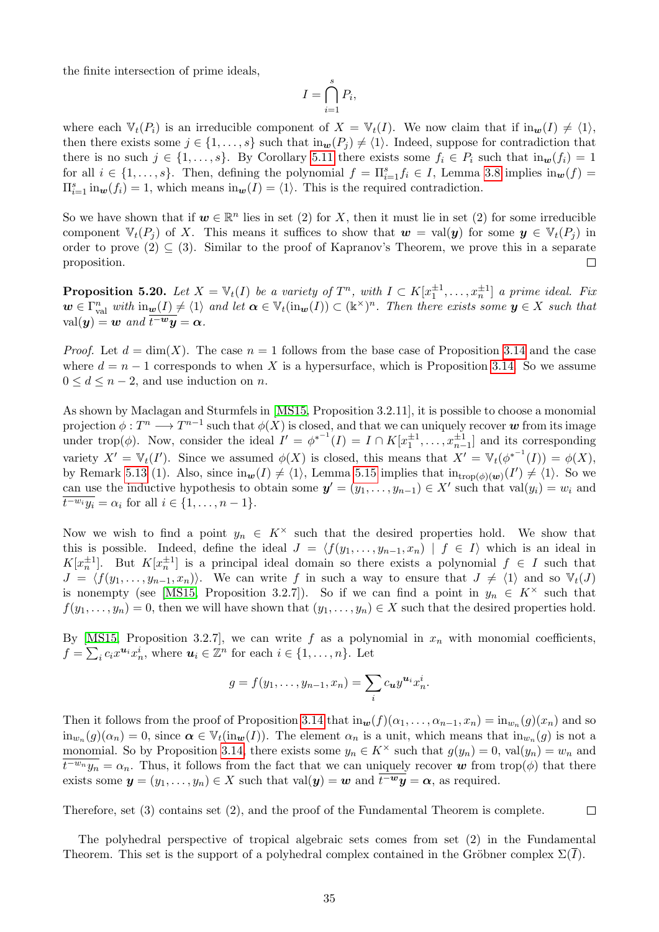the finite intersection of prime ideals,

$$
I = \bigcap_{i=1}^{s} P_i,
$$

where each  $\mathbb{V}_t(P_i)$  is an irreducible component of  $X = \mathbb{V}_t(I)$ . We now claim that if  $\text{in}_w(I) \neq \langle 1 \rangle$ , then there exists some  $j \in \{1, \ldots, s\}$  such that  $\text{in}_{w}(P_{j}) \neq \langle 1 \rangle$ . Indeed, suppose for contradiction that there is no such  $j \in \{1, \ldots, s\}$ . By Corollary 5.11 there exists some  $f_i \in P_i$  such that  $\text{in}_w(f_i) = 1$ for all  $i \in \{1, \ldots, s\}$ . Then, defining the polynomial  $f = \prod_{i=1}^{s} f_i \in I$ , Lemma 3.8 implies  $\text{in}_{w}(f) =$  $\Pi_{i=1}^s$  in<sub>*w*</sub>(*f<sub>i</sub>*) = 1, which means in<sub>*w*</sub>(*I*) =  $\langle 1 \rangle$ . This is the required contradiction.

So we have shown that if  $w \in \mathbb{R}^n$  lies in set (2) for *X*, then it must lie in set (2) for some irreducible component  $\mathbb{V}_t(P_i)$  of X. This means it suffices to show that  $w = \text{val}(y)$  for some  $y \in \mathbb{V}_t(P_i)$  in order to prove (2)  $\subseteq$  (3). Similar to the proof of Kapranov's Theorem, we prove this in a separate proposition proposition.

**Proposition 5.20.** Let  $X = V_t(I)$  be a variety of  $T^n$ , with  $I \subset K[x_1^{\pm 1}, \ldots, x_n^{\pm 1}]$  a prime ideal. Fix  $w \in \Gamma_{\text{val}}^n$  *with*  $\text{in}_{\underline{w}}(I) \neq \langle 1 \rangle$  *and let*  $\alpha \in \mathbb{V}_t(\text{in}_{\underline{w}}(I)) \subset (\mathbb{k}^\times)^n$ *. Then there exists some*  $y \in X$  *such that*  $\operatorname{val}(\boldsymbol{y}) = \boldsymbol{w}$  *and*  $\overline{t^{-w}\boldsymbol{y}} = \boldsymbol{\alpha}$ *.* 

*Proof.* Let  $d = \dim(X)$ . The case  $n = 1$  follows from the base case of Proposition 3.14 and the case where  $d = n - 1$  corresponds to when X is a hypersurface, which is Proposition  $\boxed{3.14}$ . So we assume  $0 \leq d \leq n-2$ , and use induction on *n*.

As shown by Maclagan and Sturmfels in [MS15, Proposition 3.2.11], it is possible to choose a monomial projection  $\phi: T^n \longrightarrow T^{n-1}$  such that  $\phi(X)$  is closed, and that we can uniquely recover w from its image under trop( $\phi$ ). Now, consider the ideal  $I' = \phi^{*^{-1}}(I) = I \cap K[x_1^{\pm 1}, \ldots, x_{n-1}^{\pm 1}]$  and its corresponding variety  $X' = \mathbb{V}_t(I')$ . Since we assumed  $\phi(X)$  is closed, this means that  $X' = \mathbb{V}_t(\phi^{*^{-1}}(I)) = \phi(X)$ , by Remark  $[5.13]$  (1). Also, since  $\text{in}_{w}(I) \neq \langle 1 \rangle$ , Lemma  $[5.15]$  implies that  $\text{in}_{\text{trop}(\phi)(w)}(I') \neq \langle 1 \rangle$ . So we can use the inductive hypothesis to obtain some  $y' = (y_1, \ldots, y_{n-1}) \in X'$  such that val $(y_i) = w_i$  and  $t^{-w_i}y_i = \alpha_i$  for all  $i \in \{1, \ldots, n-1\}$ .

Now we wish to find a point  $y_n \in K^\times$  such that the desired properties hold. We show that this is possible. Indeed, define the ideal  $J = \langle f(y_1, \ldots, y_{n-1}, x_n) | f \in I \rangle$  which is an ideal in  $K[x_n^{\pm 1}]$ . But  $K[x_n^{\pm 1}]$  is a principal ideal domain so there exists a polynomial  $f \in I$  such that  $J = \langle f(y_1, \ldots, y_{n-1}, x_n) \rangle$ . We can write *f* in such a way to ensure that  $J \neq \langle 1 \rangle$  and so  $V_t(J)$ is nonempty (see  $\boxed{\text{MS15}}$  Proposition 3.2.7). So if we can find a point in  $y_n \in K^\times$  such that  $f(y_1, \ldots, y_n) = 0$ , then we will have shown that  $(y_1, \ldots, y_n) \in X$  such that the desired properties hold.

By  $MS15$ , Proposition 3.2.7, we can write f as a polynomial in  $x<sub>n</sub>$  with monomial coefficients,  $f = \sum_i c_i x^{\mathbf{u}_i} x_n^i$ , where  $\mathbf{u}_i \in \mathbb{Z}^n$  for each  $i \in \{1, \ldots, n\}$ . Let

$$
g = f(y_1, \dots, y_{n-1}, x_n) = \sum_i c_{\boldsymbol{u}} y^{\boldsymbol{u}} x_n^i.
$$

Then it follows from the proof of Proposition  $3.14$  that in $w(f)(\alpha_1,\ldots,\alpha_{n-1},x_n) = \text{in}_{w_n}(g)(x_n)$  and so  $\lim_{w_n} (g)(\alpha_n) = 0$ , since  $\alpha \in \mathbb{V}_t(\text{in}_w(I))$ . The element  $\alpha_n$  is a unit, which means that  $\lim_{w_n} (g)$  is not a monomial. So by Proposition 3.14, there exists some  $y_n \in K^\times$  such that  $g(y_n) = 0$ , val $(y_n) = w_n$  and  $\overline{t^{w_n}y_n} = \alpha_n$ . Thus, it follows from the fact that we can uniquely recover *w* from trop( $\phi$ ) that there exists some  $y = (y_1, \ldots, y_n) \in X$  such that val $(y) = w$  and  $\overline{t^{-w}y} = \alpha$ , as required.

Therefore, set (3) contains set (2), and the proof of the Fundamental Theorem is complete.  $\Box$ 

The polyhedral perspective of tropical algebraic sets comes from set (2) in the Fundamental Theorem. This set is the support of a polyhedral complex contained in the Gröbner complex  $\Sigma(\overline{I})$ .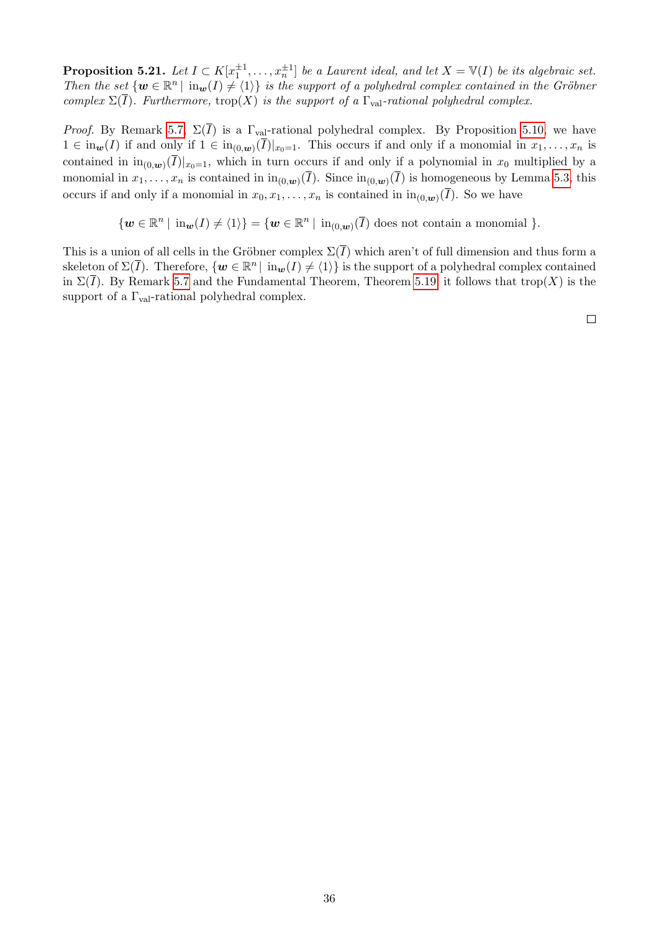**Proposition 5.21.** Let  $I \subset K[x_1^{\pm 1}, \ldots, x_n^{\pm 1}]$  be a Laurent ideal, and let  $X = V(I)$  be its algebraic set. *Then the set*  $\{w \in \mathbb{R}^n \mid \text{in}_w(I) \neq \{1\}\}\$ is the support of a polyhedral complex contained in the Gröbner *complex*  $\Sigma(\overline{I})$ *. Furthermore,* trop(*X*) *is the support of a*  $\Gamma$ <sub>val</sub>-rational polyhedral complex.

*Proof.* By Remark  $\overline{5.7}$ ,  $\Sigma(\overline{I})$  is a  $\Gamma_{val}$ -rational polyhedral complex. By Proposition 5.10, we have  $1 \in \mathrm{in}_{w}(I)$  if and only if  $1 \in \mathrm{in}_{(0,w)}(\overline{I})|_{x_0=1}$ . This occurs if and only if a monomial in  $x_1, \ldots, x_n$  is contained in  $\text{in}_{(0,\mathbf{w})}(\overline{I})|_{x_0=1}$ , which in turn occurs if and only if a polynomial in  $x_0$  multiplied by a monomial in  $x_1, \ldots, x_n$  is contained in  $\text{in}_{(0,w)}(\overline{I})$ . Since  $\text{in}_{(0,w)}(\overline{I})$  is homogeneous by Lemma 5.3, this occurs if and only if a monomial in  $x_0, x_1, \ldots, x_n$  is contained in  $\text{in}_{(0,w)}(\overline{I})$ . So we have

 $\{w \in \mathbb{R}^n \mid \text{in}_w(I) \neq \langle 1 \rangle\} = \{w \in \mathbb{R}^n \mid \text{in}_{(0,w)}(\overline{I}) \text{ does not contain a monomial } \}.$ 

This is a union of all cells in the Gröbner complex  $\Sigma(\overline{I})$  which aren't of full dimension and thus form a skeleton of  $\Sigma(\overline{I})$ . Therefore,  $\{w \in \mathbb{R}^n \mid \text{in}_w(I) \neq \{1\}\}\$ is the support of a polyhedral complex contained in  $\Sigma(\overline{I})$ . By Remark 5.7 and the Fundamental Theorem, Theorem 5.19 it follows that trop(*X*) is the support of a  $\Gamma_{\text{val}}$ -rational polyhedral complex.

 $\Box$